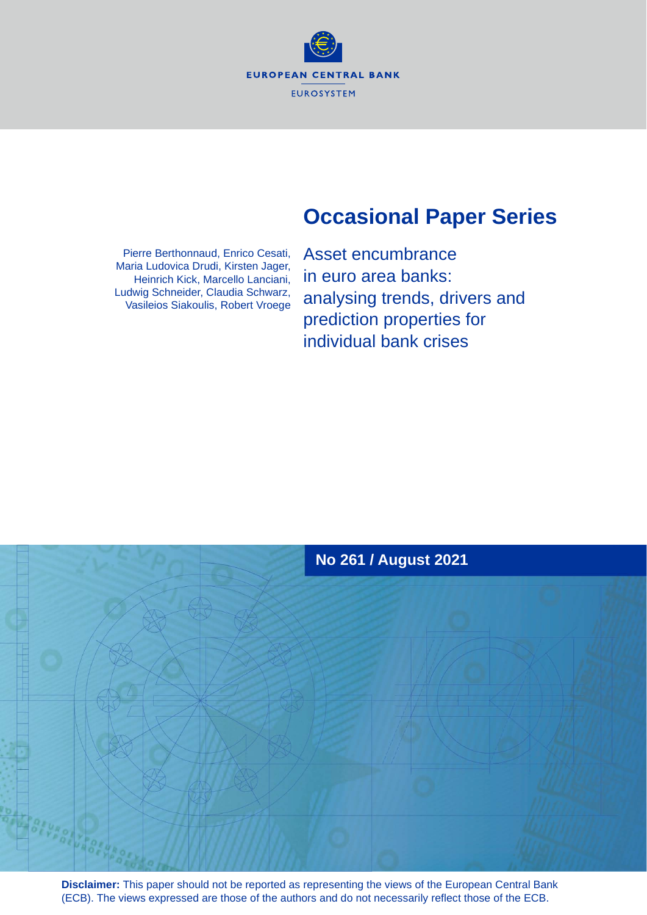**EUROPEAN CENTRAL BANK EUROSYSTEM** 

## **Occasional Paper Series**

Pierre Berthonnaud, Enrico Cesati, Maria Ludovica Drudi, Kirsten Jager, Heinrich Kick, Marcello Lanciani, Ludwig Schneider, Claudia Schwarz, Vasileios Siakoulis, Robert Vroege Asset encumbrance in euro area banks: analysing trends, drivers and prediction properties for individual bank crises



**Disclaimer:** This paper should not be reported as representing the views of the European Central Bank (ECB). The views expressed are those of the authors and do not necessarily reflect those of the ECB.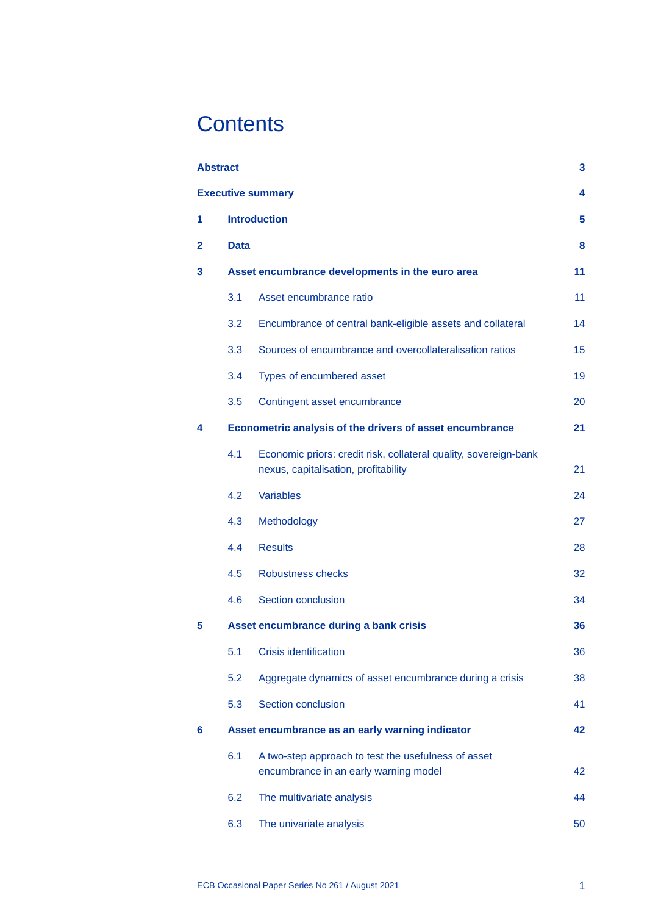## **Contents**

|                | <b>Abstract</b> |                                                                                                          | 3  |  |  |  |  |
|----------------|-----------------|----------------------------------------------------------------------------------------------------------|----|--|--|--|--|
|                |                 | <b>Executive summary</b>                                                                                 | 4  |  |  |  |  |
| 1              |                 | <b>Introduction</b>                                                                                      | 5  |  |  |  |  |
| $\overline{2}$ | <b>Data</b>     |                                                                                                          | 8  |  |  |  |  |
| 3              |                 | Asset encumbrance developments in the euro area                                                          |    |  |  |  |  |
|                | 3.1             | Asset encumbrance ratio                                                                                  | 11 |  |  |  |  |
|                | 3.2             | Encumbrance of central bank-eligible assets and collateral                                               | 14 |  |  |  |  |
|                | 3.3             | Sources of encumbrance and overcollateralisation ratios                                                  | 15 |  |  |  |  |
|                | 3.4             | Types of encumbered asset                                                                                | 19 |  |  |  |  |
|                | 3.5             | Contingent asset encumbrance                                                                             | 20 |  |  |  |  |
| 4              |                 | Econometric analysis of the drivers of asset encumbrance                                                 | 21 |  |  |  |  |
|                | 4.1             | Economic priors: credit risk, collateral quality, sovereign-bank<br>nexus, capitalisation, profitability | 21 |  |  |  |  |
|                | 4.2             | <b>Variables</b>                                                                                         | 24 |  |  |  |  |
|                | 4.3             | Methodology                                                                                              | 27 |  |  |  |  |
|                | 4.4             | <b>Results</b>                                                                                           | 28 |  |  |  |  |
|                | 4.5             | Robustness checks                                                                                        | 32 |  |  |  |  |
|                | 4.6             | <b>Section conclusion</b>                                                                                | 34 |  |  |  |  |
| 5              |                 | Asset encumbrance during a bank crisis                                                                   | 36 |  |  |  |  |
|                | 5.1             | <b>Crisis identification</b>                                                                             | 36 |  |  |  |  |
|                | 5.2             | Aggregate dynamics of asset encumbrance during a crisis                                                  | 38 |  |  |  |  |
|                | 5.3             | <b>Section conclusion</b>                                                                                | 41 |  |  |  |  |
| 6              |                 | Asset encumbrance as an early warning indicator                                                          | 42 |  |  |  |  |
|                | 6.1             | A two-step approach to test the usefulness of asset<br>encumbrance in an early warning model             | 42 |  |  |  |  |
|                | 6.2             | The multivariate analysis                                                                                | 44 |  |  |  |  |
|                | 6.3             | The univariate analysis                                                                                  | 50 |  |  |  |  |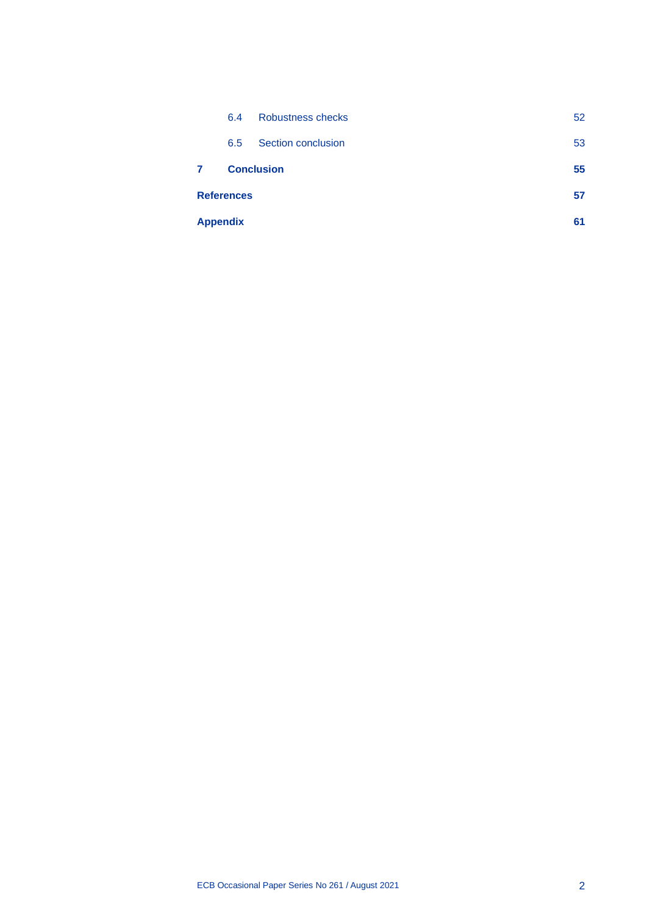|                 | 6.5               | Section conclusion | 53 |
|-----------------|-------------------|--------------------|----|
|                 |                   |                    |    |
| 7               |                   | <b>Conclusion</b>  | 55 |
|                 | <b>References</b> |                    | 57 |
| <b>Appendix</b> |                   | 61                 |    |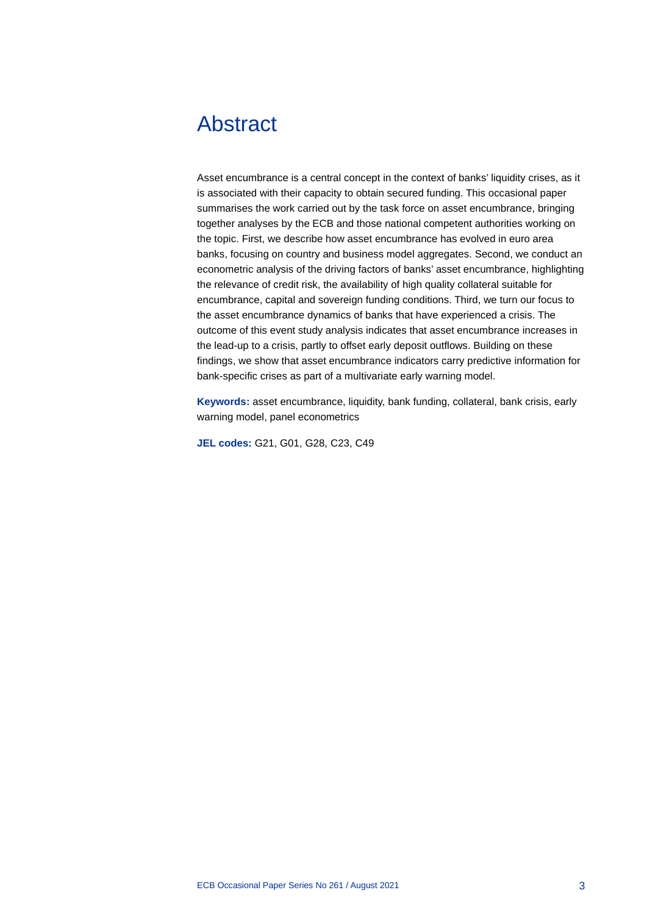## <span id="page-3-0"></span>Abstract

Asset encumbrance is a central concept in the context of banks' liquidity crises, as it is associated with their capacity to obtain secured funding. This occasional paper summarises the work carried out by the task force on asset encumbrance, bringing together analyses by the ECB and those national competent authorities working on the topic. First, we describe how asset encumbrance has evolved in euro area banks, focusing on country and business model aggregates. Second, we conduct an econometric analysis of the driving factors of banks' asset encumbrance, highlighting the relevance of credit risk, the availability of high quality collateral suitable for encumbrance, capital and sovereign funding conditions. Third, we turn our focus to the asset encumbrance dynamics of banks that have experienced a crisis. The outcome of this event study analysis indicates that asset encumbrance increases in the lead-up to a crisis, partly to offset early deposit outflows. Building on these findings, we show that asset encumbrance indicators carry predictive information for bank-specific crises as part of a multivariate early warning model.

**Keywords:** asset encumbrance, liquidity, bank funding, collateral, bank crisis, early warning model, panel econometrics

**JEL codes:** G21, G01, G28, C23, C49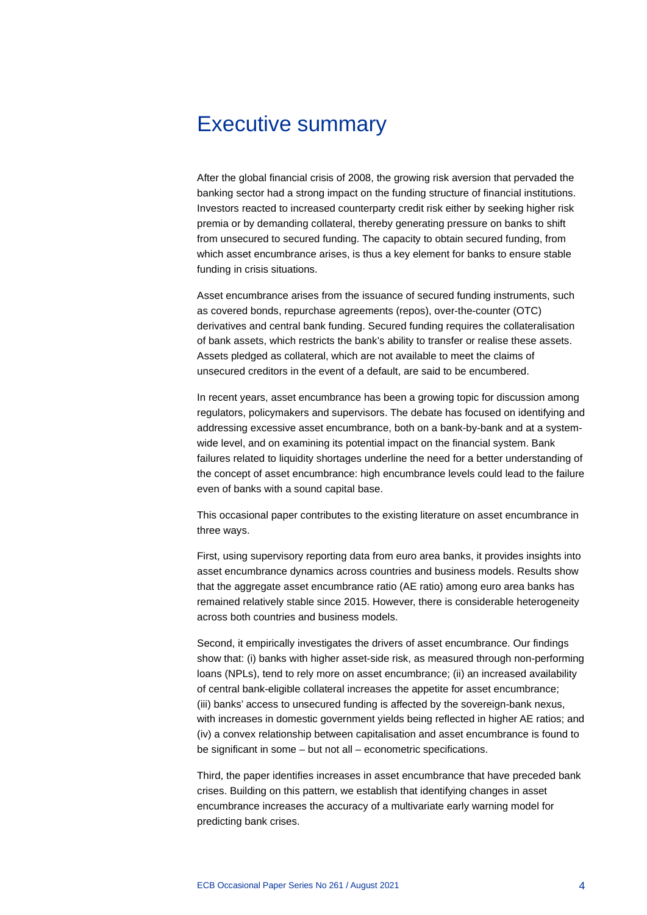## <span id="page-4-0"></span>Executive summary

After the global financial crisis of 2008, the growing risk aversion that pervaded the banking sector had a strong impact on the funding structure of financial institutions. Investors reacted to increased counterparty credit risk either by seeking higher risk premia or by demanding collateral, thereby generating pressure on banks to shift from unsecured to secured funding. The capacity to obtain secured funding, from which asset encumbrance arises, is thus a key element for banks to ensure stable funding in crisis situations.

Asset encumbrance arises from the issuance of secured funding instruments, such as covered bonds, repurchase agreements (repos), over-the-counter (OTC) derivatives and central bank funding. Secured funding requires the collateralisation of bank assets, which restricts the bank's ability to transfer or realise these assets. Assets pledged as collateral, which are not available to meet the claims of unsecured creditors in the event of a default, are said to be encumbered.

In recent years, asset encumbrance has been a growing topic for discussion among regulators, policymakers and supervisors. The debate has focused on identifying and addressing excessive asset encumbrance, both on a bank-by-bank and at a systemwide level, and on examining its potential impact on the financial system. Bank failures related to liquidity shortages underline the need for a better understanding of the concept of asset encumbrance: high encumbrance levels could lead to the failure even of banks with a sound capital base.

This occasional paper contributes to the existing literature on asset encumbrance in three ways.

First, using supervisory reporting data from euro area banks, it provides insights into asset encumbrance dynamics across countries and business models. Results show that the aggregate asset encumbrance ratio (AE ratio) among euro area banks has remained relatively stable since 2015. However, there is considerable heterogeneity across both countries and business models.

Second, it empirically investigates the drivers of asset encumbrance. Our findings show that: (i) banks with higher asset-side risk, as measured through non-performing loans (NPLs), tend to rely more on asset encumbrance; (ii) an increased availability of central bank-eligible collateral increases the appetite for asset encumbrance; (iii) banks' access to unsecured funding is affected by the sovereign-bank nexus, with increases in domestic government yields being reflected in higher AE ratios; and (iv) a convex relationship between capitalisation and asset encumbrance is found to be significant in some – but not all – econometric specifications.

Third, the paper identifies increases in asset encumbrance that have preceded bank crises. Building on this pattern, we establish that identifying changes in asset encumbrance increases the accuracy of a multivariate early warning model for predicting bank crises.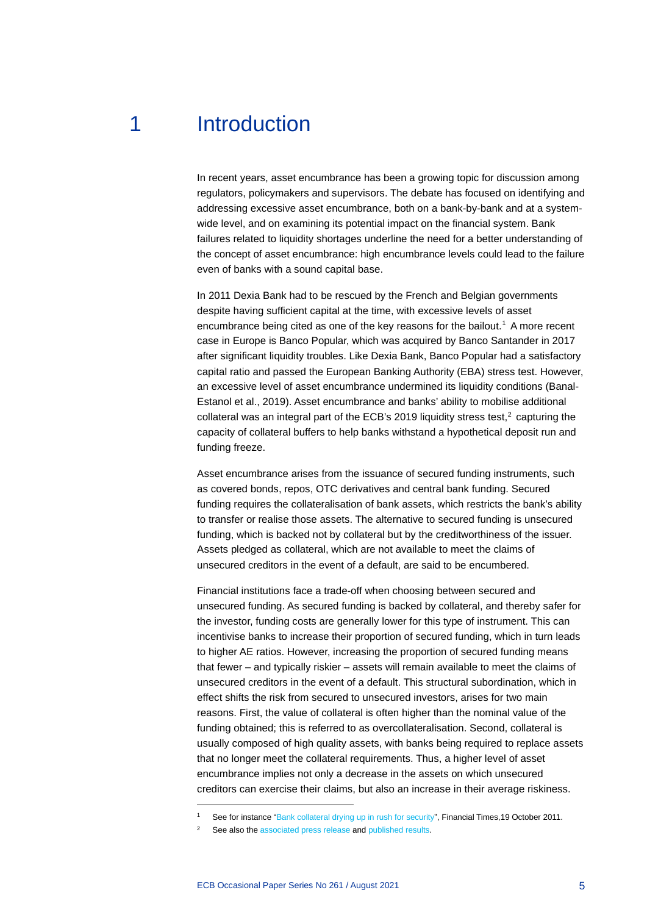## 1 Introduction

<span id="page-5-0"></span>In recent years, asset encumbrance has been a growing topic for discussion among regulators, policymakers and supervisors. The debate has focused on identifying and addressing excessive asset encumbrance, both on a bank-by-bank and at a systemwide level, and on examining its potential impact on the financial system. Bank failures related to liquidity shortages underline the need for a better understanding of the concept of asset encumbrance: high encumbrance levels could lead to the failure even of banks with a sound capital base.

In 2011 Dexia Bank had to be rescued by the French and Belgian governments despite having sufficient capital at the time, with excessive levels of asset encumbrance being cited as one of the key reasons for the bailout.<sup>[1](#page-5-1)</sup> A more recent case in Europe is Banco Popular, which was acquired by Banco Santander in 2017 after significant liquidity troubles. Like Dexia Bank, Banco Popular had a satisfactory capital ratio and passed the European Banking Authority (EBA) stress test. However, an excessive level of asset encumbrance undermined its liquidity conditions (Banal-Estanol et al., 2019). Asset encumbrance and banks' ability to mobilise additional collateral was an integral part of the ECB's [2](#page-5-2)019 liquidity stress test, $^2$  capturing the capacity of collateral buffers to help banks withstand a hypothetical deposit run and funding freeze.

Asset encumbrance arises from the issuance of secured funding instruments, such as covered bonds, repos, OTC derivatives and central bank funding. Secured funding requires the collateralisation of bank assets, which restricts the bank's ability to transfer or realise those assets. The alternative to secured funding is unsecured funding, which is backed not by collateral but by the creditworthiness of the issuer. Assets pledged as collateral, which are not available to meet the claims of unsecured creditors in the event of a default, are said to be encumbered.

Financial institutions face a trade-off when choosing between secured and unsecured funding. As secured funding is backed by collateral, and thereby safer for the investor, funding costs are generally lower for this type of instrument. This can incentivise banks to increase their proportion of secured funding, which in turn leads to higher AE ratios. However, increasing the proportion of secured funding means that fewer – and typically riskier – assets will remain available to meet the claims of unsecured creditors in the event of a default. This structural subordination, which in effect shifts the risk from secured to unsecured investors, arises for two main reasons. First, the value of collateral is often higher than the nominal value of the funding obtained; this is referred to as overcollateralisation. Second, collateral is usually composed of high quality assets, with banks being required to replace assets that no longer meet the collateral requirements. Thus, a higher level of asset encumbrance implies not only a decrease in the assets on which unsecured creditors can exercise their claims, but also an increase in their average riskiness.

See for instance ["Bank collateral drying up in rush for security"](https://www.ft.com/content/e6f91fb8-fa51-11e0-b70d-00144feab49a), Financial Times, 19 October 2011.

<span id="page-5-2"></span><span id="page-5-1"></span>See also th[e associated press release](https://www.bankingsupervision.europa.eu/press/pr/date/2019/html/ssm.pr191007%7E842f68965f.en.html) an[d published results.](https://www.bankingsupervision.europa.eu/press/pr/date/2019/html/ssm.pr191007_annex%7E537c259b6d.en.pdf)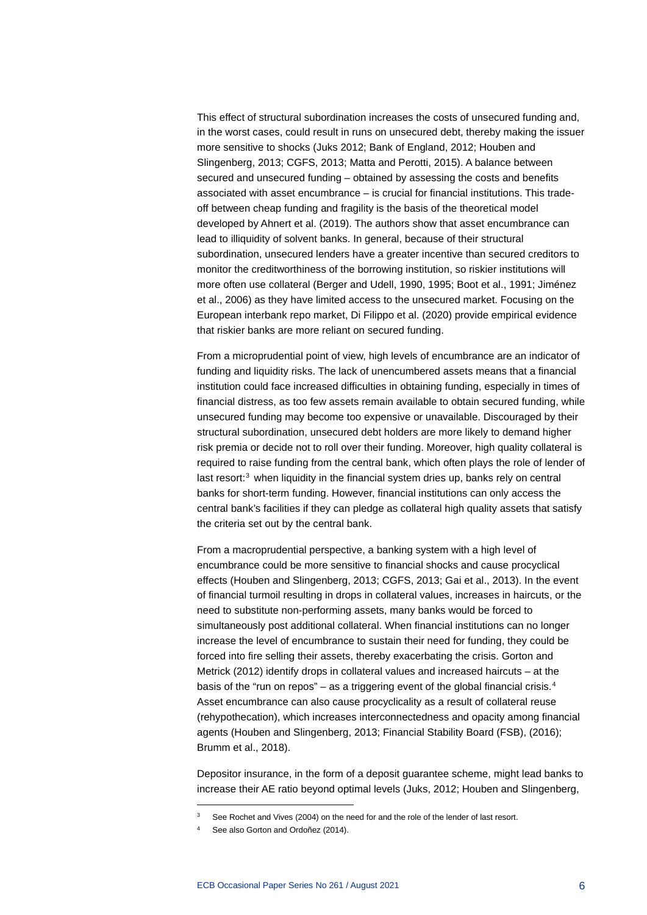This effect of structural subordination increases the costs of unsecured funding and, in the worst cases, could result in runs on unsecured debt, thereby making the issuer more sensitive to shocks (Juks 2012; Bank of England, 2012; Houben and Slingenberg, 2013; CGFS, 2013; Matta and Perotti, 2015). A balance between secured and unsecured funding – obtained by assessing the costs and benefits associated with asset encumbrance – is crucial for financial institutions. This tradeoff between cheap funding and fragility is the basis of the theoretical model developed by Ahnert et al. (2019). The authors show that asset encumbrance can lead to illiquidity of solvent banks. In general, because of their structural subordination, unsecured lenders have a greater incentive than secured creditors to monitor the creditworthiness of the borrowing institution, so riskier institutions will more often use collateral (Berger and Udell, 1990, 1995; Boot et al., 1991; Jiménez et al., 2006) as they have limited access to the unsecured market. Focusing on the European interbank repo market, Di Filippo et al. (2020) provide empirical evidence that riskier banks are more reliant on secured funding.

From a microprudential point of view, high levels of encumbrance are an indicator of funding and liquidity risks. The lack of unencumbered assets means that a financial institution could face increased difficulties in obtaining funding, especially in times of financial distress, as too few assets remain available to obtain secured funding, while unsecured funding may become too expensive or unavailable. Discouraged by their structural subordination, unsecured debt holders are more likely to demand higher risk premia or decide not to roll over their funding. Moreover, high quality collateral is required to raise funding from the central bank, which often plays the role of lender of last resort:<sup>[3](#page-6-0)</sup> when liquidity in the financial system dries up, banks rely on central banks for short-term funding. However, financial institutions can only access the central bank's facilities if they can pledge as collateral high quality assets that satisfy the criteria set out by the central bank.

From a macroprudential perspective, a banking system with a high level of encumbrance could be more sensitive to financial shocks and cause procyclical effects (Houben and Slingenberg, 2013; CGFS, 2013; Gai et al., 2013). In the event of financial turmoil resulting in drops in collateral values, increases in haircuts, or the need to substitute non-performing assets, many banks would be forced to simultaneously post additional collateral. When financial institutions can no longer increase the level of encumbrance to sustain their need for funding, they could be forced into fire selling their assets, thereby exacerbating the crisis. Gorton and Metrick (2012) identify drops in collateral values and increased haircuts – at the basis of the "run on repos" – as a triggering event of the global financial crisis.<sup>[4](#page-6-1)</sup> Asset encumbrance can also cause procyclicality as a result of collateral reuse (rehypothecation), which increases interconnectedness and opacity among financial agents (Houben and Slingenberg, 2013; Financial Stability Board (FSB), (2016); Brumm et al., 2018).

Depositor insurance, in the form of a deposit guarantee scheme, might lead banks to increase their AE ratio beyond optimal levels (Juks, 2012; Houben and Slingenberg,

<span id="page-6-1"></span><span id="page-6-0"></span>See Rochet and Vives (2004) on the need for and the role of the lender of last resort.

See also Gorton and Ordoñez (2014).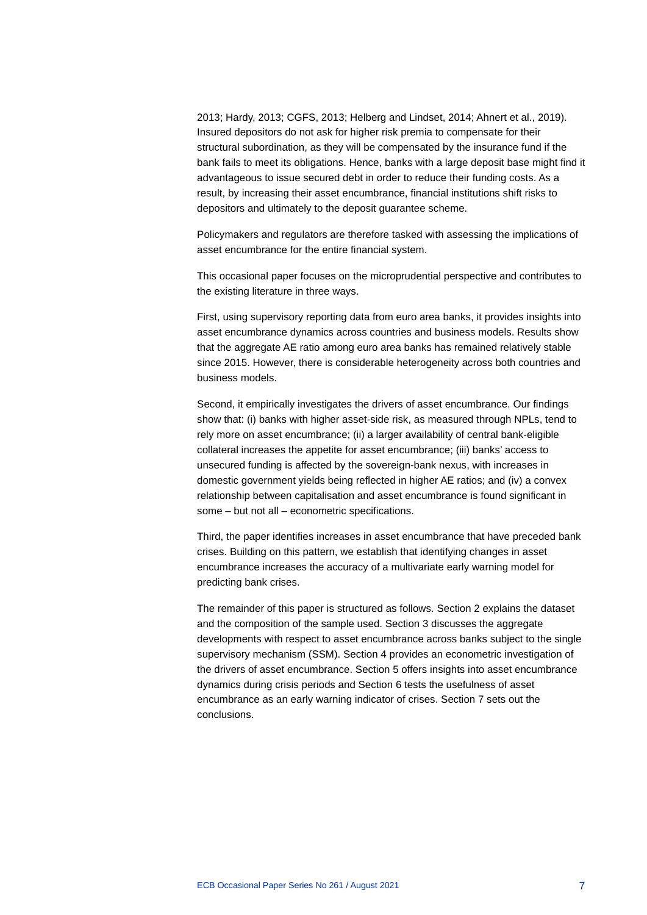2013; Hardy, 2013; CGFS, 2013; Helberg and Lindset, 2014; Ahnert et al., 2019). Insured depositors do not ask for higher risk premia to compensate for their structural subordination, as they will be compensated by the insurance fund if the bank fails to meet its obligations. Hence, banks with a large deposit base might find it advantageous to issue secured debt in order to reduce their funding costs. As a result, by increasing their asset encumbrance, financial institutions shift risks to depositors and ultimately to the deposit guarantee scheme.

Policymakers and regulators are therefore tasked with assessing the implications of asset encumbrance for the entire financial system.

This occasional paper focuses on the microprudential perspective and contributes to the existing literature in three ways.

First, using supervisory reporting data from euro area banks, it provides insights into asset encumbrance dynamics across countries and business models. Results show that the aggregate AE ratio among euro area banks has remained relatively stable since 2015. However, there is considerable heterogeneity across both countries and business models.

Second, it empirically investigates the drivers of asset encumbrance. Our findings show that: (i) banks with higher asset-side risk, as measured through NPLs, tend to rely more on asset encumbrance; (ii) a larger availability of central bank-eligible collateral increases the appetite for asset encumbrance; (iii) banks' access to unsecured funding is affected by the sovereign-bank nexus, with increases in domestic government yields being reflected in higher AE ratios; and (iv) a convex relationship between capitalisation and asset encumbrance is found significant in some – but not all – econometric specifications.

Third, the paper identifies increases in asset encumbrance that have preceded bank crises. Building on this pattern, we establish that identifying changes in asset encumbrance increases the accuracy of a multivariate early warning model for predicting bank crises.

The remainder of this paper is structured as follows. Section 2 explains the dataset and the composition of the sample used. Section 3 discusses the aggregate developments with respect to asset encumbrance across banks subject to the single supervisory mechanism (SSM). Section 4 provides an econometric investigation of the drivers of asset encumbrance. Section 5 offers insights into asset encumbrance dynamics during crisis periods and Section 6 tests the usefulness of asset encumbrance as an early warning indicator of crises. Section 7 sets out the conclusions.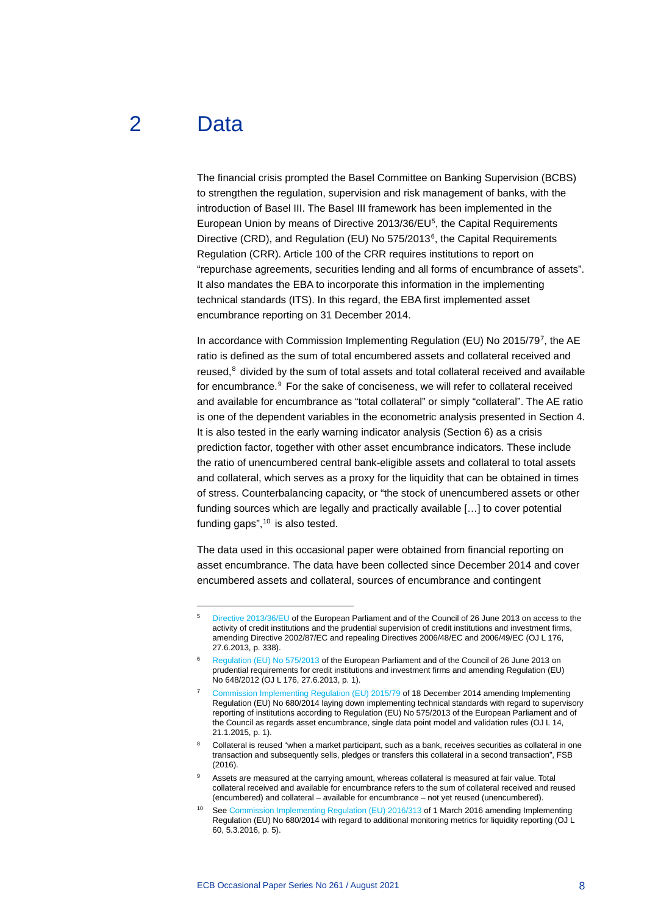## 2 Data

<span id="page-8-0"></span>The financial crisis prompted the Basel Committee on Banking Supervision (BCBS) to strengthen the regulation, supervision and risk management of banks, with the introduction of Basel III. The Basel III framework has been implemented in the European Union by means of Directive 2013/36/E[U5](#page-8-1) , the Capital Requirements Directive (CRD), and Regulation (EU) No 575/2013<sup>[6](#page-8-2)</sup>, the Capital Requirements Regulation (CRR). Article 100 of the CRR requires institutions to report on "repurchase agreements, securities lending and all forms of encumbrance of assets". It also mandates the EBA to incorporate this information in the implementing technical standards (ITS). In this regard, the EBA first implemented asset encumbrance reporting on 31 December 2014.

In accordance with Commission Implementing Regulation (EU) No 2015/[7](#page-8-3)9<sup>7</sup>, the AE ratio is defined as the sum of total encumbered assets and collateral received and reused, $8$  divided by the sum of total assets and total collateral received and available for encumbrance.<sup>[9](#page-8-5)</sup> For the sake of conciseness, we will refer to collateral received and available for encumbrance as "total collateral" or simply "collateral". The AE ratio is one of the dependent variables in the econometric analysis presented in Section 4. It is also tested in the early warning indicator analysis (Section 6) as a crisis prediction factor, together with other asset encumbrance indicators. These include the ratio of unencumbered central bank-eligible assets and collateral to total assets and collateral, which serves as a proxy for the liquidity that can be obtained in times of stress. Counterbalancing capacity, or "the stock of unencumbered assets or other funding sources which are legally and practically available […] to cover potential funding gaps", $10$  is also tested.

The data used in this occasional paper were obtained from financial reporting on asset encumbrance. The data have been collected since December 2014 and cover encumbered assets and collateral, sources of encumbrance and contingent

<span id="page-8-1"></span><sup>5</sup> [Directive 2013/36/EU](https://eur-lex.europa.eu/legal-content/EN/TXT/?uri=celex%3A32013L0036) of the European Parliament and of the Council of 26 June 2013 on access to the activity of credit institutions and the prudential supervision of credit institutions and investment firms, amending Directive 2002/87/EC and repealing Directives 2006/48/EC and 2006/49/EC (OJ L 176, 27.6.2013, p. 338).

<span id="page-8-2"></span><sup>6</sup> [Regulation \(EU\) No 575/2013](https://eur-lex.europa.eu/legal-content/EN/TXT/?uri=celex%3A32013R0575) of the European Parliament and of the Council of 26 June 2013 on prudential requirements for credit institutions and investment firms and amending Regulation (EU) No 648/2012 (OJ L 176, 27.6.2013, p. 1).

<span id="page-8-3"></span><sup>7</sup> [Commission Implementing Regulation \(EU\) 2015/79](https://eur-lex.europa.eu/legal-content/EN/TXT/?uri=CELEX:32015R0079) of 18 December 2014 amending Implementing Regulation (EU) No 680/2014 laying down implementing technical standards with regard to supervisory reporting of institutions according to Regulation (EU) No 575/2013 of the European Parliament and of the Council as regards asset encumbrance, single data point model and validation rules (OJ L 14, 21.1.2015, p. 1).

<span id="page-8-4"></span>Collateral is reused "when a market participant, such as a bank, receives securities as collateral in one transaction and subsequently sells, pledges or transfers this collateral in a second transaction", FSB  $(2016)$ 

<span id="page-8-5"></span>Assets are measured at the carrying amount, whereas collateral is measured at fair value. Total collateral received and available for encumbrance refers to the sum of collateral received and reused (encumbered) and collateral – available for encumbrance – not yet reused (unencumbered).

<span id="page-8-6"></span><sup>10</sup> Se[e Commission Implementing Regulation \(EU\) 2016/313](https://eur-lex.europa.eu/legal-content/EN/TXT/PDF/?uri=CELEX:32016R0313&from=PT) of 1 March 2016 amending Implementing Regulation (EU) No 680/2014 with regard to additional monitoring metrics for liquidity reporting (OJ L 60, 5.3.2016, p. 5).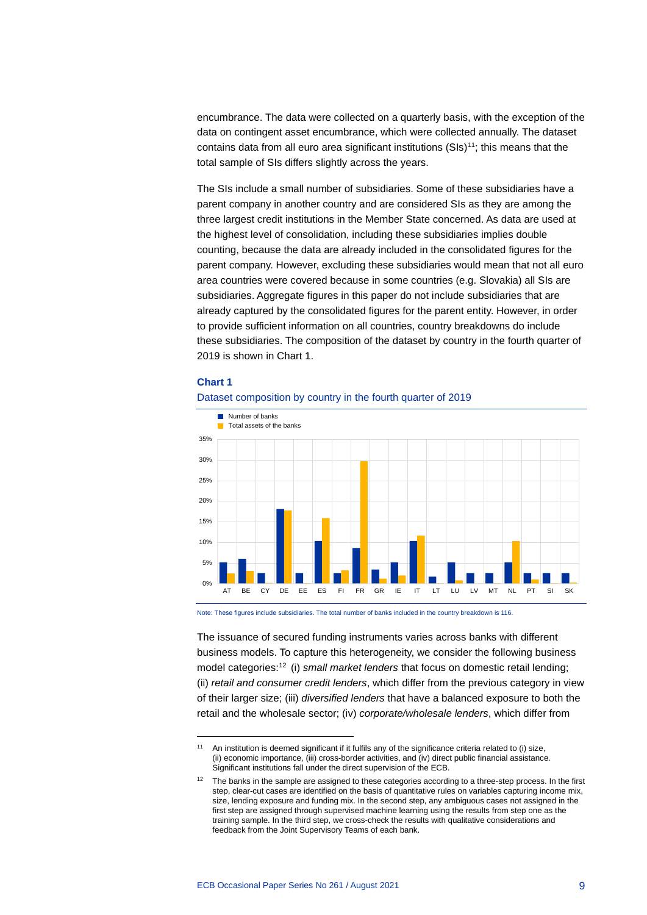encumbrance. The data were collected on a quarterly basis, with the exception of the data on contingent asset encumbrance, which were collected annually. The dataset contains data from all euro area significant institutions  $(SIs)^{11}$  $(SIs)^{11}$  $(SIs)^{11}$ ; this means that the total sample of SIs differs slightly across the years.

The SIs include a small number of subsidiaries. Some of these subsidiaries have a parent company in another country and are considered SIs as they are among the three largest credit institutions in the Member State concerned. As data are used at the highest level of consolidation, including these subsidiaries implies double counting, because the data are already included in the consolidated figures for the parent company. However, excluding these subsidiaries would mean that not all euro area countries were covered because in some countries (e.g. Slovakia) all SIs are subsidiaries. Aggregate figures in this paper do not include subsidiaries that are already captured by the consolidated figures for the parent entity. However, in order to provide sufficient information on all countries, country breakdowns do include these subsidiaries. The composition of the dataset by country in the fourth quarter of 2019 is shown in Chart 1.

#### **Chart 1**





Note: These figures include subsidiaries. The total number of banks included in the country breakdown is 116.

The issuance of secured funding instruments varies across banks with different business models. To capture this heterogeneity, we consider the following business model categories:[12](#page-9-1) (i) *small market lenders* that focus on domestic retail lending; (ii) *retail and consumer credit lenders*, which differ from the previous category in view of their larger size; (iii) *diversified lenders* that have a balanced exposure to both the retail and the wholesale sector; (iv) *corporate/wholesale lenders*, which differ from

<span id="page-9-0"></span><sup>11</sup> An institution is deemed significant if it fulfils any of the significance criteria related to (i) size, (ii) economic importance, (iii) cross-border activities, and (iv) direct public financial assistance. Significant institutions fall under the direct supervision of the ECB.

<span id="page-9-1"></span><sup>&</sup>lt;sup>12</sup> The banks in the sample are assigned to these categories according to a three-step process. In the first step, clear-cut cases are identified on the basis of quantitative rules on variables capturing income mix, size, lending exposure and funding mix. In the second step, any ambiguous cases not assigned in the first step are assigned through supervised machine learning using the results from step one as the training sample. In the third step, we cross-check the results with qualitative considerations and feedback from the Joint Supervisory Teams of each bank.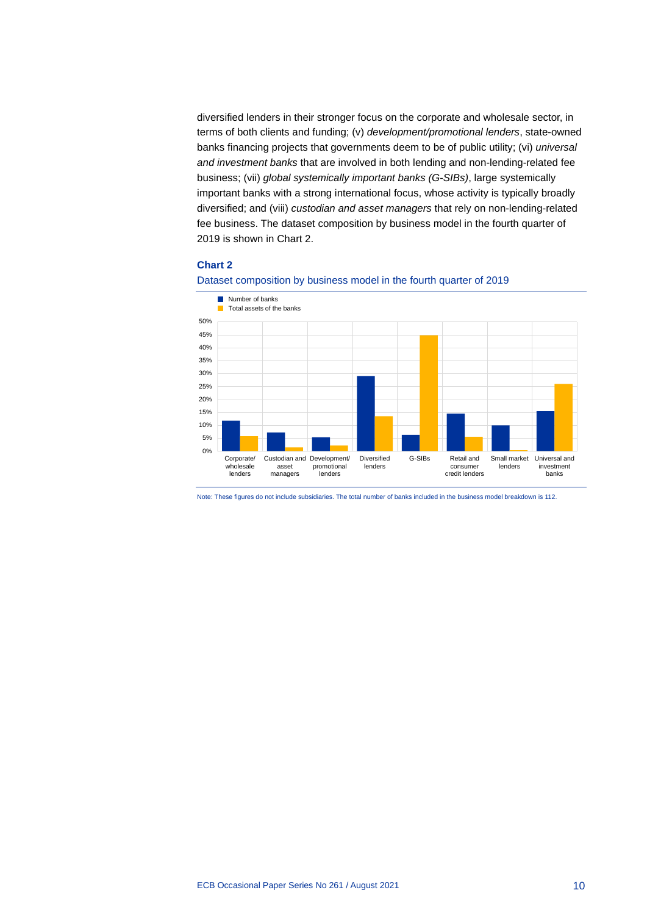diversified lenders in their stronger focus on the corporate and wholesale sector, in terms of both clients and funding; (v) *development/promotional lenders*, state-owned banks financing projects that governments deem to be of public utility; (vi) *universal and investment banks* that are involved in both lending and non-lending-related fee business; (vii) *global systemically important banks (G-SIBs)*, large systemically important banks with a strong international focus, whose activity is typically broadly diversified; and (viii) *custodian and asset managers* that rely on non-lending-related fee business. The dataset composition by business model in the fourth quarter of 2019 is shown in Chart 2.

#### **Chart 2**





Note: These figures do not include subsidiaries. The total number of banks included in the business model breakdown is 112.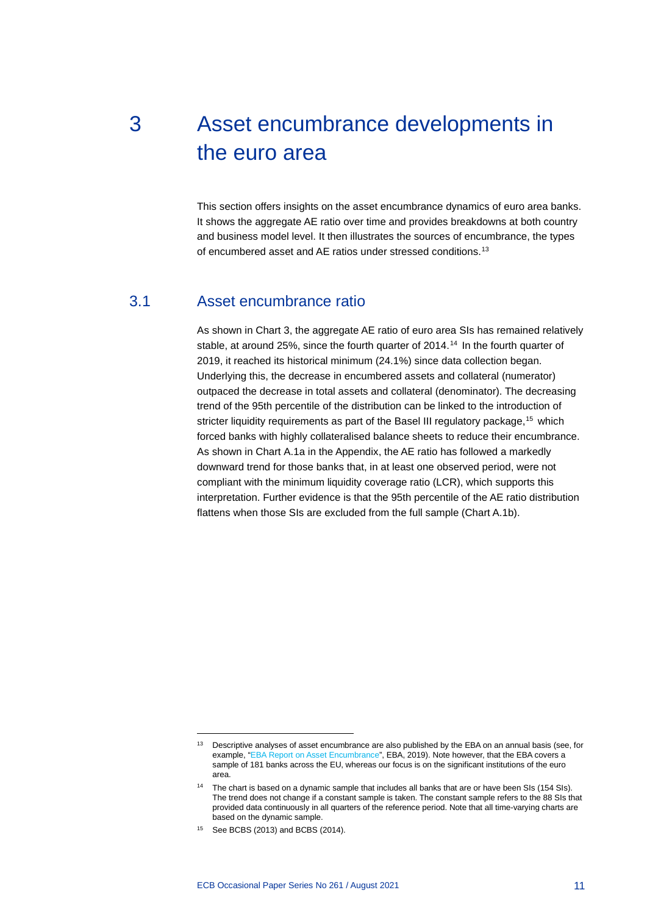# <span id="page-11-0"></span>3 Asset encumbrance developments in the euro area

This section offers insights on the asset encumbrance dynamics of euro area banks. It shows the aggregate AE ratio over time and provides breakdowns at both country and business model level. It then illustrates the sources of encumbrance, the types of encumbered asset and AE ratios under stressed conditions.<sup>[13](#page-11-2)</sup>

### 3.1 Asset encumbrance ratio

<span id="page-11-1"></span>As shown in Chart 3, the aggregate AE ratio of euro area SIs has remained relatively stable, at around 25%, since the fourth quarter of 20[14](#page-11-3).<sup>14</sup> In the fourth quarter of 2019, it reached its historical minimum (24.1%) since data collection began. Underlying this, the decrease in encumbered assets and collateral (numerator) outpaced the decrease in total assets and collateral (denominator). The decreasing trend of the 95th percentile of the distribution can be linked to the introduction of stricter liquidity requirements as part of the Basel III regulatory package,<sup>[15](#page-11-4)</sup> which forced banks with highly collateralised balance sheets to reduce their encumbrance. As shown in Chart A.1a in the Appendix, the AE ratio has followed a markedly downward trend for those banks that, in at least one observed period, were not compliant with the minimum liquidity coverage ratio (LCR), which supports this interpretation. Further evidence is that the 95th percentile of the AE ratio distribution flattens when those SIs are excluded from the full sample (Chart A.1b).

<span id="page-11-2"></span><sup>&</sup>lt;sup>13</sup> Descriptive analyses of asset encumbrance are also published by the EBA on an annual basis (see, for example, ["EBA Report on Asset Encumbrance"](https://www.eba.europa.eu/sites/default/documents/files/documents/10180/2908911/925a57dc-0299-46dc-a791-f683ffdf36a5/EBA%202019%20Report%20on%20Asset%20Encumbrance_for%20publication.pdf), EBA, 2019). Note however, that the EBA covers a sample of 181 banks across the EU, whereas our focus is on the significant institutions of the euro area.

<span id="page-11-3"></span>The chart is based on a dynamic sample that includes all banks that are or have been SIs (154 SIs). The trend does not change if a constant sample is taken. The constant sample refers to the 88 SIs that provided data continuously in all quarters of the reference period. Note that all time-varying charts are based on the dynamic sample.

<span id="page-11-4"></span><sup>15</sup> See BCBS (2013) and BCBS (2014).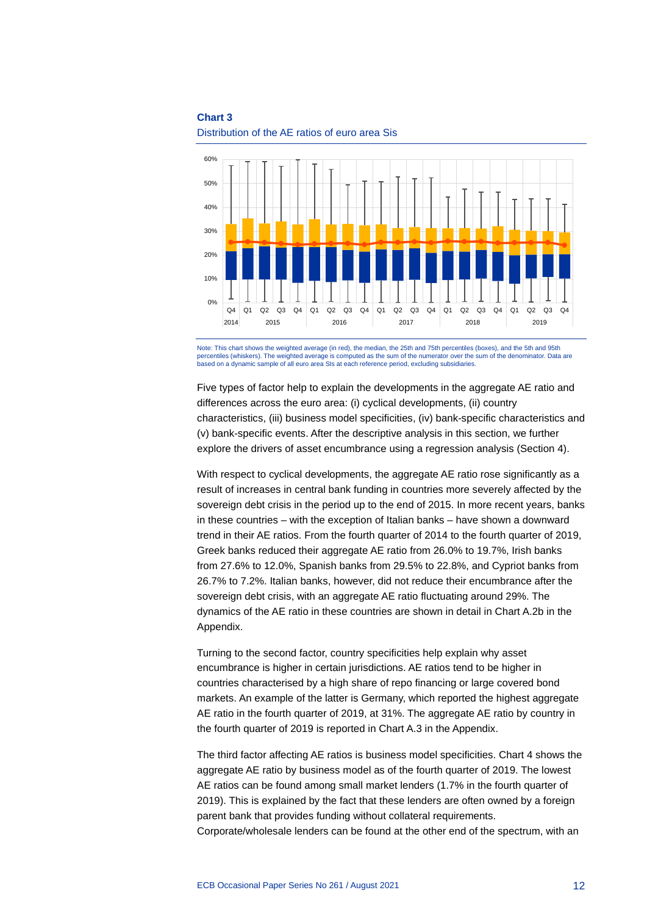

Distribution of the AE ratios of euro area Sis

Note: This chart shows the weighted average (in red), the median, the 25th and 75th percentiles (boxes), and the 5th and 95th percentiles (whiskers). The weighted average is computed as the sum of the numerator over the sum of the denominator. Data are<br>based on a dynamic sample of all euro area SIs at each reference period, excluding subsidiaries

Five types of factor help to explain the developments in the aggregate AE ratio and differences across the euro area: (i) cyclical developments, (ii) country characteristics, (iii) business model specificities, (iv) bank-specific characteristics and (v) bank-specific events. After the descriptive analysis in this section, we further explore the drivers of asset encumbrance using a regression analysis (Section 4).

With respect to cyclical developments, the aggregate AE ratio rose significantly as a result of increases in central bank funding in countries more severely affected by the sovereign debt crisis in the period up to the end of 2015. In more recent years, banks in these countries – with the exception of Italian banks – have shown a downward trend in their AE ratios. From the fourth quarter of 2014 to the fourth quarter of 2019, Greek banks reduced their aggregate AE ratio from 26.0% to 19.7%, Irish banks from 27.6% to 12.0%, Spanish banks from 29.5% to 22.8%, and Cypriot banks from 26.7% to 7.2%. Italian banks, however, did not reduce their encumbrance after the sovereign debt crisis, with an aggregate AE ratio fluctuating around 29%. The dynamics of the AE ratio in these countries are shown in detail in Chart A.2b in the Appendix.

Turning to the second factor, country specificities help explain why asset encumbrance is higher in certain jurisdictions. AE ratios tend to be higher in countries characterised by a high share of repo financing or large covered bond markets. An example of the latter is Germany, which reported the highest aggregate AE ratio in the fourth quarter of 2019, at 31%. The aggregate AE ratio by country in the fourth quarter of 2019 is reported in Chart A.3 in the Appendix.

The third factor affecting AE ratios is business model specificities. Chart 4 shows the aggregate AE ratio by business model as of the fourth quarter of 2019. The lowest AE ratios can be found among small market lenders (1.7% in the fourth quarter of 2019). This is explained by the fact that these lenders are often owned by a foreign parent bank that provides funding without collateral requirements. Corporate/wholesale lenders can be found at the other end of the spectrum, with an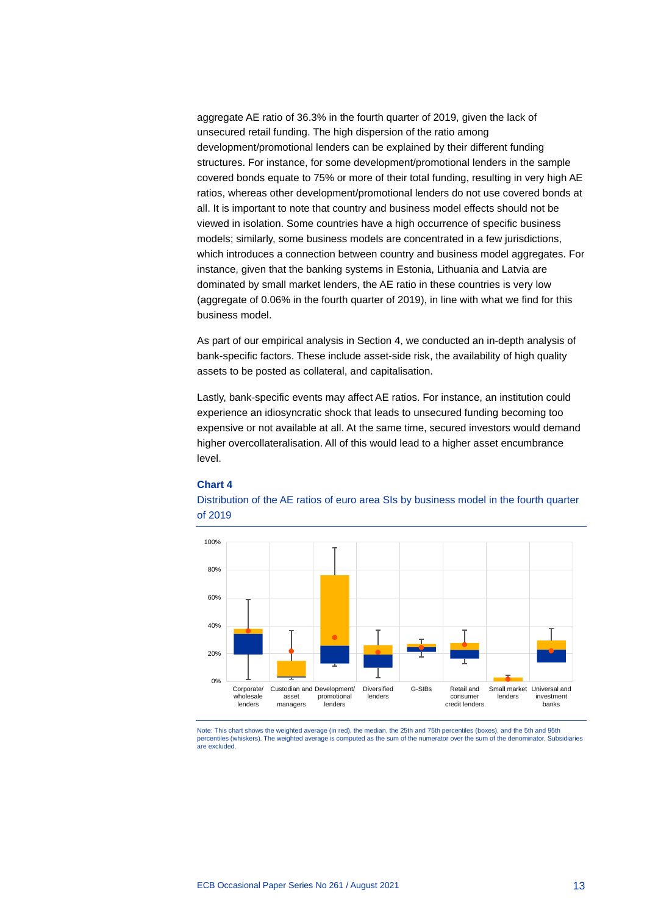aggregate AE ratio of 36.3% in the fourth quarter of 2019, given the lack of unsecured retail funding. The high dispersion of the ratio among development/promotional lenders can be explained by their different funding structures. For instance, for some development/promotional lenders in the sample covered bonds equate to 75% or more of their total funding, resulting in very high AE ratios, whereas other development/promotional lenders do not use covered bonds at all. It is important to note that country and business model effects should not be viewed in isolation. Some countries have a high occurrence of specific business models; similarly, some business models are concentrated in a few jurisdictions, which introduces a connection between country and business model aggregates. For instance, given that the banking systems in Estonia, Lithuania and Latvia are dominated by small market lenders, the AE ratio in these countries is very low (aggregate of 0.06% in the fourth quarter of 2019), in line with what we find for this business model.

As part of our empirical analysis in Section 4, we conducted an in-depth analysis of bank-specific factors. These include asset-side risk, the availability of high quality assets to be posted as collateral, and capitalisation.

Lastly, bank-specific events may affect AE ratios. For instance, an institution could experience an idiosyncratic shock that leads to unsecured funding becoming too expensive or not available at all. At the same time, secured investors would demand higher overcollateralisation. All of this would lead to a higher asset encumbrance level.

#### **Chart 4**





Note: This chart shows the weighted average (in red), the median, the 25th and 75th percentiles (boxes), and the 5th and 95th percentiles (whiskers). The weighted average is computed as the sum of the numerator over the sum of the denominator. Subsidiaries are excluded.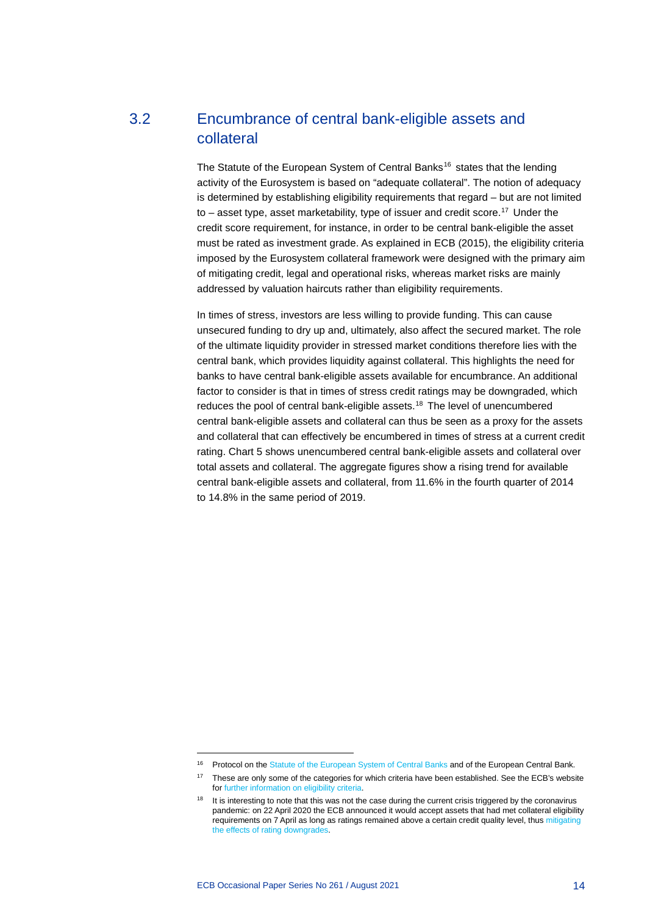## 3.2 Encumbrance of central bank-eligible assets and collateral

<span id="page-14-0"></span>The Statute of the European System of Central Banks<sup>[16](#page-14-1)</sup> states that the lending activity of the Eurosystem is based on "adequate collateral". The notion of adequacy is determined by establishing eligibility requirements that regard – but are not limited to – asset type, asset marketability, type of issuer and credit score.<sup>[17](#page-14-2)</sup> Under the credit score requirement, for instance, in order to be central bank-eligible the asset must be rated as investment grade. As explained in ECB (2015), the eligibility criteria imposed by the Eurosystem collateral framework were designed with the primary aim of mitigating credit, legal and operational risks, whereas market risks are mainly addressed by valuation haircuts rather than eligibility requirements.

In times of stress, investors are less willing to provide funding. This can cause unsecured funding to dry up and, ultimately, also affect the secured market. The role of the ultimate liquidity provider in stressed market conditions therefore lies with the central bank, which provides liquidity against collateral. This highlights the need for banks to have central bank-eligible assets available for encumbrance. An additional factor to consider is that in times of stress credit ratings may be downgraded, which reduces the pool of central bank-eligible assets.[18](#page-14-3) The level of unencumbered central bank-eligible assets and collateral can thus be seen as a proxy for the assets and collateral that can effectively be encumbered in times of stress at a current credit rating. Chart 5 shows unencumbered central bank-eligible assets and collateral over total assets and collateral. The aggregate figures show a rising trend for available central bank-eligible assets and collateral, from 11.6% in the fourth quarter of 2014 to 14.8% in the same period of 2019.

<sup>&</sup>lt;sup>16</sup> Protocol on th[e Statute of the European System of Central Banks](https://eur-lex.europa.eu/legal-content/EN/ALL/?uri=CELEX:12016M/PRO/04) and of the European Central Bank.

<span id="page-14-2"></span><span id="page-14-1"></span><sup>&</sup>lt;sup>17</sup> These are only some of the categories for which criteria have been established. See the ECB's website fo[r further information on eligibility criteria.](https://www.ecb.europa.eu/paym/coll/html/index.en.html)

<span id="page-14-3"></span><sup>&</sup>lt;sup>18</sup> It is interesting to note that this was not the case during the current crisis triggered by the coronavirus pandemic: on 22 April 2020 the ECB announced it would accept assets that had met collateral eligibility requirements on 7 April as long as ratings remained above a certain credit quality level, thu[s mitigating](https://www.ecb.europa.eu/press/pr/date/2020/html/ecb.pr200422_1%7E95e0f62a2b.en.html)  [the effects of rating downgrades.](https://www.ecb.europa.eu/press/pr/date/2020/html/ecb.pr200422_1%7E95e0f62a2b.en.html)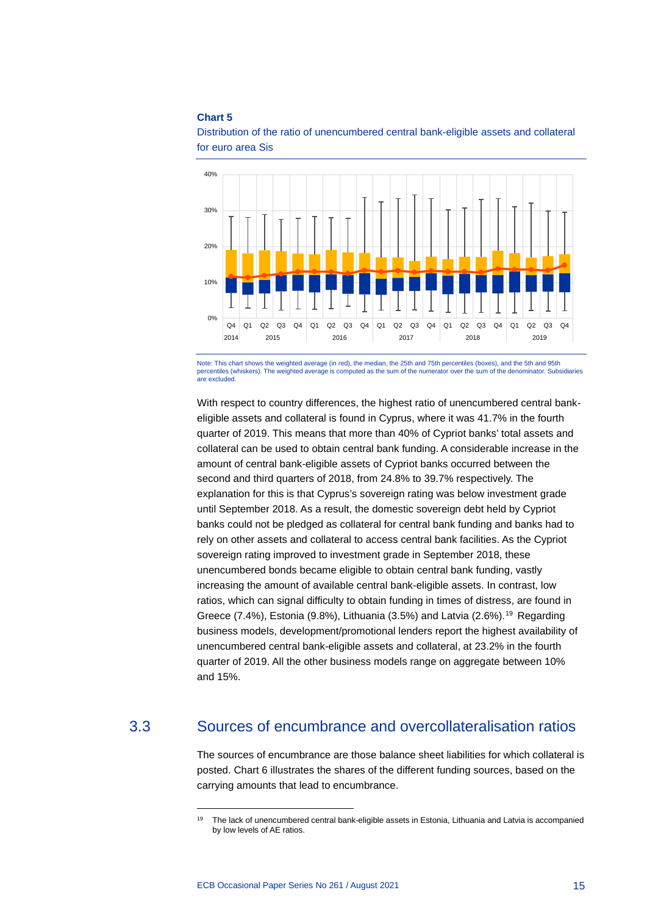

Distribution of the ratio of unencumbered central bank-eligible assets and collateral for euro area Sis

Note: This chart shows the weighted average (in red), the median, the 25th and 75th percentiles (boxes), and the 5th and 95th percentiles (whiskers). The weighted average is computed as the sum of the numerator over the su percentiles (whiskers). The weighted average is computed as the sum of the numera are excluded.

With respect to country differences, the highest ratio of unencumbered central bankeligible assets and collateral is found in Cyprus, where it was 41.7% in the fourth quarter of 2019. This means that more than 40% of Cypriot banks' total assets and collateral can be used to obtain central bank funding. A considerable increase in the amount of central bank-eligible assets of Cypriot banks occurred between the second and third quarters of 2018, from 24.8% to 39.7% respectively. The explanation for this is that Cyprus's sovereign rating was below investment grade until September 2018. As a result, the domestic sovereign debt held by Cypriot banks could not be pledged as collateral for central bank funding and banks had to rely on other assets and collateral to access central bank facilities. As the Cypriot sovereign rating improved to investment grade in September 2018, these unencumbered bonds became eligible to obtain central bank funding, vastly increasing the amount of available central bank-eligible assets. In contrast, low ratios, which can signal difficulty to obtain funding in times of distress, are found in Greece  $(7.4\%)$ , Estonia  $(9.8\%)$ , Lithuania  $(3.5\%)$  and Latvia  $(2.6\%)$ .<sup>[19](#page-15-1)</sup> Regarding business models, development/promotional lenders report the highest availability of unencumbered central bank-eligible assets and collateral, at 23.2% in the fourth quarter of 2019. All the other business models range on aggregate between 10% and 15%.

### <span id="page-15-1"></span>3.3 Sources of encumbrance and overcollateralisation ratios

<span id="page-15-0"></span>The sources of encumbrance are those balance sheet liabilities for which collateral is posted. Chart 6 illustrates the shares of the different funding sources, based on the carrying amounts that lead to encumbrance.

<sup>&</sup>lt;sup>19</sup> The lack of unencumbered central bank-eligible assets in Estonia, Lithuania and Latvia is accompanied by low levels of AE ratios.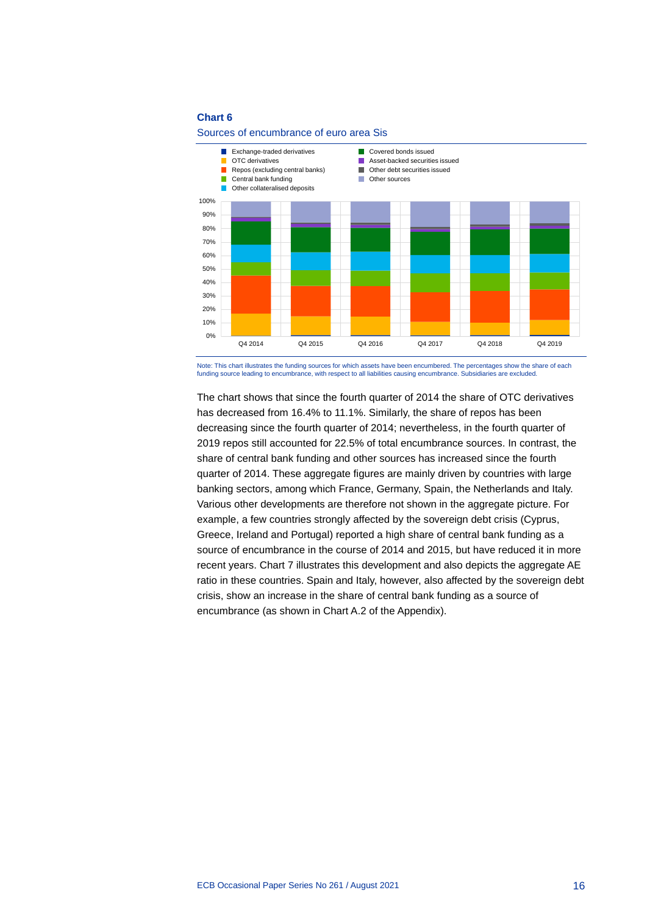



Note: This chart illustrates the funding sources for which assets have been encumbered. The percentages show the share of each funding source leading to encumbrance, with respect to all liabilities causing encumbrance. Subsidiaries are excluded.

The chart shows that since the fourth quarter of 2014 the share of OTC derivatives has decreased from 16.4% to 11.1%. Similarly, the share of repos has been decreasing since the fourth quarter of 2014; nevertheless, in the fourth quarter of 2019 repos still accounted for 22.5% of total encumbrance sources. In contrast, the share of central bank funding and other sources has increased since the fourth quarter of 2014. These aggregate figures are mainly driven by countries with large banking sectors, among which France, Germany, Spain, the Netherlands and Italy. Various other developments are therefore not shown in the aggregate picture. For example, a few countries strongly affected by the sovereign debt crisis (Cyprus, Greece, Ireland and Portugal) reported a high share of central bank funding as a source of encumbrance in the course of 2014 and 2015, but have reduced it in more recent years. Chart 7 illustrates this development and also depicts the aggregate AE ratio in these countries. Spain and Italy, however, also affected by the sovereign debt crisis, show an increase in the share of central bank funding as a source of encumbrance (as shown in Chart A.2 of the Appendix).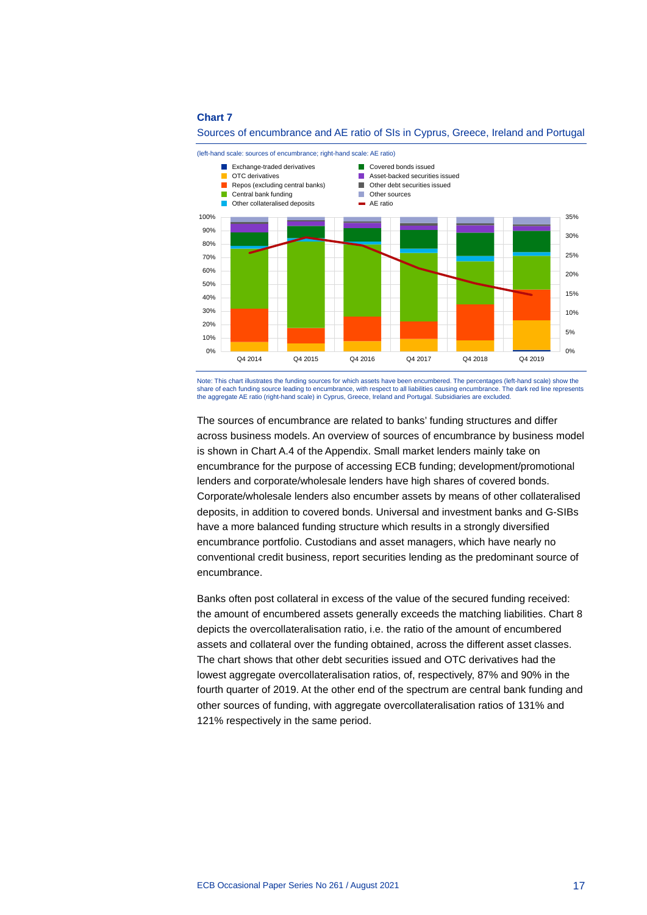

Sources of encumbrance and AE ratio of SIs in Cyprus, Greece, Ireland and Portugal

Note: This chart illustrates the funding sources for which assets have been encumbered. The percentages (left-hand scale) show the share of each funding source leading to encumbrance, with respect to all liabilities causing encumbrance. The dark red line represents the aggregate AE ratio (right-hand scale) in Cyprus, Greece, Ireland and Portugal. Subsidiaries are excluded.

The sources of encumbrance are related to banks' funding structures and differ across business models. An overview of sources of encumbrance by business model is shown in Chart A.4 of the Appendix. Small market lenders mainly take on encumbrance for the purpose of accessing ECB funding; development/promotional lenders and corporate/wholesale lenders have high shares of covered bonds. Corporate/wholesale lenders also encumber assets by means of other collateralised deposits, in addition to covered bonds. Universal and investment banks and G-SIBs have a more balanced funding structure which results in a strongly diversified encumbrance portfolio. Custodians and asset managers, which have nearly no conventional credit business, report securities lending as the predominant source of encumbrance.

Banks often post collateral in excess of the value of the secured funding received: the amount of encumbered assets generally exceeds the matching liabilities. Chart 8 depicts the overcollateralisation ratio, i.e. the ratio of the amount of encumbered assets and collateral over the funding obtained, across the different asset classes. The chart shows that other debt securities issued and OTC derivatives had the lowest aggregate overcollateralisation ratios, of, respectively, 87% and 90% in the fourth quarter of 2019. At the other end of the spectrum are central bank funding and other sources of funding, with aggregate overcollateralisation ratios of 131% and 121% respectively in the same period.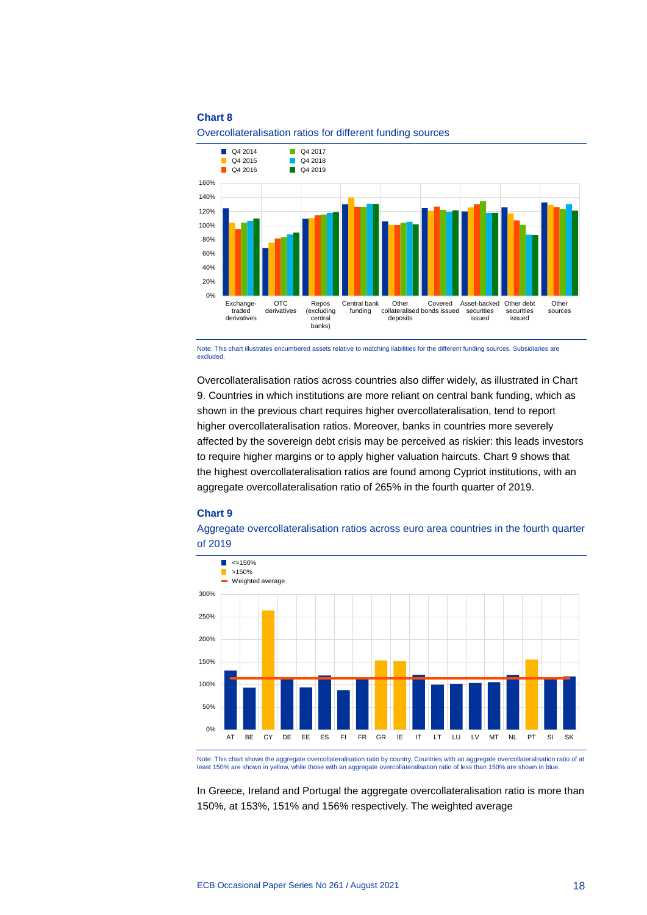

Overcollateralisation ratios for different funding sources

Note: This chart illustrates encumbered assets relative to matching liabilities for the different funding sources. Subsidiaries are excluded

Overcollateralisation ratios across countries also differ widely, as illustrated in Chart 9. Countries in which institutions are more reliant on central bank funding, which as shown in the previous chart requires higher overcollateralisation, tend to report higher overcollateralisation ratios. Moreover, banks in countries more severely affected by the sovereign debt crisis may be perceived as riskier: this leads investors to require higher margins or to apply higher valuation haircuts. Chart 9 shows that the highest overcollateralisation ratios are found among Cypriot institutions, with an aggregate overcollateralisation ratio of 265% in the fourth quarter of 2019.

#### **Chart 9**

Aggregate overcollateralisation ratios across euro area countries in the fourth quarter of 2019



Note: This chart shows the aggregate overcollateralisation ratio by country. Countries with an aggregate overcollateralisation ratio of at least 150% are shown in yellow, while those with an aggregate overcollateralisation ratio of less than 150% are shown in blue.

In Greece, Ireland and Portugal the aggregate overcollateralisation ratio is more than 150%, at 153%, 151% and 156% respectively. The weighted average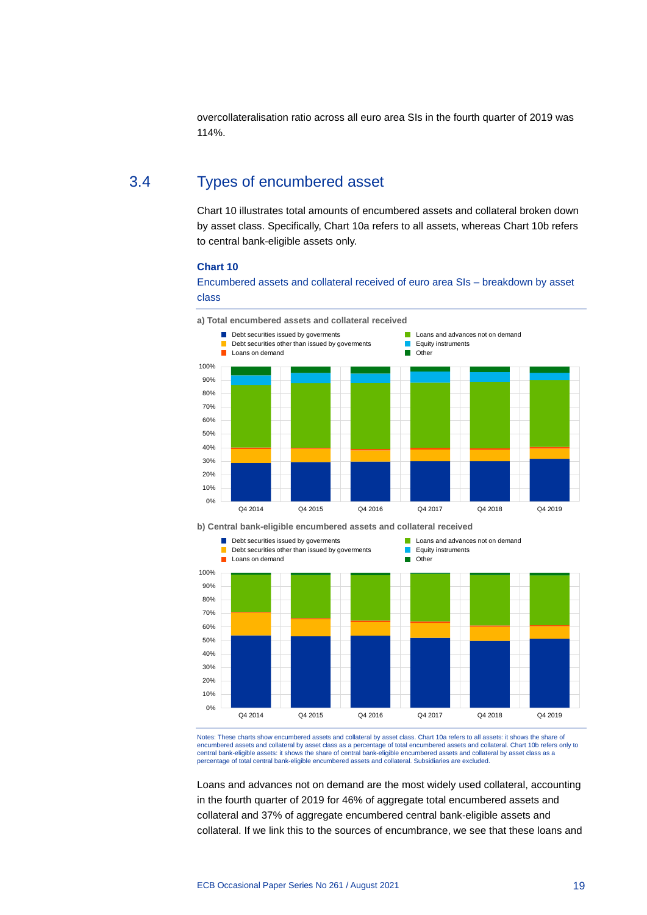<span id="page-19-0"></span>overcollateralisation ratio across all euro area SIs in the fourth quarter of 2019 was 114%.

### 3.4 Types of encumbered asset

Chart 10 illustrates total amounts of encumbered assets and collateral broken down by asset class. Specifically, Chart 10a refers to all assets, whereas Chart 10b refers to central bank-eligible assets only.

#### **Chart 10**

Encumbered assets and collateral received of euro area SIs – breakdown by asset class



**b) Central bank-eligible encumbered assets and collateral received**



Notes: These charts show encumbered assets and collateral by asset class. Chart 10a refers to all assets: it shows the share of encumbered assets and collateral by asset class as a percentage of total encumbered assets and collateral. Chart 10b refers only to<br>central bank-eligible assets: it shows the share of central bank-eligible encumbered asset percentage of total central bank-eligible encumbered assets and collateral. Subsidiaries are excluded.

Loans and advances not on demand are the most widely used collateral, accounting in the fourth quarter of 2019 for 46% of aggregate total encumbered assets and collateral and 37% of aggregate encumbered central bank-eligible assets and collateral. If we link this to the sources of encumbrance, we see that these loans and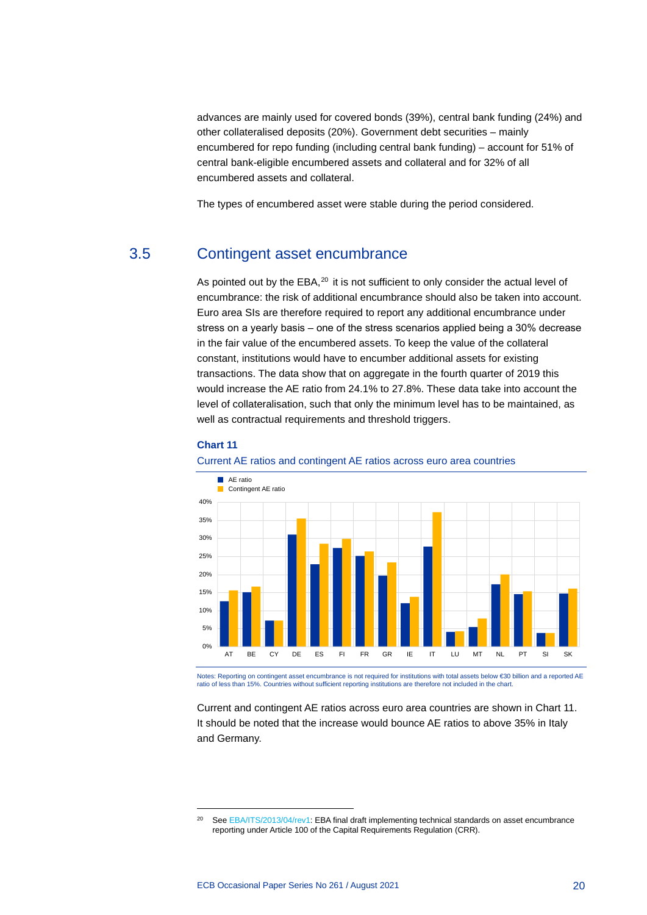advances are mainly used for covered bonds (39%), central bank funding (24%) and other collateralised deposits (20%). Government debt securities – mainly encumbered for repo funding (including central bank funding) – account for 51% of central bank-eligible encumbered assets and collateral and for 32% of all encumbered assets and collateral.

<span id="page-20-0"></span>The types of encumbered asset were stable during the period considered.

### 3.5 Contingent asset encumbrance

As pointed out by the  $EBA$ ,<sup>[20](#page-20-1)</sup> it is not sufficient to only consider the actual level of encumbrance: the risk of additional encumbrance should also be taken into account. Euro area SIs are therefore required to report any additional encumbrance under stress on a yearly basis  $-$  one of the stress scenarios applied being a 30% decrease in the fair value of the encumbered assets. To keep the value of the collateral constant, institutions would have to encumber additional assets for existing transactions. The data show that on aggregate in the fourth quarter of 2019 this would increase the AE ratio from 24.1% to 27.8%. These data take into account the level of collateralisation, such that only the minimum level has to be maintained, as well as contractual requirements and threshold triggers.

#### **Chart 11**





Notes: Reporting on contingent asset encumbrance is not required for institutions with total assets below €30 billion and a reported AE<br>ratio of less than 15%. Countries without sufficient reporting institutions are there

Current and contingent AE ratios across euro area countries are shown in Chart 11. It should be noted that the increase would bounce AE ratios to above 35% in Italy and Germany.

<span id="page-20-1"></span><sup>&</sup>lt;sup>20</sup> Se[e EBA/ITS/2013/04/rev1:](https://www.eba.europa.eu/sites/default/documents/files/documents/10180/466544/0239d2fe-ff97-4cb4-af04-60eef4808e6f/EBA%20ITS%202013%2004%20Final%20draft%20ITS%20on%20Asset%20Encumbrance.pdf) EBA final draft implementing technical standards on asset encumbrance reporting under Article 100 of the Capital Requirements Regulation (CRR).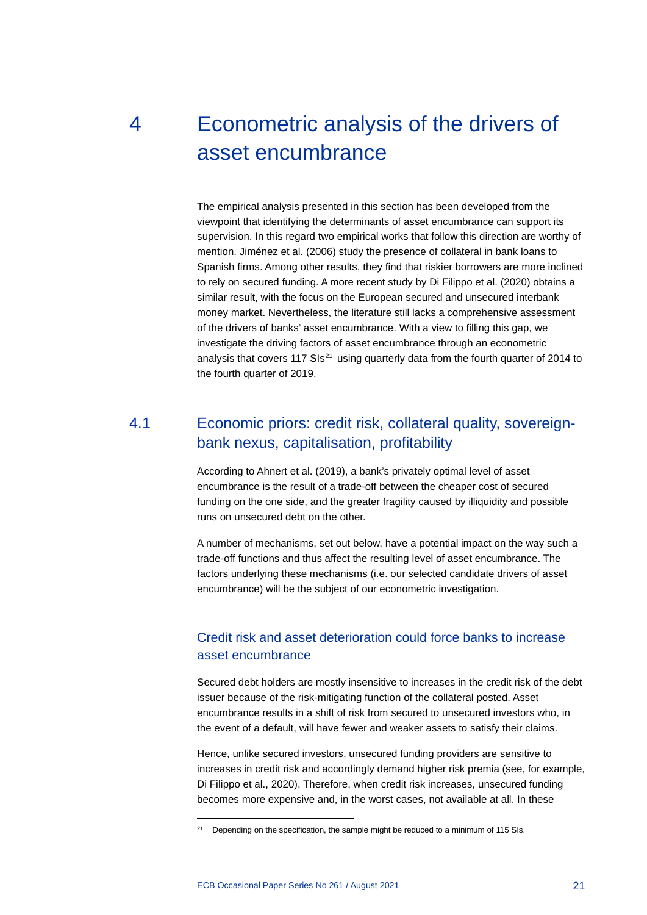## <span id="page-21-0"></span>4 Econometric analysis of the drivers of asset encumbrance

The empirical analysis presented in this section has been developed from the viewpoint that identifying the determinants of asset encumbrance can support its supervision. In this regard two empirical works that follow this direction are worthy of mention. Jiménez et al. (2006) study the presence of collateral in bank loans to Spanish firms. Among other results, they find that riskier borrowers are more inclined to rely on secured funding. A more recent study by Di Filippo et al. (2020) obtains a similar result, with the focus on the European secured and unsecured interbank money market. Nevertheless, the literature still lacks a comprehensive assessment of the drivers of banks' asset encumbrance. With a view to filling this gap, we investigate the driving factors of asset encumbrance through an econometric analysis that covers 117 SIs $^{21}$  $^{21}$  $^{21}$  using quarterly data from the fourth quarter of 2014 to the fourth quarter of 2019.

### <span id="page-21-1"></span>4.1 Economic priors: credit risk, collateral quality, sovereignbank nexus, capitalisation, profitability

According to Ahnert et al. (2019), a bank's privately optimal level of asset encumbrance is the result of a trade-off between the cheaper cost of secured funding on the one side, and the greater fragility caused by illiquidity and possible runs on unsecured debt on the other.

A number of mechanisms, set out below, have a potential impact on the way such a trade-off functions and thus affect the resulting level of asset encumbrance. The factors underlying these mechanisms (i.e. our selected candidate drivers of asset encumbrance) will be the subject of our econometric investigation.

### Credit risk and asset deterioration could force banks to increase asset encumbrance

Secured debt holders are mostly insensitive to increases in the credit risk of the debt issuer because of the risk-mitigating function of the collateral posted. Asset encumbrance results in a shift of risk from secured to unsecured investors who, in the event of a default, will have fewer and weaker assets to satisfy their claims.

Hence, unlike secured investors, unsecured funding providers are sensitive to increases in credit risk and accordingly demand higher risk premia (see, for example, Di Filippo et al., 2020). Therefore, when credit risk increases, unsecured funding becomes more expensive and, in the worst cases, not available at all. In these

<span id="page-21-2"></span><sup>&</sup>lt;sup>21</sup> Depending on the specification, the sample might be reduced to a minimum of 115 SIs.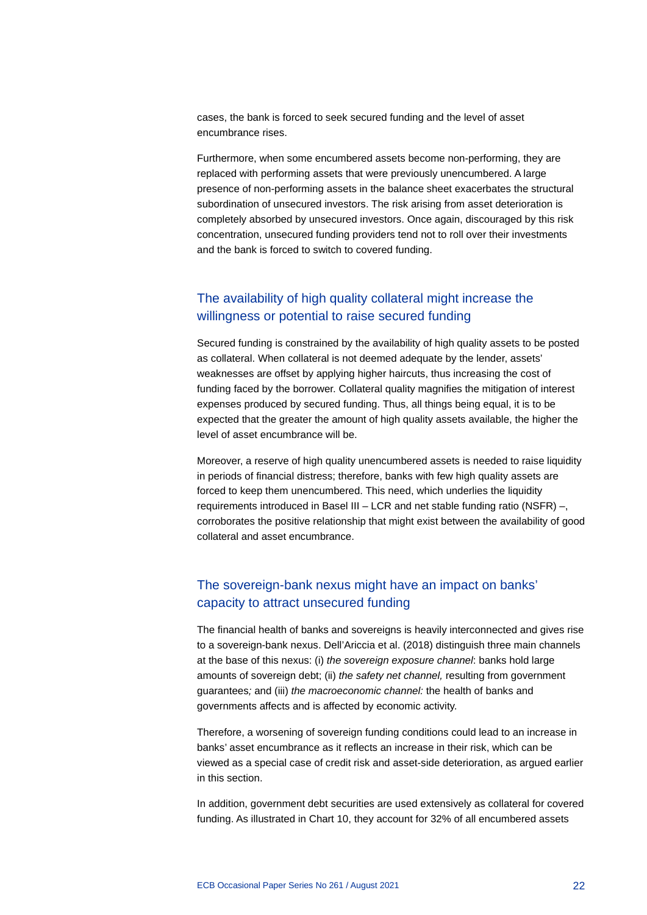cases, the bank is forced to seek secured funding and the level of asset encumbrance rises.

Furthermore, when some encumbered assets become non-performing, they are replaced with performing assets that were previously unencumbered. A large presence of non-performing assets in the balance sheet exacerbates the structural subordination of unsecured investors. The risk arising from asset deterioration is completely absorbed by unsecured investors. Once again, discouraged by this risk concentration, unsecured funding providers tend not to roll over their investments and the bank is forced to switch to covered funding.

### The availability of high quality collateral might increase the willingness or potential to raise secured funding

Secured funding is constrained by the availability of high quality assets to be posted as collateral. When collateral is not deemed adequate by the lender, assets' weaknesses are offset by applying higher haircuts, thus increasing the cost of funding faced by the borrower. Collateral quality magnifies the mitigation of interest expenses produced by secured funding. Thus, all things being equal, it is to be expected that the greater the amount of high quality assets available, the higher the level of asset encumbrance will be.

Moreover, a reserve of high quality unencumbered assets is needed to raise liquidity in periods of financial distress; therefore, banks with few high quality assets are forced to keep them unencumbered. This need, which underlies the liquidity requirements introduced in Basel III – LCR and net stable funding ratio (NSFR) –, corroborates the positive relationship that might exist between the availability of good collateral and asset encumbrance.

### The sovereign-bank nexus might have an impact on banks' capacity to attract unsecured funding

The financial health of banks and sovereigns is heavily interconnected and gives rise to a sovereign-bank nexus. Dell'Ariccia et al. (2018) distinguish three main channels at the base of this nexus: (i) *the sovereign exposure channel*: banks hold large amounts of sovereign debt; (ii) *the safety net channel,* resulting from government guarantees*;* and (iii) *the macroeconomic channel:* the health of banks and governments affects and is affected by economic activity.

Therefore, a worsening of sovereign funding conditions could lead to an increase in banks' asset encumbrance as it reflects an increase in their risk, which can be viewed as a special case of credit risk and asset-side deterioration, as argued earlier in this section.

In addition, government debt securities are used extensively as collateral for covered funding. As illustrated in Chart 10, they account for 32% of all encumbered assets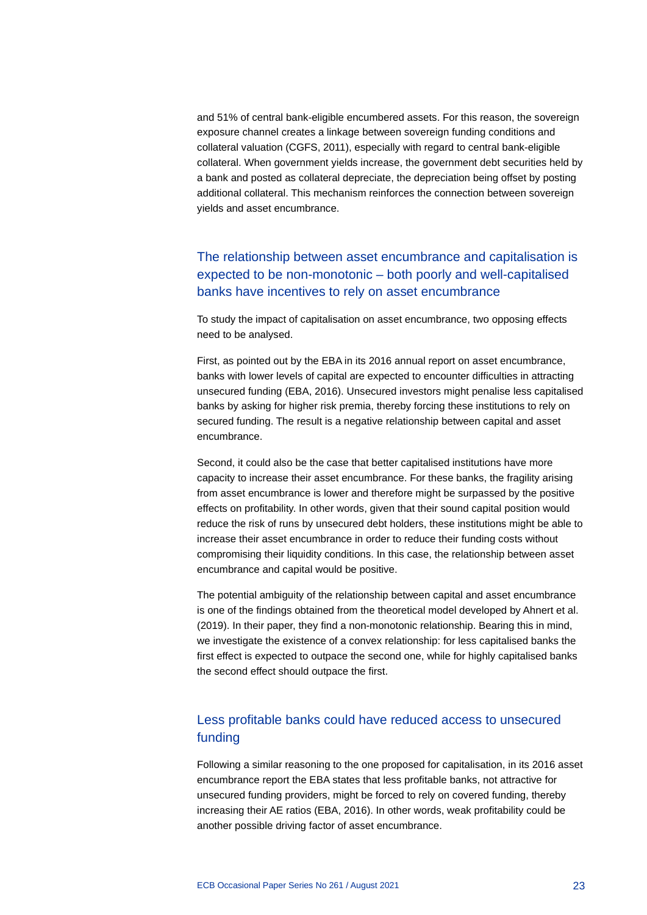and 51% of central bank-eligible encumbered assets. For this reason, the sovereign exposure channel creates a linkage between sovereign funding conditions and collateral valuation (CGFS, 2011), especially with regard to central bank-eligible collateral. When government yields increase, the government debt securities held by a bank and posted as collateral depreciate, the depreciation being offset by posting additional collateral. This mechanism reinforces the connection between sovereign yields and asset encumbrance.

### The relationship between asset encumbrance and capitalisation is expected to be non-monotonic – both poorly and well-capitalised banks have incentives to rely on asset encumbrance

To study the impact of capitalisation on asset encumbrance, two opposing effects need to be analysed.

First, as pointed out by the EBA in its 2016 annual report on asset encumbrance, banks with lower levels of capital are expected to encounter difficulties in attracting unsecured funding (EBA, 2016). Unsecured investors might penalise less capitalised banks by asking for higher risk premia, thereby forcing these institutions to rely on secured funding. The result is a negative relationship between capital and asset encumbrance.

Second, it could also be the case that better capitalised institutions have more capacity to increase their asset encumbrance. For these banks, the fragility arising from asset encumbrance is lower and therefore might be surpassed by the positive effects on profitability. In other words, given that their sound capital position would reduce the risk of runs by unsecured debt holders, these institutions might be able to increase their asset encumbrance in order to reduce their funding costs without compromising their liquidity conditions. In this case, the relationship between asset encumbrance and capital would be positive.

The potential ambiguity of the relationship between capital and asset encumbrance is one of the findings obtained from the theoretical model developed by Ahnert et al. (2019). In their paper, they find a non-monotonic relationship. Bearing this in mind, we investigate the existence of a convex relationship: for less capitalised banks the first effect is expected to outpace the second one, while for highly capitalised banks the second effect should outpace the first.

### Less profitable banks could have reduced access to unsecured funding

Following a similar reasoning to the one proposed for capitalisation, in its 2016 asset encumbrance report the EBA states that less profitable banks, not attractive for unsecured funding providers, might be forced to rely on covered funding, thereby increasing their AE ratios (EBA, 2016). In other words, weak profitability could be another possible driving factor of asset encumbrance.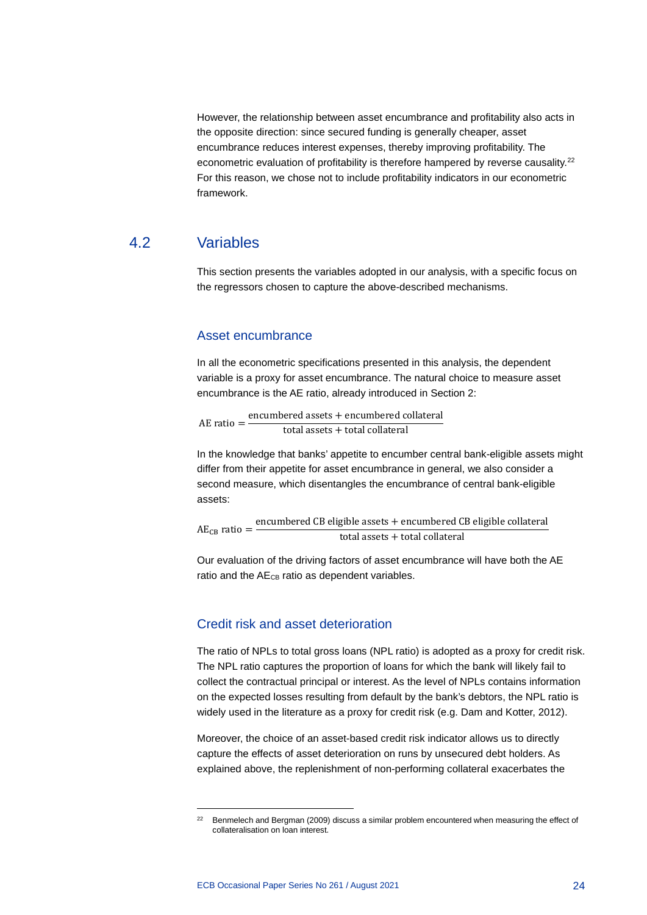However, the relationship between asset encumbrance and profitability also acts in the opposite direction: since secured funding is generally cheaper, asset encumbrance reduces interest expenses, thereby improving profitability. The econometric evaluation of profitability is therefore hampered by reverse causality.<sup>22</sup> For this reason, we chose not to include profitability indicators in our econometric framework.

### 4.2 Variables

<span id="page-24-0"></span>This section presents the variables adopted in our analysis, with a specific focus on the regressors chosen to capture the above-described mechanisms.

#### Asset encumbrance

In all the econometric specifications presented in this analysis, the dependent variable is a proxy for asset encumbrance. The natural choice to measure asset encumbrance is the AE ratio, already introduced in Section 2:

AE ratio  $=$  encumbered assets  $+$  encumbered collateral total assets + total collateral

In the knowledge that banks' appetite to encumber central bank-eligible assets might differ from their appetite for asset encumbrance in general, we also consider a second measure, which disentangles the encumbrance of central bank-eligible assets:

 $AE_{CB}$  ratio =  $\frac{encumbered CB \text{ eligible assets} + encumbered CB \text{ eligible collateral}}{c}$ total assets + total collateral

Our evaluation of the driving factors of asset encumbrance will have both the AE ratio and the AE<sub>CB</sub> ratio as dependent variables.

### Credit risk and asset deterioration

The ratio of NPLs to total gross loans (NPL ratio) is adopted as a proxy for credit risk. The NPL ratio captures the proportion of loans for which the bank will likely fail to collect the contractual principal or interest. As the level of NPLs contains information on the expected losses resulting from default by the bank's debtors, the NPL ratio is widely used in the literature as a proxy for credit risk (e.g. Dam and Kotter, 2012).

Moreover, the choice of an asset-based credit risk indicator allows us to directly capture the effects of asset deterioration on runs by unsecured debt holders. As explained above, the replenishment of non-performing collateral exacerbates the

<span id="page-24-1"></span><sup>&</sup>lt;sup>22</sup> Benmelech and Bergman (2009) discuss a similar problem encountered when measuring the effect of collateralisation on loan interest.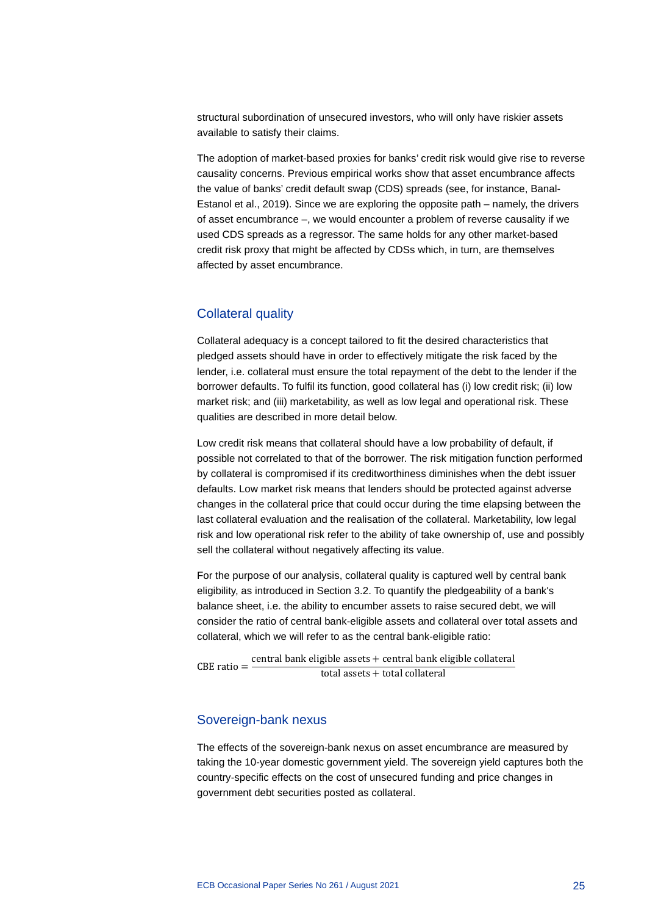structural subordination of unsecured investors, who will only have riskier assets available to satisfy their claims.

The adoption of market-based proxies for banks' credit risk would give rise to reverse causality concerns. Previous empirical works show that asset encumbrance affects the value of banks' credit default swap (CDS) spreads (see, for instance, Banal-Estanol et al., 2019). Since we are exploring the opposite path – namely, the drivers of asset encumbrance –, we would encounter a problem of reverse causality if we used CDS spreads as a regressor. The same holds for any other market-based credit risk proxy that might be affected by CDSs which, in turn, are themselves affected by asset encumbrance.

### Collateral quality

Collateral adequacy is a concept tailored to fit the desired characteristics that pledged assets should have in order to effectively mitigate the risk faced by the lender, i.e. collateral must ensure the total repayment of the debt to the lender if the borrower defaults. To fulfil its function, good collateral has (i) low credit risk; (ii) low market risk; and (iii) marketability, as well as low legal and operational risk. These qualities are described in more detail below.

Low credit risk means that collateral should have a low probability of default, if possible not correlated to that of the borrower. The risk mitigation function performed by collateral is compromised if its creditworthiness diminishes when the debt issuer defaults. Low market risk means that lenders should be protected against adverse changes in the collateral price that could occur during the time elapsing between the last collateral evaluation and the realisation of the collateral. Marketability, low legal risk and low operational risk refer to the ability of take ownership of, use and possibly sell the collateral without negatively affecting its value.

For the purpose of our analysis, collateral quality is captured well by central bank eligibility, as introduced in Section 3.2. To quantify the pledgeability of a bank's balance sheet, i.e. the ability to encumber assets to raise secured debt, we will consider the ratio of central bank-eligible assets and collateral over total assets and collateral, which we will refer to as the central bank-eligible ratio:

CBE ratio  $=$  central bank eligible assets  $+$  central bank eligible collateral total assets + total collateral

### Sovereign-bank nexus

The effects of the sovereign-bank nexus on asset encumbrance are measured by taking the 10-year domestic government yield. The sovereign yield captures both the country-specific effects on the cost of unsecured funding and price changes in government debt securities posted as collateral.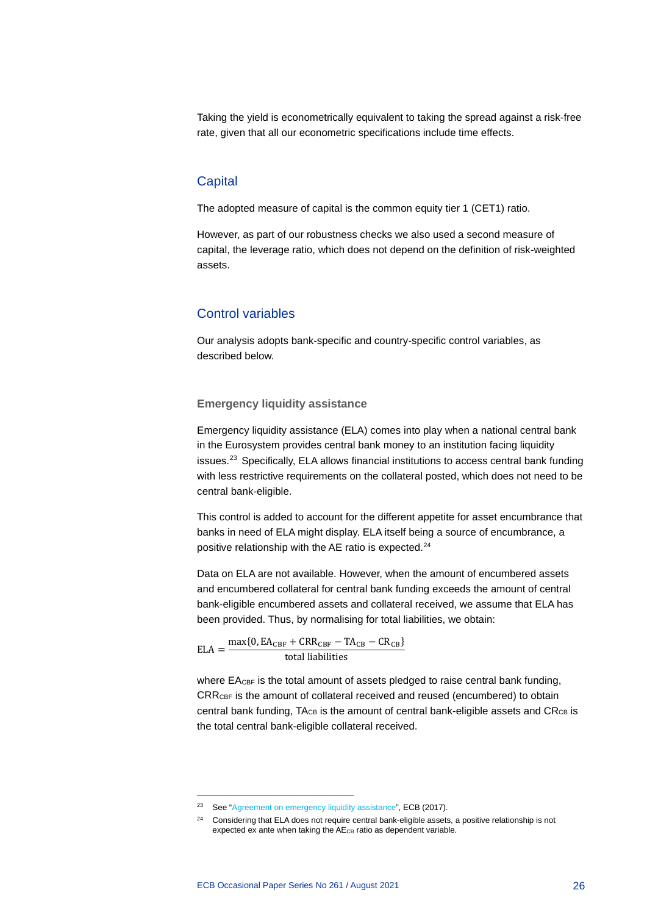Taking the yield is econometrically equivalent to taking the spread against a risk-free rate, given that all our econometric specifications include time effects.

#### **Capital**

The adopted measure of capital is the common equity tier 1 (CET1) ratio.

However, as part of our robustness checks we also used a second measure of capital, the leverage ratio, which does not depend on the definition of risk-weighted assets.

### Control variables

Our analysis adopts bank-specific and country-specific control variables, as described below.

#### **Emergency liquidity assistance**

Emergency liquidity assistance (ELA) comes into play when a national central bank in the Eurosystem provides central bank money to an institution facing liquidity issues.<sup>[23](#page-26-0)</sup> Specifically, ELA allows financial institutions to access central bank funding with less restrictive requirements on the collateral posted, which does not need to be central bank-eligible.

This control is added to account for the different appetite for asset encumbrance that banks in need of ELA might display. ELA itself being a source of encumbrance, a positive relationship with the AE ratio is expected.<sup>[24](#page-26-1)</sup>

Data on ELA are not available. However, when the amount of encumbered assets and encumbered collateral for central bank funding exceeds the amount of central bank-eligible encumbered assets and collateral received, we assume that ELA has been provided. Thus, by normalising for total liabilities, we obtain:

 $\text{ELA} = \frac{\max\{0, \text{EA}_{\text{CBF}} + \text{CRR}_{\text{CBF}} - \text{TA}_{\text{CB}} - \text{CR}_{\text{CB}}\}}{A}$ total liabilities

where EA<sub>CBF</sub> is the total amount of assets pledged to raise central bank funding, CRRCBF is the amount of collateral received and reused (encumbered) to obtain central bank funding,  $T_{\text{C}_\text{B}}$  is the amount of central bank-eligible assets and  $C_{\text{C}_\text{B}}$  is the total central bank-eligible collateral received.

<span id="page-26-1"></span><span id="page-26-0"></span><sup>&</sup>lt;sup>23</sup> See ["Agreement on emergency liquidity assistance",](https://www.ecb.europa.eu/pub/pdf/other/Agreement_on_emergency_liquidity_assistance_20170517.en.pdf) ECB (2017).

<sup>&</sup>lt;sup>24</sup> Considering that ELA does not require central bank-eligible assets, a positive relationship is not expected ex ante when taking the AE<sub>CB</sub> ratio as dependent variable.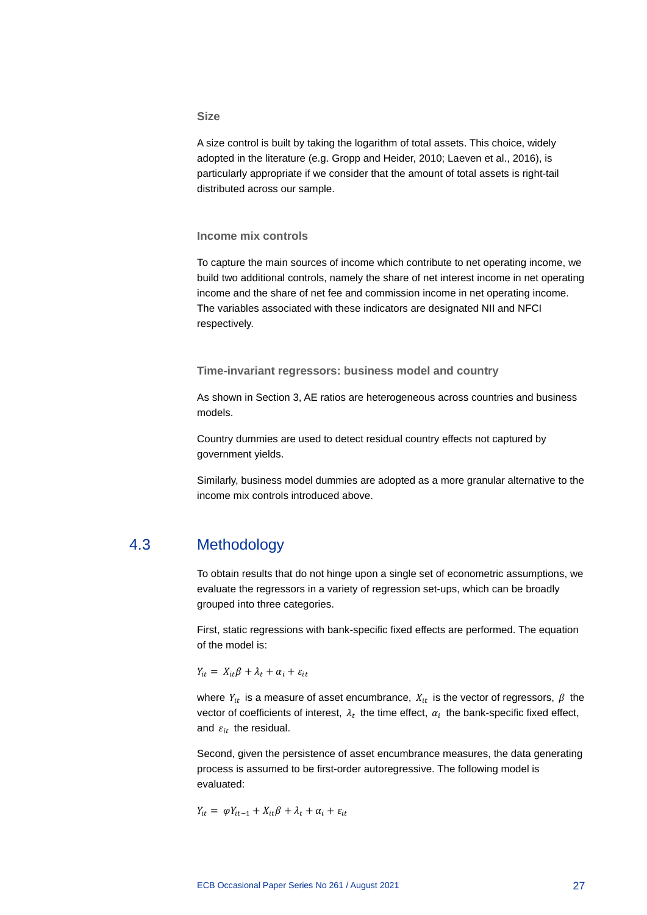#### **Size**

A size control is built by taking the logarithm of total assets. This choice, widely adopted in the literature (e.g. Gropp and Heider, 2010; Laeven et al., 2016), is particularly appropriate if we consider that the amount of total assets is right-tail distributed across our sample.

#### **Income mix controls**

To capture the main sources of income which contribute to net operating income, we build two additional controls, namely the share of net interest income in net operating income and the share of net fee and commission income in net operating income. The variables associated with these indicators are designated NII and NFCI respectively.

**Time-invariant regressors: business model and country**

As shown in Section 3, AE ratios are heterogeneous across countries and business models.

Country dummies are used to detect residual country effects not captured by government yields.

<span id="page-27-0"></span>Similarly, business model dummies are adopted as a more granular alternative to the income mix controls introduced above.

### 4.3 Methodology

To obtain results that do not hinge upon a single set of econometric assumptions, we evaluate the regressors in a variety of regression set-ups, which can be broadly grouped into three categories.

First, static regressions with bank-specific fixed effects are performed. The equation of the model is:

 $Y_{it} = X_{it} \beta + \lambda_t + \alpha_i + \varepsilon_{it}$ 

where  $Y_{it}$  is a measure of asset encumbrance,  $X_{it}$  is the vector of regressors,  $\beta$  the vector of coefficients of interest,  $\lambda_t$  the time effect,  $\alpha_i$  the bank-specific fixed effect, and  $\varepsilon_{it}$  the residual.

Second, given the persistence of asset encumbrance measures, the data generating process is assumed to be first-order autoregressive. The following model is evaluated:

$$
Y_{it} = \varphi Y_{it-1} + X_{it}\beta + \lambda_t + \alpha_i + \varepsilon_{it}
$$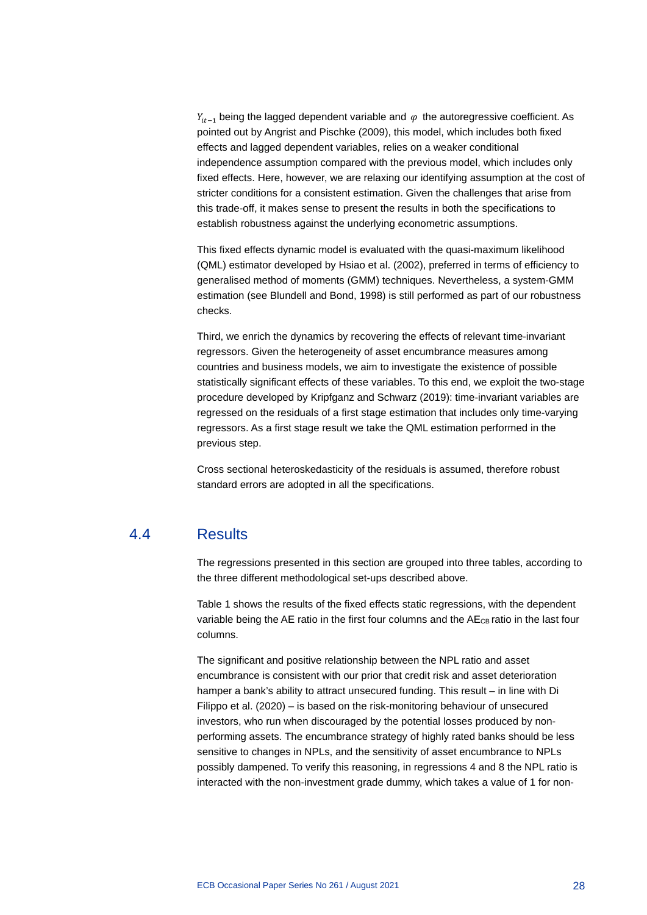$Y_{it-1}$  being the lagged dependent variable and  $\varphi$  the autoregressive coefficient. As pointed out by Angrist and Pischke (2009), this model, which includes both fixed effects and lagged dependent variables, relies on a weaker conditional independence assumption compared with the previous model, which includes only fixed effects. Here, however, we are relaxing our identifying assumption at the cost of stricter conditions for a consistent estimation. Given the challenges that arise from this trade-off, it makes sense to present the results in both the specifications to establish robustness against the underlying econometric assumptions.

This fixed effects dynamic model is evaluated with the quasi-maximum likelihood (QML) estimator developed by Hsiao et al. (2002), preferred in terms of efficiency to generalised method of moments (GMM) techniques. Nevertheless, a system-GMM estimation (see Blundell and Bond, 1998) is still performed as part of our robustness checks.

Third, we enrich the dynamics by recovering the effects of relevant time-invariant regressors. Given the heterogeneity of asset encumbrance measures among countries and business models, we aim to investigate the existence of possible statistically significant effects of these variables. To this end, we exploit the two-stage procedure developed by Kripfganz and Schwarz (2019): time-invariant variables are regressed on the residuals of a first stage estimation that includes only time-varying regressors. As a first stage result we take the QML estimation performed in the previous step.

<span id="page-28-0"></span>Cross sectional heteroskedasticity of the residuals is assumed, therefore robust standard errors are adopted in all the specifications.

### 4.4 Results

The regressions presented in this section are grouped into three tables, according to the three different methodological set-ups described above.

Table 1 shows the results of the fixed effects static regressions, with the dependent variable being the AE ratio in the first four columns and the AE<sub>CB</sub> ratio in the last four columns.

The significant and positive relationship between the NPL ratio and asset encumbrance is consistent with our prior that credit risk and asset deterioration hamper a bank's ability to attract unsecured funding. This result – in line with Di Filippo et al. (2020) – is based on the risk-monitoring behaviour of unsecured investors, who run when discouraged by the potential losses produced by nonperforming assets. The encumbrance strategy of highly rated banks should be less sensitive to changes in NPLs, and the sensitivity of asset encumbrance to NPLs possibly dampened. To verify this reasoning, in regressions 4 and 8 the NPL ratio is interacted with the non-investment grade dummy, which takes a value of 1 for non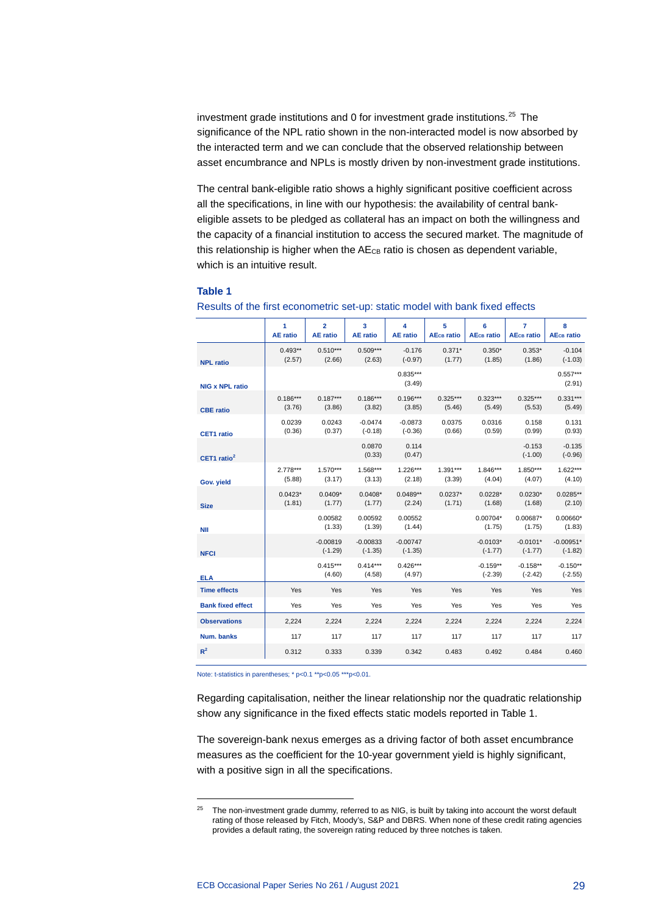investment grade institutions and 0 for investment grade institutions. $25$  The significance of the NPL ratio shown in the non-interacted model is now absorbed by the interacted term and we can conclude that the observed relationship between asset encumbrance and NPLs is mostly driven by non-investment grade institutions.

The central bank-eligible ratio shows a highly significant positive coefficient across all the specifications, in line with our hypothesis: the availability of central bankeligible assets to be pledged as collateral has an impact on both the willingness and the capacity of a financial institution to access the secured market. The magnitude of this relationship is higher when the  $AE_{CB}$  ratio is chosen as dependent variable, which is an intuitive result.

#### **Table 1**

|                          | 1<br><b>AE</b> ratio | $\overline{2}$<br><b>AE</b> ratio | 3<br><b>AE</b> ratio    | 4<br><b>AE</b> ratio    | 5<br><b>AE<sub>CB</sub></b> ratio | 6<br><b>AEc<sub>B</sub></b> ratio | $\overline{7}$<br><b>AEc<sub>B</sub></b> ratio | 8<br><b>AEcB</b> ratio   |
|--------------------------|----------------------|-----------------------------------|-------------------------|-------------------------|-----------------------------------|-----------------------------------|------------------------------------------------|--------------------------|
| <b>NPL ratio</b>         | $0.493**$<br>(2.57)  | $0.510***$<br>(2.66)              | $0.509***$<br>(2.63)    | $-0.176$<br>$(-0.97)$   | $0.371*$<br>(1.77)                | $0.350*$<br>(1.85)                | $0.353*$<br>(1.86)                             | $-0.104$<br>$(-1.03)$    |
| <b>NIG x NPL ratio</b>   |                      |                                   |                         | $0.835***$<br>(3.49)    |                                   |                                   |                                                | $0.557***$<br>(2.91)     |
| <b>CBE</b> ratio         | $0.186***$<br>(3.76) | $0.187***$<br>(3.86)              | $0.186***$<br>(3.82)    | $0.196***$<br>(3.85)    | $0.325***$<br>(5.46)              | $0.323***$<br>(5.49)              | $0.325***$<br>(5.53)                           | $0.331***$<br>(5.49)     |
| <b>CET1</b> ratio        | 0.0239<br>(0.36)     | 0.0243<br>(0.37)                  | $-0.0474$<br>$(-0.18)$  | $-0.0873$<br>$(-0.36)$  | 0.0375<br>(0.66)                  | 0.0316<br>(0.59)                  | 0.158<br>(0.99)                                | 0.131<br>(0.93)          |
| CET1 ratio $2$           |                      |                                   | 0.0870<br>(0.33)        | 0.114<br>(0.47)         |                                   |                                   | $-0.153$<br>$(-1.00)$                          | $-0.135$<br>$(-0.96)$    |
| Gov. yield               | $2.778***$<br>(5.88) | $1.570***$<br>(3.17)              | $1.568***$<br>(3.13)    | $1.226***$<br>(2.18)    | $1.391***$<br>(3.39)              | $1.846***$<br>(4.04)              | $1.850***$<br>(4.07)                           | $1.622***$<br>(4.10)     |
| <b>Size</b>              | $0.0423*$<br>(1.81)  | $0.0409*$<br>(1.77)               | $0.0408*$<br>(1.77)     | $0.0489**$<br>(2.24)    | $0.0237*$<br>(1.71)               | $0.0228*$<br>(1.68)               | $0.0230*$<br>(1.68)                            | $0.0285**$<br>(2.10)     |
| <b>NII</b>               |                      | 0.00582<br>(1.33)                 | 0.00592<br>(1.39)       | 0.00552<br>(1.44)       |                                   | $0.00704*$<br>(1.75)              | 0.00687*<br>(1.75)                             | $0.00660*$<br>(1.83)     |
| <b>NFCI</b>              |                      | $-0.00819$<br>$(-1.29)$           | $-0.00833$<br>$(-1.35)$ | $-0.00747$<br>$(-1.35)$ |                                   | $-0.0103*$<br>$(-1.77)$           | $-0.0101*$<br>$(-1.77)$                        | $-0.00951*$<br>$(-1.82)$ |
| <b>ELA</b>               |                      | $0.415***$<br>(4.60)              | $0.414***$<br>(4.58)    | $0.426***$<br>(4.97)    |                                   | $-0.159**$<br>$(-2.39)$           | $-0.158**$<br>$(-2.42)$                        | $-0.150**$<br>$(-2.55)$  |
| <b>Time effects</b>      | Yes                  | Yes                               | Yes                     | Yes                     | Yes                               | Yes                               | Yes                                            | Yes                      |
| <b>Bank fixed effect</b> | Yes                  | Yes                               | Yes                     | Yes                     | Yes                               | Yes                               | Yes                                            | Yes                      |
| <b>Observations</b>      | 2,224                | 2,224                             | 2,224                   | 2,224                   | 2,224                             | 2,224                             | 2,224                                          | 2,224                    |
| Num. banks               | 117                  | 117                               | 117                     | 117                     | 117                               | 117                               | 117                                            | 117                      |
| R <sup>2</sup>           | 0.312                | 0.333                             | 0.339                   | 0.342                   | 0.483                             | 0.492                             | 0.484                                          | 0.460                    |

#### Results of the first econometric set-up: static model with bank fixed effects

Note: t-statistics in parentheses; \* p<0.1 \*\*p<0.05 \*\*\*p<0.01.

Regarding capitalisation, neither the linear relationship nor the quadratic relationship show any significance in the fixed effects static models reported in Table 1.

The sovereign-bank nexus emerges as a driving factor of both asset encumbrance measures as the coefficient for the 10-year government yield is highly significant, with a positive sign in all the specifications.

<span id="page-29-0"></span> $25$  The non-investment grade dummy, referred to as NIG, is built by taking into account the worst default rating of those released by Fitch, Moody's, S&P and DBRS. When none of these credit rating agencies provides a default rating, the sovereign rating reduced by three notches is taken.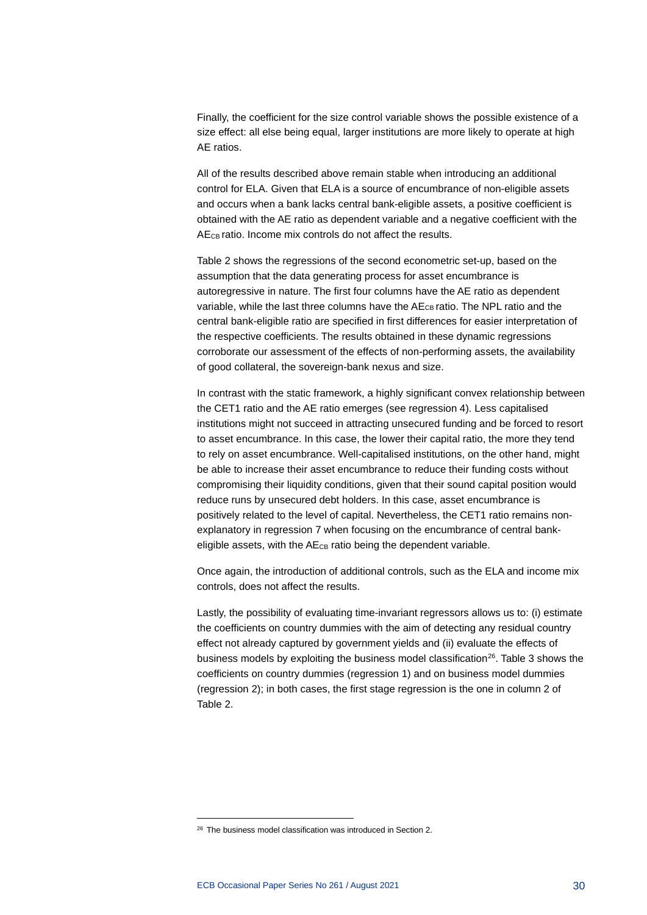Finally, the coefficient for the size control variable shows the possible existence of a size effect: all else being equal, larger institutions are more likely to operate at high AE ratios.

All of the results described above remain stable when introducing an additional control for ELA. Given that ELA is a source of encumbrance of non-eligible assets and occurs when a bank lacks central bank-eligible assets, a positive coefficient is obtained with the AE ratio as dependent variable and a negative coefficient with the AE<sub>CB</sub> ratio. Income mix controls do not affect the results.

Table 2 shows the regressions of the second econometric set-up, based on the assumption that the data generating process for asset encumbrance is autoregressive in nature. The first four columns have the AE ratio as dependent variable, while the last three columns have the AE<sub>CB</sub> ratio. The NPL ratio and the central bank-eligible ratio are specified in first differences for easier interpretation of the respective coefficients. The results obtained in these dynamic regressions corroborate our assessment of the effects of non-performing assets, the availability of good collateral, the sovereign-bank nexus and size.

In contrast with the static framework, a highly significant convex relationship between the CET1 ratio and the AE ratio emerges (see regression 4). Less capitalised institutions might not succeed in attracting unsecured funding and be forced to resort to asset encumbrance. In this case, the lower their capital ratio, the more they tend to rely on asset encumbrance. Well-capitalised institutions, on the other hand, might be able to increase their asset encumbrance to reduce their funding costs without compromising their liquidity conditions, given that their sound capital position would reduce runs by unsecured debt holders. In this case, asset encumbrance is positively related to the level of capital. Nevertheless, the CET1 ratio remains nonexplanatory in regression 7 when focusing on the encumbrance of central bankeligible assets, with the  $AE_{CB}$  ratio being the dependent variable.

Once again, the introduction of additional controls, such as the ELA and income mix controls, does not affect the results.

Lastly, the possibility of evaluating time-invariant regressors allows us to: (i) estimate the coefficients on country dummies with the aim of detecting any residual country effect not already captured by government yields and (ii) evaluate the effects of business models by exploiting the business model classification<sup>[26](#page-30-0)</sup>. Table 3 shows the coefficients on country dummies (regression 1) and on business model dummies (regression 2); in both cases, the first stage regression is the one in column 2 of Table 2.

<span id="page-30-0"></span><sup>26</sup> The business model classification was introduced in Section 2.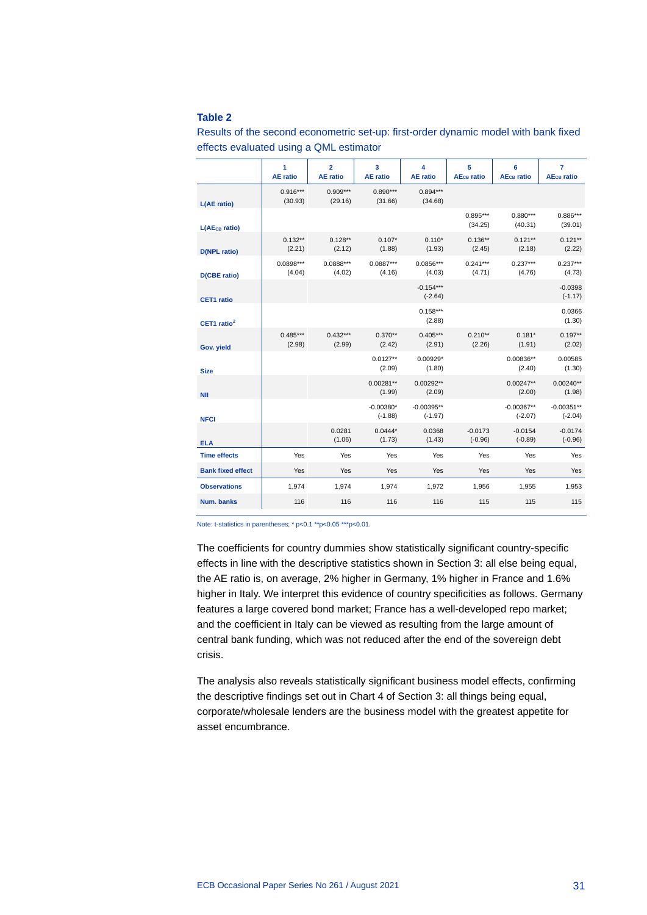#### **Table 2**

|                           | 1<br><b>AE</b> ratio  | $\overline{2}$<br><b>AE</b> ratio | 3<br><b>AE</b> ratio     | 4<br><b>AE</b> ratio      | 5<br><b>AE<sub>CB</sub></b> ratio | 6<br><b>AE<sub>CB</sub></b> ratio | $\overline{7}$<br><b>AE<sub>CB</sub></b> ratio |
|---------------------------|-----------------------|-----------------------------------|--------------------------|---------------------------|-----------------------------------|-----------------------------------|------------------------------------------------|
| L(AE ratio)               | $0.916***$<br>(30.93) | $0.909***$<br>(29.16)             | $0.890***$<br>(31.66)    | $0.894***$<br>(34.68)     |                                   |                                   |                                                |
| L(AE <sub>CB</sub> ratio) |                       |                                   |                          |                           | $0.895***$<br>(34.25)             | $0.880***$<br>(40.31)             | $0.886***$<br>(39.01)                          |
| <b>D(NPL ratio)</b>       | $0.132**$<br>(2.21)   | $0.128**$<br>(2.12)               | $0.107*$<br>(1.88)       | $0.110*$<br>(1.93)        | $0.136**$<br>(2.45)               | $0.121**$<br>(2.18)               | $0.121**$<br>(2.22)                            |
| <b>D(CBE ratio)</b>       | $0.0898***$<br>(4.04) | $0.0888***$<br>(4.02)             | $0.0887***$<br>(4.16)    | $0.0856***$<br>(4.03)     | $0.241***$<br>(4.71)              | $0.237***$<br>(4.76)              | $0.237***$<br>(4.73)                           |
| <b>CET1</b> ratio         |                       |                                   |                          | $-0.154***$<br>$(-2.64)$  |                                   |                                   | $-0.0398$<br>$(-1.17)$                         |
| CET1 ratio <sup>2</sup>   |                       |                                   |                          | $0.158***$<br>(2.88)      |                                   |                                   | 0.0366<br>(1.30)                               |
| Gov. yield                | $0.485***$<br>(2.98)  | $0.432***$<br>(2.99)              | $0.370**$<br>(2.42)      | $0.405***$<br>(2.91)      | $0.210**$<br>(2.26)               | $0.181*$<br>(1.91)                | $0.197**$<br>(2.02)                            |
| <b>Size</b>               |                       |                                   | $0.0127**$<br>(2.09)     | $0.00929*$<br>(1.80)      |                                   | $0.00836**$<br>(2.40)             | 0.00585<br>(1.30)                              |
| <b>NII</b>                |                       |                                   | $0.00281**$<br>(1.99)    | $0.00292**$<br>(2.09)     |                                   | $0.00247**$<br>(2.00)             | $0.00240**$<br>(1.98)                          |
| <b>NFCI</b>               |                       |                                   | $-0.00380*$<br>$(-1.88)$ | $-0.00395**$<br>$(-1.97)$ |                                   | $-0.00367**$<br>$(-2.07)$         | $-0.00351**$<br>$(-2.04)$                      |
| <b>ELA</b>                |                       | 0.0281<br>(1.06)                  | $0.0444*$<br>(1.73)      | 0.0368<br>(1.43)          | $-0.0173$<br>$(-0.96)$            | $-0.0154$<br>$(-0.89)$            | $-0.0174$<br>$(-0.96)$                         |
| <b>Time effects</b>       | Yes                   | Yes                               | Yes                      | Yes                       | Yes                               | Yes                               | Yes                                            |
| <b>Bank fixed effect</b>  | Yes                   | Yes                               | Yes                      | Yes                       | Yes                               | Yes                               | Yes                                            |
| <b>Observations</b>       | 1,974                 | 1,974                             | 1,974                    | 1,972                     | 1,956                             | 1,955                             | 1,953                                          |
| Num. banks                | 116                   | 116                               | 116                      | 116                       | 115                               | 115                               | 115                                            |

Results of the second econometric set-up: first-order dynamic model with bank fixed effects evaluated using a QML estimator

Note: t-statistics in parentheses; \* p<0.1 \*\*p<0.05 \*\*\*p<0.01.

The coefficients for country dummies show statistically significant country-specific effects in line with the descriptive statistics shown in Section 3: all else being equal, the AE ratio is, on average, 2% higher in Germany, 1% higher in France and 1.6% higher in Italy. We interpret this evidence of country specificities as follows. Germany features a large covered bond market; France has a well-developed repo market; and the coefficient in Italy can be viewed as resulting from the large amount of central bank funding, which was not reduced after the end of the sovereign debt crisis.

The analysis also reveals statistically significant business model effects, confirming the descriptive findings set out in Chart 4 of Section 3: all things being equal, corporate/wholesale lenders are the business model with the greatest appetite for asset encumbrance.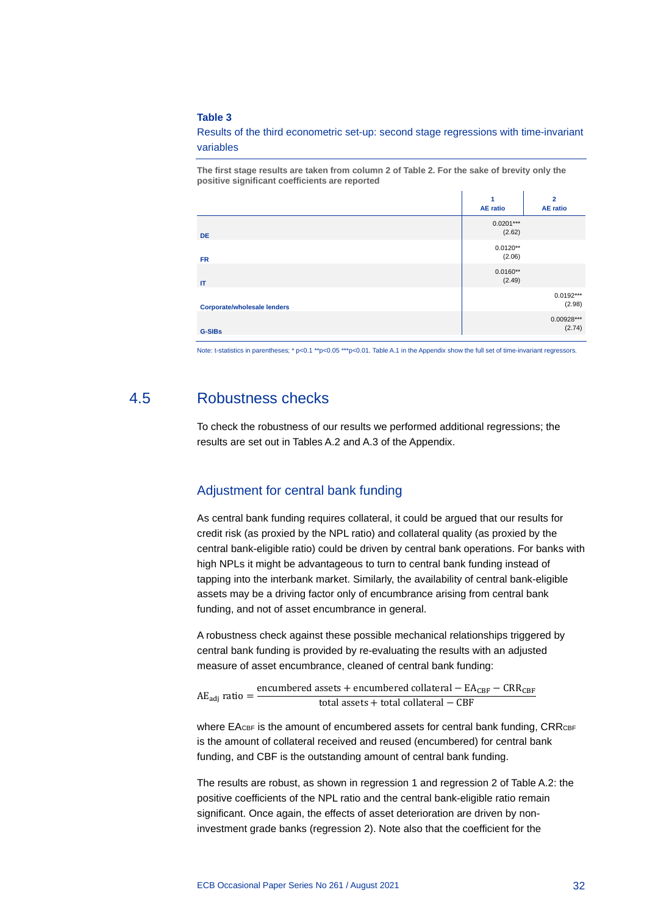#### **Table 3**

Results of the third econometric set-up: second stage regressions with time-invariant variables

**The first stage results are taken from column 2 of Table 2. For the sake of brevity only the positive significant coefficients are reported**

|                                    | 1<br><b>AE</b> ratio  | $\overline{2}$<br><b>AE</b> ratio |
|------------------------------------|-----------------------|-----------------------------------|
| <b>DE</b>                          | $0.0201***$<br>(2.62) |                                   |
| <b>FR</b>                          | $0.0120**$<br>(2.06)  |                                   |
| $\mathsf{I}$                       | $0.0160**$<br>(2.49)  |                                   |
| <b>Corporate/wholesale lenders</b> |                       | $0.0192***$<br>(2.98)             |
| <b>G-SIBs</b>                      |                       | $0.00928***$<br>(2.74)            |

<span id="page-32-0"></span>Note: t-statistics in parentheses; \* p<0.1 \*\*p<0.05 \*\*\*p<0.01. Table A.1 in the Appendix show the full set of time-invariant regressors.

### 4.5 Robustness checks

To check the robustness of our results we performed additional regressions; the results are set out in Tables A.2 and A.3 of the Appendix.

### Adjustment for central bank funding

As central bank funding requires collateral, it could be argued that our results for credit risk (as proxied by the NPL ratio) and collateral quality (as proxied by the central bank-eligible ratio) could be driven by central bank operations. For banks with high NPLs it might be advantageous to turn to central bank funding instead of tapping into the interbank market. Similarly, the availability of central bank-eligible assets may be a driving factor only of encumbrance arising from central bank funding, and not of asset encumbrance in general.

A robustness check against these possible mechanical relationships triggered by central bank funding is provided by re-evaluating the results with an adjusted measure of asset encumbrance, cleaned of central bank funding:

 $AE_{\text{adj}}$  ratio =  $\frac{\text{encumbered} + \text{encumbered collateral} - EA_{\text{CBF}} - CRR_{\text{CBF}}}{\text{encumbered current}}$ total assets + total collateral − CBF

where  $EA_{CBF}$  is the amount of encumbered assets for central bank funding,  $CRR_{CBF}$ is the amount of collateral received and reused (encumbered) for central bank funding, and CBF is the outstanding amount of central bank funding.

The results are robust, as shown in regression 1 and regression 2 of Table A.2: the positive coefficients of the NPL ratio and the central bank-eligible ratio remain significant. Once again, the effects of asset deterioration are driven by noninvestment grade banks (regression 2). Note also that the coefficient for the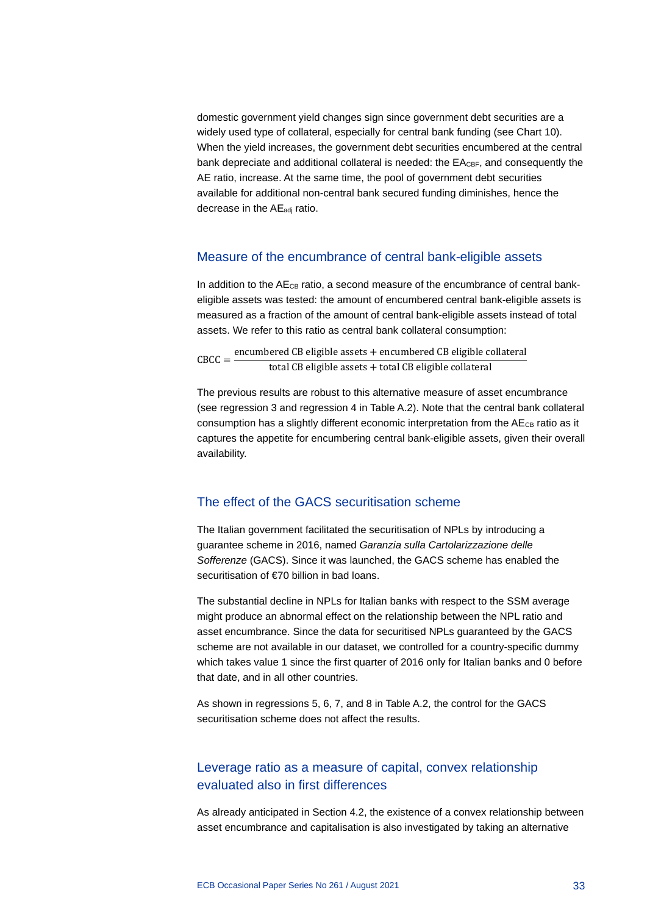domestic government yield changes sign since government debt securities are a widely used type of collateral, especially for central bank funding (see Chart 10). When the yield increases, the government debt securities encumbered at the central bank depreciate and additional collateral is needed: the EA<sub>CBF</sub>, and consequently the AE ratio, increase. At the same time, the pool of government debt securities available for additional non-central bank secured funding diminishes, hence the decrease in the AE<sub>adj</sub> ratio.

### Measure of the encumbrance of central bank-eligible assets

In addition to the AE<sub>CB</sub> ratio, a second measure of the encumbrance of central bankeligible assets was tested: the amount of encumbered central bank-eligible assets is measured as a fraction of the amount of central bank-eligible assets instead of total assets. We refer to this ratio as central bank collateral consumption:

 $\text{CBC} = \frac{\text{encumbered CB eligible assets} + \text{encumbered CB eligible collateral}}{}$ total CB eligible assets + total CB eligible collateral

The previous results are robust to this alternative measure of asset encumbrance (see regression 3 and regression 4 in Table A.2). Note that the central bank collateral consumption has a slightly different economic interpretation from the  $A E_{CB}$  ratio as it captures the appetite for encumbering central bank-eligible assets, given their overall availability.

### The effect of the GACS securitisation scheme

The Italian government facilitated the securitisation of NPLs by introducing a guarantee scheme in 2016, named *Garanzia sulla Cartolarizzazione delle Sofferenze* (GACS). Since it was launched, the GACS scheme has enabled the securitisation of €70 billion in bad loans.

The substantial decline in NPLs for Italian banks with respect to the SSM average might produce an abnormal effect on the relationship between the NPL ratio and asset encumbrance. Since the data for securitised NPLs guaranteed by the GACS scheme are not available in our dataset, we controlled for a country-specific dummy which takes value 1 since the first quarter of 2016 only for Italian banks and 0 before that date, and in all other countries.

As shown in regressions 5, 6, 7, and 8 in Table A.2, the control for the GACS securitisation scheme does not affect the results.

### Leverage ratio as a measure of capital, convex relationship evaluated also in first differences

As already anticipated in Section 4.2, the existence of a convex relationship between asset encumbrance and capitalisation is also investigated by taking an alternative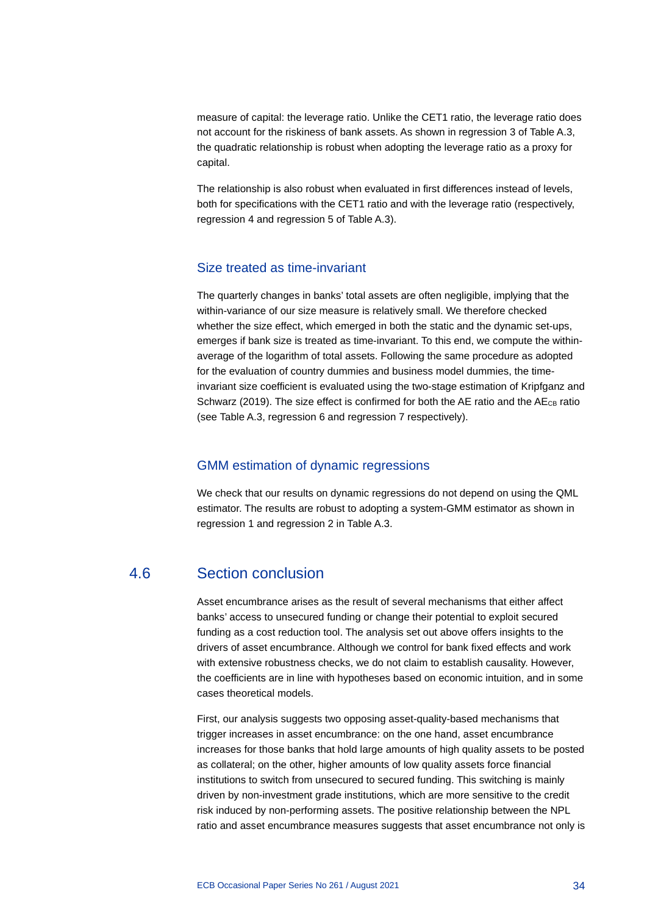measure of capital: the leverage ratio. Unlike the CET1 ratio, the leverage ratio does not account for the riskiness of bank assets. As shown in regression 3 of Table A.3, the quadratic relationship is robust when adopting the leverage ratio as a proxy for capital.

The relationship is also robust when evaluated in first differences instead of levels, both for specifications with the CET1 ratio and with the leverage ratio (respectively, regression 4 and regression 5 of Table A.3).

### Size treated as time-invariant

The quarterly changes in banks' total assets are often negligible, implying that the within-variance of our size measure is relatively small. We therefore checked whether the size effect, which emerged in both the static and the dynamic set-ups, emerges if bank size is treated as time-invariant. To this end, we compute the withinaverage of the logarithm of total assets. Following the same procedure as adopted for the evaluation of country dummies and business model dummies, the timeinvariant size coefficient is evaluated using the two-stage estimation of Kripfganz and Schwarz (2019). The size effect is confirmed for both the AE ratio and the  $AE_{CB}$  ratio (see Table A.3, regression 6 and regression 7 respectively).

### GMM estimation of dynamic regressions

<span id="page-34-0"></span>We check that our results on dynamic regressions do not depend on using the QML estimator. The results are robust to adopting a system-GMM estimator as shown in regression 1 and regression 2 in Table A.3.

### 4.6 Section conclusion

Asset encumbrance arises as the result of several mechanisms that either affect banks' access to unsecured funding or change their potential to exploit secured funding as a cost reduction tool. The analysis set out above offers insights to the drivers of asset encumbrance. Although we control for bank fixed effects and work with extensive robustness checks, we do not claim to establish causality. However, the coefficients are in line with hypotheses based on economic intuition, and in some cases theoretical models.

First, our analysis suggests two opposing asset-quality-based mechanisms that trigger increases in asset encumbrance: on the one hand, asset encumbrance increases for those banks that hold large amounts of high quality assets to be posted as collateral; on the other, higher amounts of low quality assets force financial institutions to switch from unsecured to secured funding. This switching is mainly driven by non-investment grade institutions, which are more sensitive to the credit risk induced by non-performing assets. The positive relationship between the NPL ratio and asset encumbrance measures suggests that asset encumbrance not only is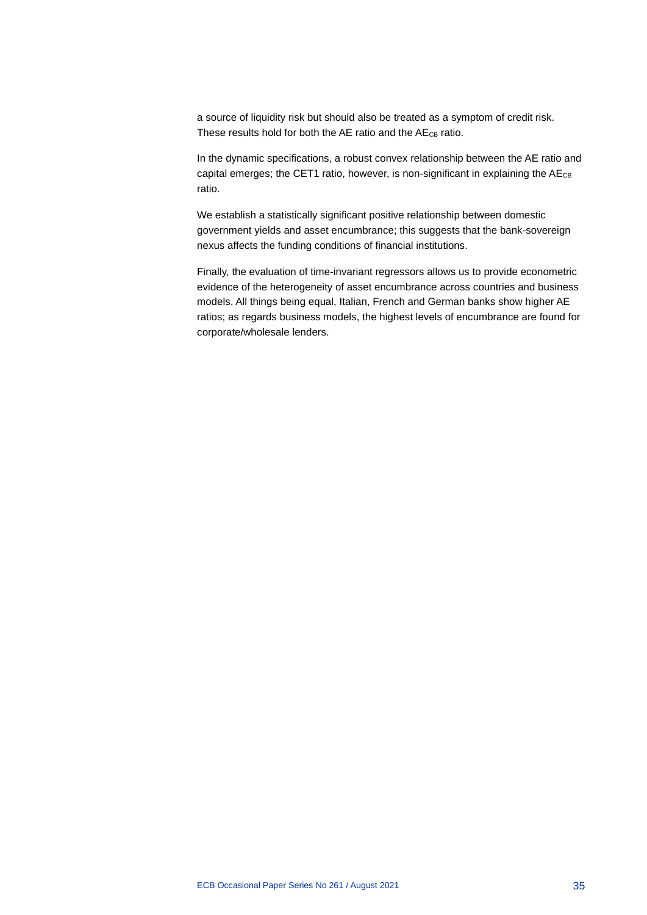a source of liquidity risk but should also be treated as a symptom of credit risk. These results hold for both the AE ratio and the AE<sub>CB</sub> ratio.

In the dynamic specifications, a robust convex relationship between the AE ratio and capital emerges; the CET1 ratio, however, is non-significant in explaining the  $AE_{CB}$ ratio.

We establish a statistically significant positive relationship between domestic government yields and asset encumbrance; this suggests that the bank-sovereign nexus affects the funding conditions of financial institutions.

Finally, the evaluation of time-invariant regressors allows us to provide econometric evidence of the heterogeneity of asset encumbrance across countries and business models. All things being equal, Italian, French and German banks show higher AE ratios; as regards business models, the highest levels of encumbrance are found for corporate/wholesale lenders.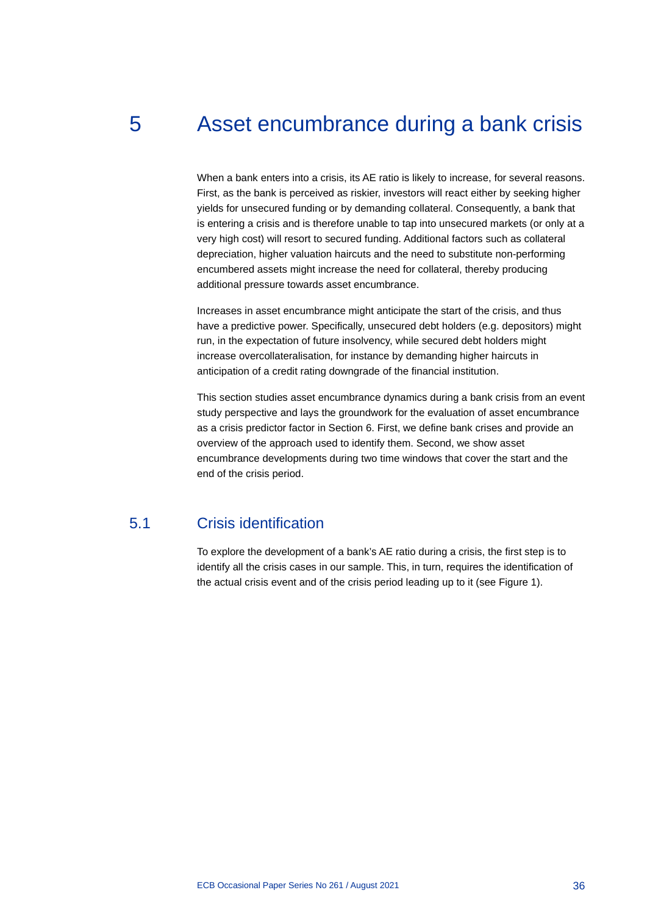# 5 Asset encumbrance during a bank crisis

When a bank enters into a crisis, its AE ratio is likely to increase, for several reasons. First, as the bank is perceived as riskier, investors will react either by seeking higher yields for unsecured funding or by demanding collateral. Consequently, a bank that is entering a crisis and is therefore unable to tap into unsecured markets (or only at a very high cost) will resort to secured funding. Additional factors such as collateral depreciation, higher valuation haircuts and the need to substitute non-performing encumbered assets might increase the need for collateral, thereby producing additional pressure towards asset encumbrance.

Increases in asset encumbrance might anticipate the start of the crisis, and thus have a predictive power. Specifically, unsecured debt holders (e.g. depositors) might run, in the expectation of future insolvency, while secured debt holders might increase overcollateralisation, for instance by demanding higher haircuts in anticipation of a credit rating downgrade of the financial institution.

This section studies asset encumbrance dynamics during a bank crisis from an event study perspective and lays the groundwork for the evaluation of asset encumbrance as a crisis predictor factor in Section 6. First, we define bank crises and provide an overview of the approach used to identify them. Second, we show asset encumbrance developments during two time windows that cover the start and the end of the crisis period.

# 5.1 Crisis identification

To explore the development of a bank's AE ratio during a crisis, the first step is to identify all the crisis cases in our sample. This, in turn, requires the identification of the actual crisis event and of the crisis period leading up to it (see Figure 1).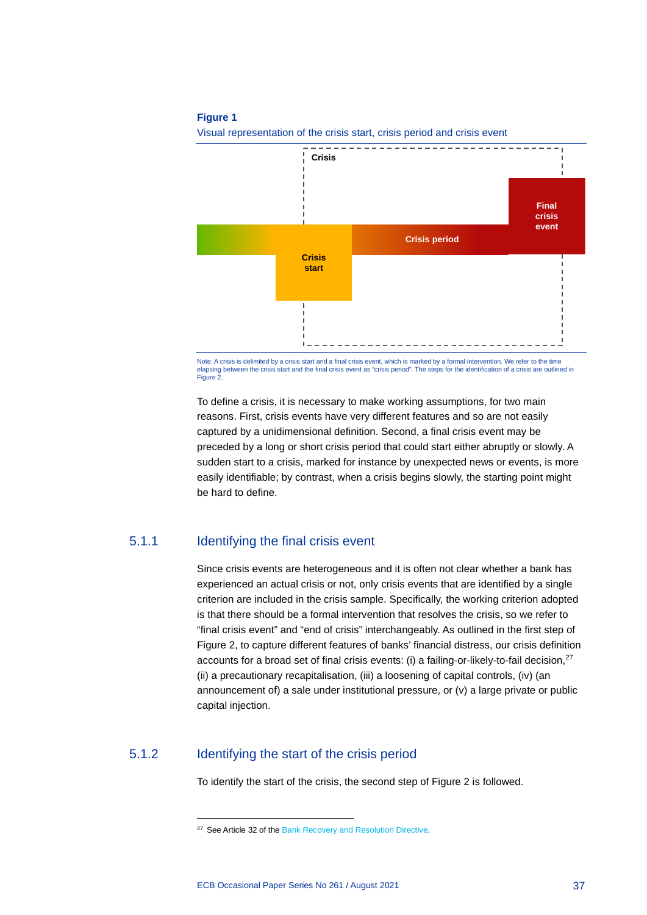#### **Figure 1**



Visual representation of the crisis start, crisis period and crisis event

Note: A crisis is delimited by a crisis start and a final crisis event, which is marked by a formal intervention. We refer to the time elapsing between the crisis start and the final crisis event as "crisis period". The steps for the identification of a crisis are outlined in Figure 2

To define a crisis, it is necessary to make working assumptions, for two main reasons. First, crisis events have very different features and so are not easily captured by a unidimensional definition. Second, a final crisis event may be preceded by a long or short crisis period that could start either abruptly or slowly. A sudden start to a crisis, marked for instance by unexpected news or events, is more easily identifiable; by contrast, when a crisis begins slowly, the starting point might be hard to define.

## 5.1.1 Identifying the final crisis event

Since crisis events are heterogeneous and it is often not clear whether a bank has experienced an actual crisis or not, only crisis events that are identified by a single criterion are included in the crisis sample. Specifically, the working criterion adopted is that there should be a formal intervention that resolves the crisis, so we refer to "final crisis event" and "end of crisis" interchangeably. As outlined in the first step of Figure 2, to capture different features of banks' financial distress, our crisis definition accounts for a broad set of final crisis events: (i) a failing-or-likely-to-fail decision,  $27$ (ii) a precautionary recapitalisation, (iii) a loosening of capital controls, (iv) (an announcement of) a sale under institutional pressure, or (v) a large private or public capital injection.

# <span id="page-37-0"></span>5.1.2 Identifying the start of the crisis period

To identify the start of the crisis, the second step of Figure 2 is followed.

<sup>&</sup>lt;sup>27</sup> See Article 32 of th[e Bank Recovery and Resolution Directive.](https://eur-lex.europa.eu/legal-content/EN/TXT/?uri=CELEX:32014L0059)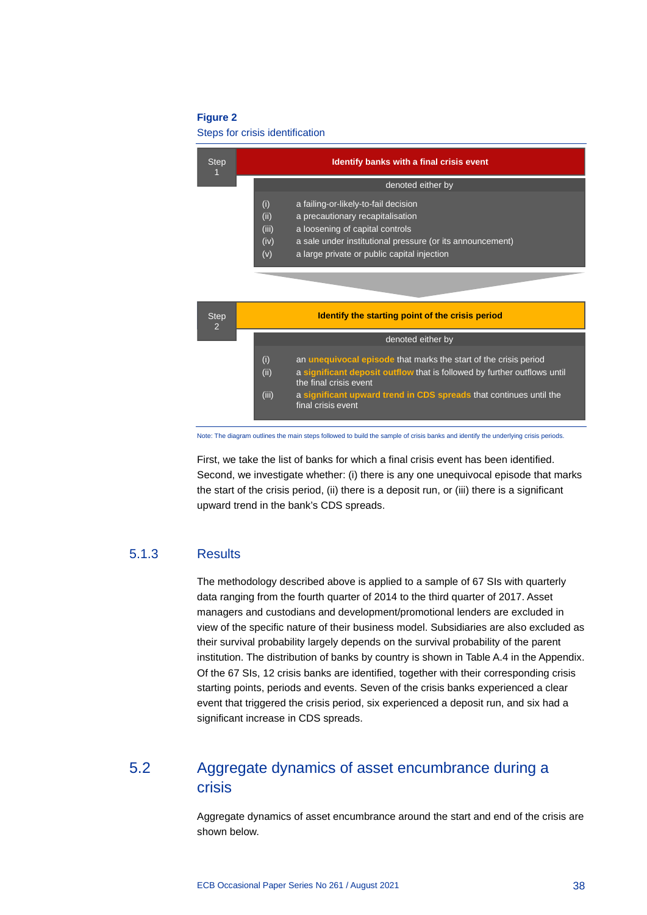#### **Figure 2**

#### Steps for crisis identification

| <b>Step</b> | <b>Identify banks with a final crisis event</b>                                                                                                                                                                                                                |
|-------------|----------------------------------------------------------------------------------------------------------------------------------------------------------------------------------------------------------------------------------------------------------------|
|             | denoted either by                                                                                                                                                                                                                                              |
|             | (i)<br>a failing-or-likely-to-fail decision<br>(ii)<br>a precautionary recapitalisation<br>(iii)<br>a loosening of capital controls<br>(iv)<br>a sale under institutional pressure (or its announcement)<br>a large private or public capital injection<br>(v) |

| <b>Step</b><br>$\overline{2}$ |                      | Identify the starting point of the crisis period                                                                                                                                                                                                                          |
|-------------------------------|----------------------|---------------------------------------------------------------------------------------------------------------------------------------------------------------------------------------------------------------------------------------------------------------------------|
|                               |                      | denoted either by                                                                                                                                                                                                                                                         |
|                               | (i)<br>(ii)<br>(iii) | an <b>unequivocal episode</b> that marks the start of the crisis period<br>a significant deposit outflow that is followed by further outflows until<br>the final crisis event<br>a significant upward trend in CDS spreads that continues until the<br>final crisis event |

Note: The diagram outlines the main steps followed to build the sample of crisis banks and identify the underlying crisis periods.

First, we take the list of banks for which a final crisis event has been identified. Second, we investigate whether: (i) there is any one unequivocal episode that marks the start of the crisis period, (ii) there is a deposit run, or (iii) there is a significant upward trend in the bank's CDS spreads.

### 5.1.3 Results

The methodology described above is applied to a sample of 67 SIs with quarterly data ranging from the fourth quarter of 2014 to the third quarter of 2017. Asset managers and custodians and development/promotional lenders are excluded in view of the specific nature of their business model. Subsidiaries are also excluded as their survival probability largely depends on the survival probability of the parent institution. The distribution of banks by country is shown in Table A.4 in the Appendix. Of the 67 SIs, 12 crisis banks are identified, together with their corresponding crisis starting points, periods and events. Seven of the crisis banks experienced a clear event that triggered the crisis period, six experienced a deposit run, and six had a significant increase in CDS spreads.

# 5.2 Aggregate dynamics of asset encumbrance during a crisis

Aggregate dynamics of asset encumbrance around the start and end of the crisis are shown below.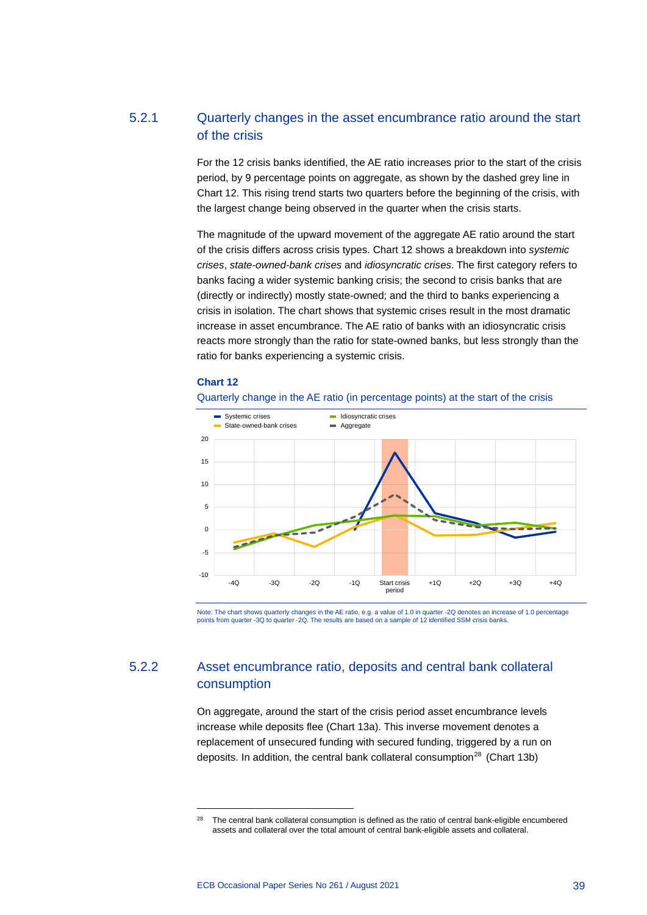# 5.2.1 Quarterly changes in the asset encumbrance ratio around the start of the crisis

For the 12 crisis banks identified, the AE ratio increases prior to the start of the crisis period, by 9 percentage points on aggregate, as shown by the dashed grey line in Chart 12. This rising trend starts two quarters before the beginning of the crisis, with the largest change being observed in the quarter when the crisis starts.

The magnitude of the upward movement of the aggregate AE ratio around the start of the crisis differs across crisis types. Chart 12 shows a breakdown into *systemic crises*, *state-owned-bank crises* and *idiosyncratic crises*. The first category refers to banks facing a wider systemic banking crisis; the second to crisis banks that are (directly or indirectly) mostly state-owned; and the third to banks experiencing a crisis in isolation. The chart shows that systemic crises result in the most dramatic increase in asset encumbrance. The AE ratio of banks with an idiosyncratic crisis reacts more strongly than the ratio for state-owned banks, but less strongly than the ratio for banks experiencing a systemic crisis.

#### **Chart 12**





Note: The chart shows quarterly changes in the AE ratio, e.g. a value of 1.0 in quarter -2Q denotes an increase of 1.0 percentage points from quarter -3Q to quarter -2Q. The results are based on a sample of 12 identified SSM crisis banks.

# 5.2.2 Asset encumbrance ratio, deposits and central bank collateral consumption

On aggregate, around the start of the crisis period asset encumbrance levels increase while deposits flee (Chart 13a). This inverse movement denotes a replacement of unsecured funding with secured funding, triggered by a run on deposits. In addition, the central bank collateral consumption<sup>[28](#page-39-0)</sup> (Chart 13b)

<span id="page-39-0"></span><sup>&</sup>lt;sup>28</sup> The central bank collateral consumption is defined as the ratio of central bank-eligible encumbered assets and collateral over the total amount of central bank-eligible assets and collateral.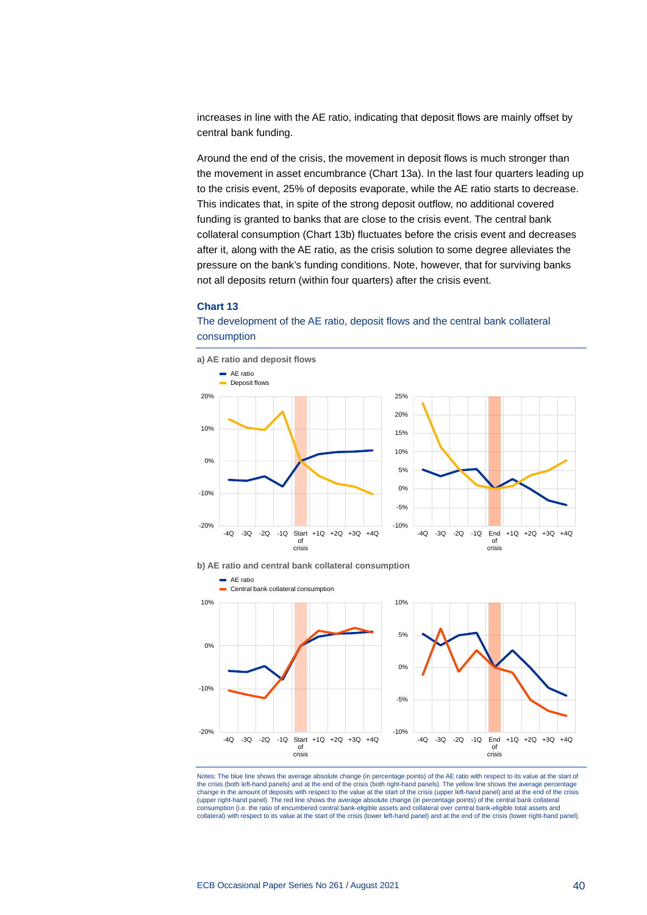increases in line with the AE ratio, indicating that deposit flows are mainly offset by central bank funding.

Around the end of the crisis, the movement in deposit flows is much stronger than the movement in asset encumbrance (Chart 13a). In the last four quarters leading up to the crisis event, 25% of deposits evaporate, while the AE ratio starts to decrease. This indicates that, in spite of the strong deposit outflow, no additional covered funding is granted to banks that are close to the crisis event. The central bank collateral consumption (Chart 13b) fluctuates before the crisis event and decreases after it, along with the AE ratio, as the crisis solution to some degree alleviates the pressure on the bank's funding conditions. Note, however, that for surviving banks not all deposits return (within four quarters) after the crisis event.

### **Chart 13**

### The development of the AE ratio, deposit flows and the central bank collateral consumption







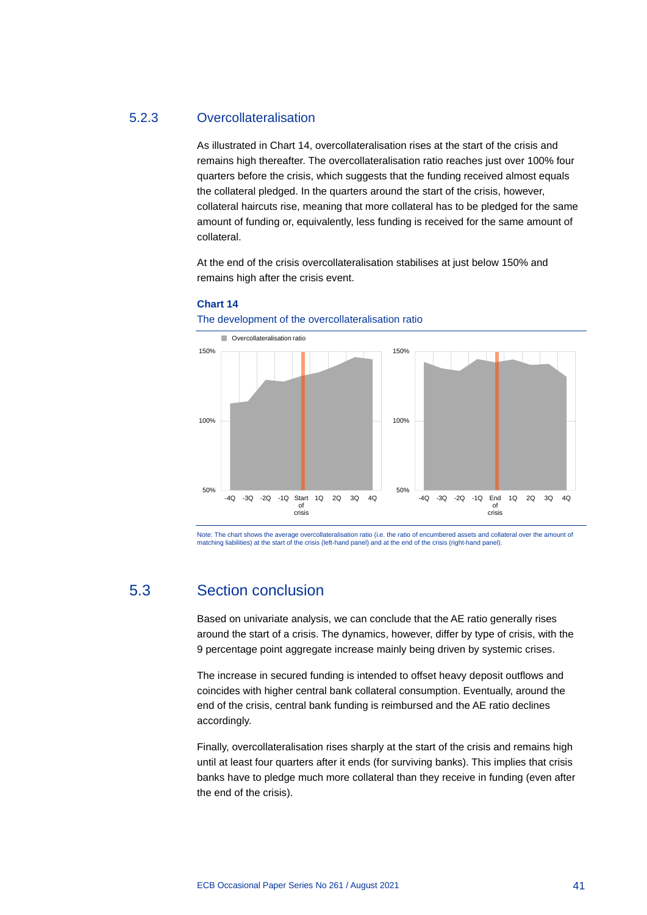### 5.2.3 Overcollateralisation

As illustrated in Chart 14, overcollateralisation rises at the start of the crisis and remains high thereafter. The overcollateralisation ratio reaches just over 100% four quarters before the crisis, which suggests that the funding received almost equals the collateral pledged. In the quarters around the start of the crisis, however, collateral haircuts rise, meaning that more collateral has to be pledged for the same amount of funding or, equivalently, less funding is received for the same amount of collateral.

At the end of the crisis overcollateralisation stabilises at just below 150% and remains high after the crisis event.



**Chart 14**

Note: The chart shows the average overcollateralisation ratio (i.e. the ratio of encumbered assets and collateral over the amount of

# matching liabilities) at the start of the crisis (left-hand panel) and at the end of the crisis (right-hand panel).

The development of the overcollateralisation ratio

# 5.3 Section conclusion

Based on univariate analysis, we can conclude that the AE ratio generally rises around the start of a crisis. The dynamics, however, differ by type of crisis, with the 9 percentage point aggregate increase mainly being driven by systemic crises.

The increase in secured funding is intended to offset heavy deposit outflows and coincides with higher central bank collateral consumption. Eventually, around the end of the crisis, central bank funding is reimbursed and the AE ratio declines accordingly.

Finally, overcollateralisation rises sharply at the start of the crisis and remains high until at least four quarters after it ends (for surviving banks). This implies that crisis banks have to pledge much more collateral than they receive in funding (even after the end of the crisis).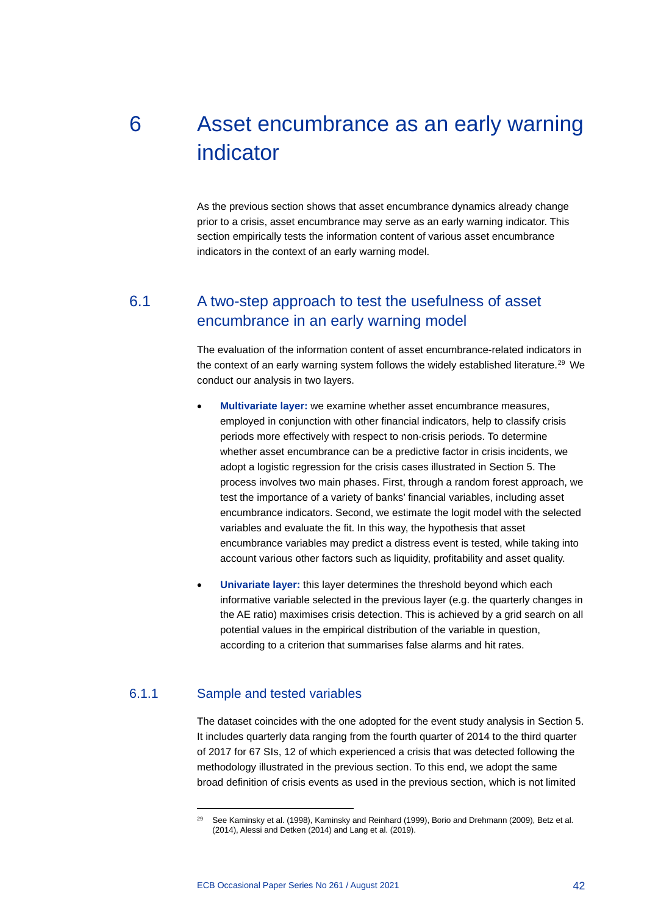# 6 Asset encumbrance as an early warning indicator

As the previous section shows that asset encumbrance dynamics already change prior to a crisis, asset encumbrance may serve as an early warning indicator. This section empirically tests the information content of various asset encumbrance indicators in the context of an early warning model.

# 6.1 A two-step approach to test the usefulness of asset encumbrance in an early warning model

The evaluation of the information content of asset encumbrance-related indicators in the context of an early warning system follows the widely established literature.<sup>[29](#page-42-0)</sup> We conduct our analysis in two layers.

- **Multivariate layer:** we examine whether asset encumbrance measures, employed in conjunction with other financial indicators, help to classify crisis periods more effectively with respect to non-crisis periods. To determine whether asset encumbrance can be a predictive factor in crisis incidents, we adopt a logistic regression for the crisis cases illustrated in Section 5. The process involves two main phases. First, through a random forest approach, we test the importance of a variety of banks' financial variables, including asset encumbrance indicators. Second, we estimate the logit model with the selected variables and evaluate the fit. In this way, the hypothesis that asset encumbrance variables may predict a distress event is tested, while taking into account various other factors such as liquidity, profitability and asset quality.
- **Univariate layer:** this layer determines the threshold beyond which each informative variable selected in the previous layer (e.g. the quarterly changes in the AE ratio) maximises crisis detection. This is achieved by a grid search on all potential values in the empirical distribution of the variable in question, according to a criterion that summarises false alarms and hit rates.

### <span id="page-42-0"></span>6.1.1 Sample and tested variables

The dataset coincides with the one adopted for the event study analysis in Section 5. It includes quarterly data ranging from the fourth quarter of 2014 to the third quarter of 2017 for 67 SIs, 12 of which experienced a crisis that was detected following the methodology illustrated in the previous section. To this end, we adopt the same broad definition of crisis events as used in the previous section, which is not limited

<sup>&</sup>lt;sup>29</sup> See Kaminsky et al. (1998), Kaminsky and Reinhard (1999), Borio and Drehmann (2009), Betz et al. (2014), Alessi and Detken (2014) and Lang et al. (2019).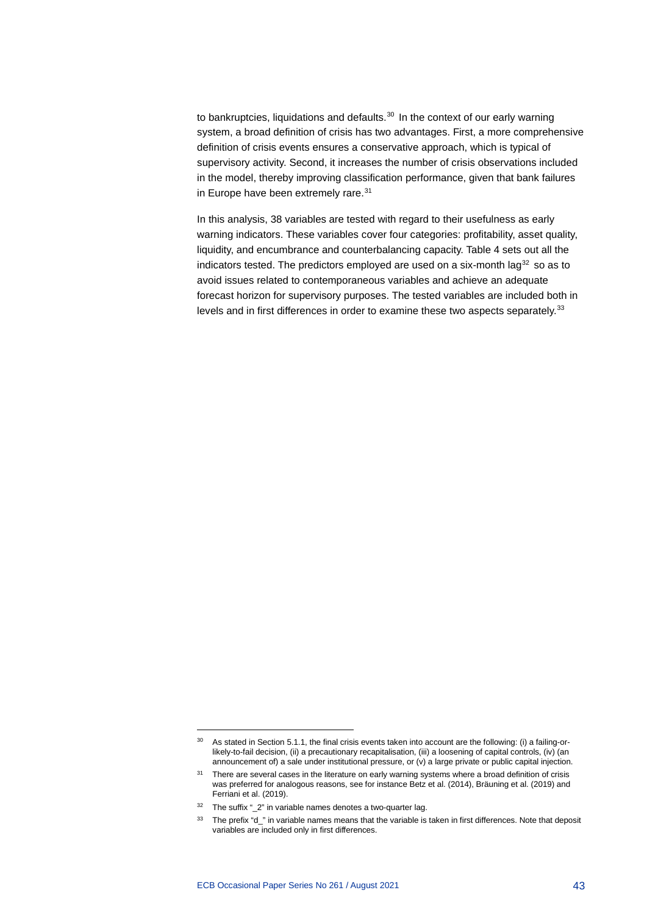to bankruptcies, liquidations and defaults. $30$  In the context of our early warning system, a broad definition of crisis has two advantages. First, a more comprehensive definition of crisis events ensures a conservative approach, which is typical of supervisory activity. Second, it increases the number of crisis observations included in the model, thereby improving classification performance, given that bank failures in Europe have been extremely rare.<sup>[31](#page-43-1)</sup>

In this analysis, 38 variables are tested with regard to their usefulness as early warning indicators. These variables cover four categories: profitability, asset quality, liquidity, and encumbrance and counterbalancing capacity. Table 4 sets out all the indicators tested. The predictors employed are used on a six-month lag $32$  so as to avoid issues related to contemporaneous variables and achieve an adequate forecast horizon for supervisory purposes. The tested variables are included both in levels and in first differences in order to examine these two aspects separately.<sup>[33](#page-43-3)</sup>

<span id="page-43-0"></span> $30$  As stated in Section 5.1.1, the final crisis events taken into account are the following: (i) a failing-orlikely-to-fail decision, (ii) a precautionary recapitalisation, (iii) a loosening of capital controls, (iv) (an announcement of) a sale under institutional pressure, or (v) a large private or public capital injection.

<span id="page-43-1"></span><sup>&</sup>lt;sup>31</sup> There are several cases in the literature on early warning systems where a broad definition of crisis was preferred for analogous reasons, see for instance Betz et al. (2014), Bräuning et al. (2019) and Ferriani et al. (2019).

<span id="page-43-2"></span><sup>&</sup>lt;sup>32</sup> The suffix "\_2" in variable names denotes a two-quarter lag.

<span id="page-43-3"></span><sup>33</sup> The prefix "d\_" in variable names means that the variable is taken in first differences. Note that deposit variables are included only in first differences.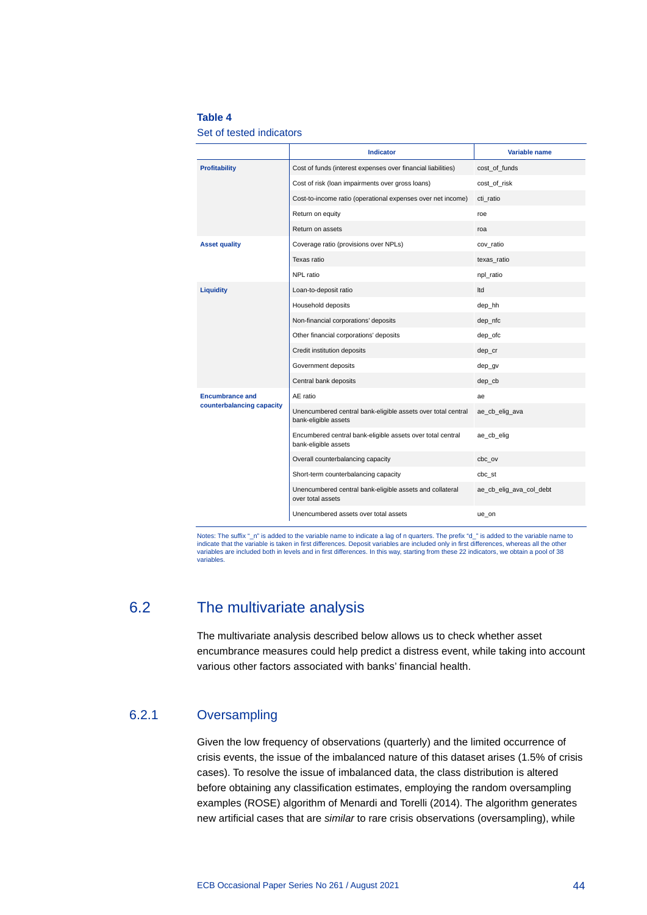### **Table 4**

Set of tested indicators

|                           | <b>Indicator</b>                                                                     | Variable name           |
|---------------------------|--------------------------------------------------------------------------------------|-------------------------|
| Profitability             | Cost of funds (interest expenses over financial liabilities)                         | cost of funds           |
|                           | Cost of risk (loan impairments over gross loans)                                     | cost of risk            |
|                           | Cost-to-income ratio (operational expenses over net income)                          | cti ratio               |
|                           | Return on equity                                                                     | roe                     |
|                           | Return on assets                                                                     | roa                     |
| <b>Asset quality</b>      | Coverage ratio (provisions over NPLs)                                                | cov ratio               |
|                           | Texas ratio                                                                          | texas ratio             |
|                           | NPL ratio                                                                            | npl_ratio               |
| <b>Liquidity</b>          | Loan-to-deposit ratio                                                                | Itd                     |
|                           | Household deposits                                                                   | dep_hh                  |
|                           | Non-financial corporations' deposits                                                 | dep_nfc                 |
|                           | Other financial corporations' deposits                                               | dep_ofc                 |
|                           | Credit institution deposits                                                          | dep_cr                  |
|                           | Government deposits                                                                  | dep_gv                  |
|                           | Central bank deposits                                                                | dep_cb                  |
| <b>Encumbrance and</b>    | AE ratio                                                                             | ae                      |
| counterbalancing capacity | Unencumbered central bank-eligible assets over total central<br>bank-eligible assets | ae_cb_elig_ava          |
|                           | Encumbered central bank-eligible assets over total central<br>bank-eligible assets   | ae_cb_elig              |
|                           | Overall counterbalancing capacity                                                    | cbc_ov                  |
|                           | Short-term counterbalancing capacity                                                 | cbc st                  |
|                           | Unencumbered central bank-eligible assets and collateral<br>over total assets        | ae_cb_elig_ava_col_debt |
|                           | Unencumbered assets over total assets                                                | ue_on                   |

Notes: The suffix "\_n" is added to the variable name to indicate a lag of n quarters. The prefix "d\_" is added to the variable name to indicate that the variable is taken in first differences. Deposit variables are included only in first differences, whereas all the other<br>variables are included both in levels and in first differences. In this way, startin variables.

# 6.2 The multivariate analysis

The multivariate analysis described below allows us to check whether asset encumbrance measures could help predict a distress event, while taking into account various other factors associated with banks' financial health.

## 6.2.1 Oversampling

Given the low frequency of observations (quarterly) and the limited occurrence of crisis events, the issue of the imbalanced nature of this dataset arises (1.5% of crisis cases). To resolve the issue of imbalanced data, the class distribution is altered before obtaining any classification estimates, employing the random oversampling examples (ROSE) algorithm of Menardi and Torelli (2014). The algorithm generates new artificial cases that are *similar* to rare crisis observations (oversampling), while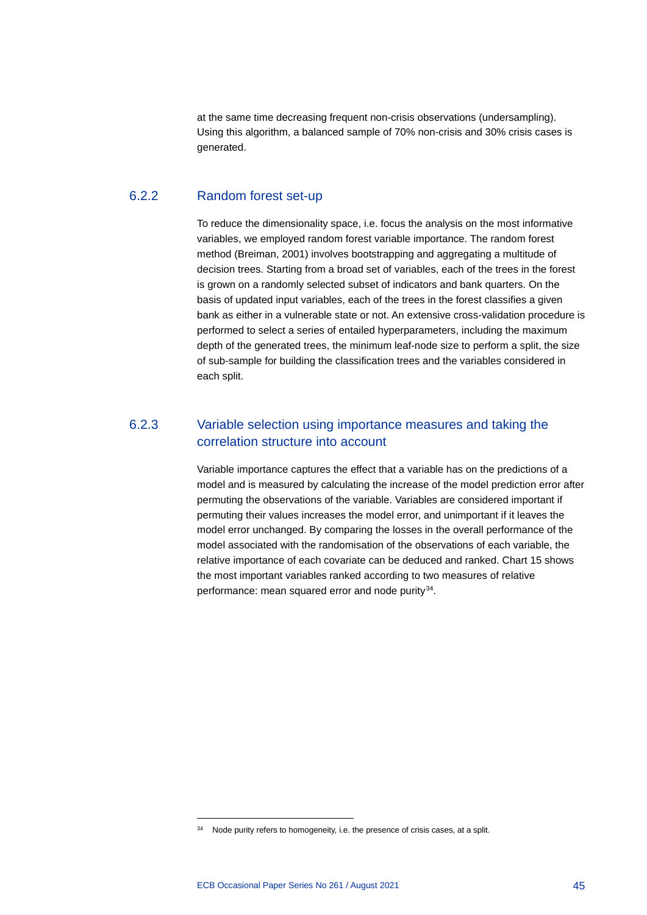at the same time decreasing frequent non-crisis observations (undersampling). Using this algorithm, a balanced sample of 70% non-crisis and 30% crisis cases is generated.

# 6.2.2 Random forest set-up

To reduce the dimensionality space, i.e. focus the analysis on the most informative variables, we employed random forest variable importance. The random forest method (Breiman, 2001) involves bootstrapping and aggregating a multitude of decision trees. Starting from a broad set of variables, each of the trees in the forest is grown on a randomly selected subset of indicators and bank quarters. On the basis of updated input variables, each of the trees in the forest classifies a given bank as either in a vulnerable state or not. An extensive cross-validation procedure is performed to select a series of entailed hyperparameters, including the maximum depth of the generated trees, the minimum leaf-node size to perform a split, the size of sub-sample for building the classification trees and the variables considered in each split.

# 6.2.3 Variable selection using importance measures and taking the correlation structure into account

Variable importance captures the effect that a variable has on the predictions of a model and is measured by calculating the increase of the model prediction error after permuting the observations of the variable. Variables are considered important if permuting their values increases the model error, and unimportant if it leaves the model error unchanged. By comparing the losses in the overall performance of the model associated with the randomisation of the observations of each variable, the relative importance of each covariate can be deduced and ranked. Chart 15 shows the most important variables ranked according to two measures of relative performance: mean squared error and node purity<sup>34</sup>.

<span id="page-45-0"></span><sup>&</sup>lt;sup>34</sup> Node purity refers to homogeneity, i.e. the presence of crisis cases, at a split.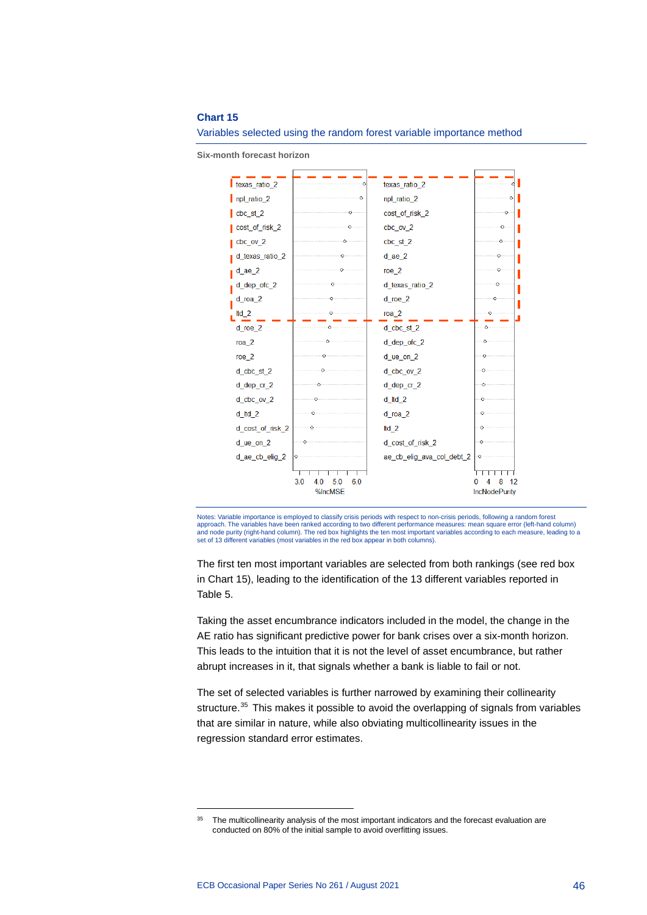#### **Chart 15**



Variables selected using the random forest variable importance method

**Six-month forecast horizon**

Notes: Variable importance is employed to classify crisis periods with respect to non-crisis periods, following a random forest approach. The variables have been ranked according to two different performance measures: mean square error (left-hand column) and node purity (right-hand column). The red box highlights the ten most important variables according to each measure, leading to a set of 13 different variables (most variables in the red box appear in both columns).

The first ten most important variables are selected from both rankings (see red box in Chart 15), leading to the identification of the 13 different variables reported in Table 5.

Taking the asset encumbrance indicators included in the model, the change in the AE ratio has significant predictive power for bank crises over a six-month horizon. This leads to the intuition that it is not the level of asset encumbrance, but rather abrupt increases in it, that signals whether a bank is liable to fail or not.

The set of selected variables is further narrowed by examining their collinearity structure.<sup>[35](#page-46-0)</sup> This makes it possible to avoid the overlapping of signals from variables that are similar in nature, while also obviating multicollinearity issues in the regression standard error estimates.

<span id="page-46-0"></span><sup>&</sup>lt;sup>35</sup> The multicollinearity analysis of the most important indicators and the forecast evaluation are conducted on 80% of the initial sample to avoid overfitting issues.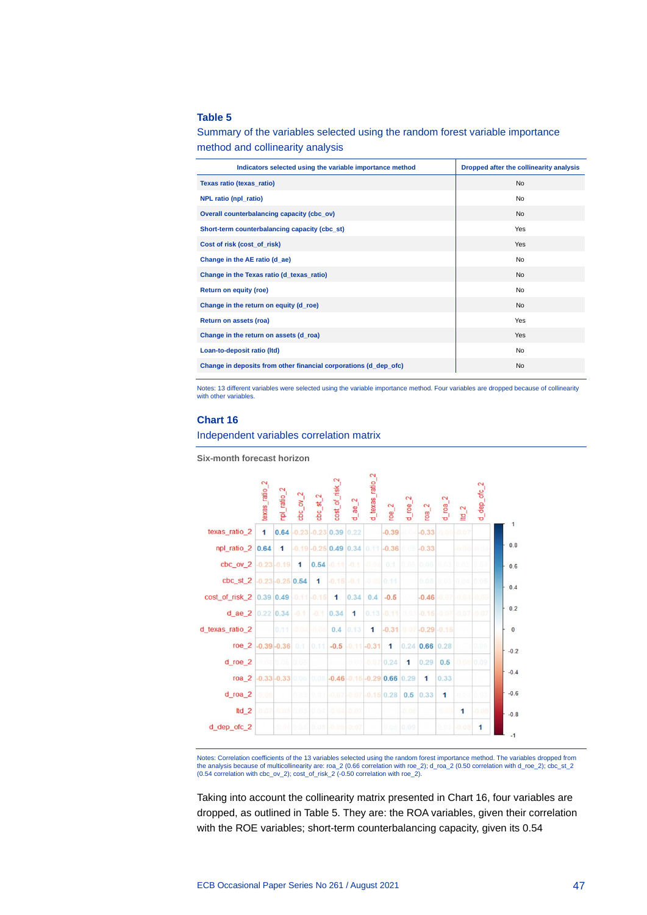### **Table 5**

Summary of the variables selected using the random forest variable importance method and collinearity analysis

| Indicators selected using the variable importance method         | Dropped after the collinearity analysis |
|------------------------------------------------------------------|-----------------------------------------|
| Texas ratio (texas_ratio)                                        | <b>No</b>                               |
| NPL ratio (npl_ratio)                                            | No                                      |
| Overall counterbalancing capacity (cbc_ov)                       | <b>No</b>                               |
| Short-term counterbalancing capacity (cbc_st)                    | Yes                                     |
| Cost of risk (cost_of_risk)                                      | Yes                                     |
| Change in the AE ratio (d_ae)                                    | No                                      |
| Change in the Texas ratio (d_texas_ratio)                        | <b>No</b>                               |
| Return on equity (roe)                                           | No                                      |
| Change in the return on equity (d_roe)                           | <b>No</b>                               |
| Return on assets (roa)                                           | Yes                                     |
| Change in the return on assets (d_roa)                           | <b>Yes</b>                              |
| Loan-to-deposit ratio (Itd)                                      | No                                      |
| Change in deposits from other financial corporations (d_dep_ofc) | <b>No</b>                               |

Notes: 13 different variables were selected using the variable importance method. Four variables are dropped because of collinearity with other variables

#### **Chart 16**

Independent variables correlation matrix

**Six-month forecast horizon**



Notes: Correlation coefficients of the 13 variables selected using the random forest importance method. The variables dropped from<br>the analysis because of multicollinearity are: roa\_2 (0.66 correlation with roe\_2); d\_roa\_2 (0.54 correlation with cbc\_ov\_2); cost\_of\_risk\_2 (-0.50 correlation with roe\_2).

Taking into account the collinearity matrix presented in Chart 16, four variables are dropped, as outlined in Table 5. They are: the ROA variables, given their correlation with the ROE variables; short-term counterbalancing capacity, given its 0.54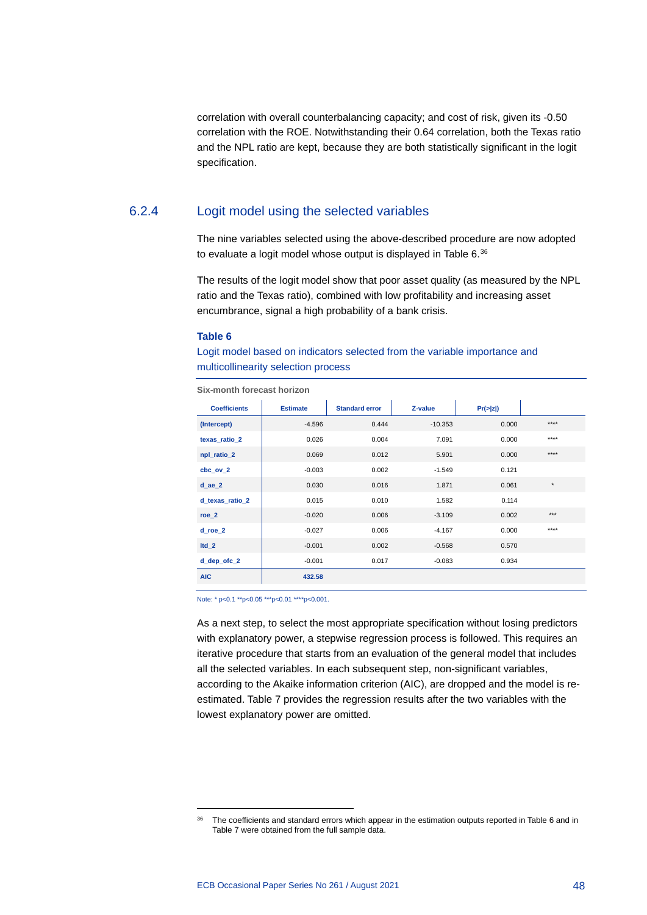correlation with overall counterbalancing capacity; and cost of risk, given its -0.50 correlation with the ROE. Notwithstanding their 0.64 correlation, both the Texas ratio and the NPL ratio are kept, because they are both statistically significant in the logit specification.

## 6.2.4 Logit model using the selected variables

The nine variables selected using the above-described procedure are now adopted to evaluate a logit model whose output is displayed in Table 6.<sup>[36](#page-48-0)</sup>

The results of the logit model show that poor asset quality (as measured by the NPL ratio and the Texas ratio), combined with low profitability and increasing asset encumbrance, signal a high probability of a bank crisis.

#### **Table 6**

Logit model based on indicators selected from the variable importance and multicollinearity selection process

| <b>Coefficients</b> | <b>Estimate</b> | <b>Standard error</b> | Z-value   | Pr(z z ) |         |
|---------------------|-----------------|-----------------------|-----------|----------|---------|
| (Intercept)         | $-4.596$        | 0.444                 | $-10.353$ | 0.000    | $***$   |
| texas ratio 2       | 0.026           | 0.004                 | 7.091     | 0.000    | $***$   |
| npl ratio 2         | 0.069           | 0.012                 | 5.901     | 0.000    | $***$   |
| cbc ov 2            | $-0.003$        | 0.002                 | $-1.549$  | 0.121    |         |
| $d$ ae $2$          | 0.030           | 0.016                 | 1.871     | 0.061    | $\star$ |
| d_texas_ratio_2     | 0.015           | 0.010                 | 1.582     | 0.114    |         |
| roe $2$             | $-0.020$        | 0.006                 | $-3.109$  | 0.002    | $***$   |
| d roe 2             | $-0.027$        | 0.006                 | $-4.167$  | 0.000    | $***$   |
| $Itd_2$             | $-0.001$        | 0.002                 | $-0.568$  | 0.570    |         |
| $d$ dep of $c_2$    | $-0.001$        | 0.017                 | $-0.083$  | 0.934    |         |
| <b>AIC</b>          | 432.58          |                       |           |          |         |

**Six-month forecast horizon**

Note: \* p<0.1 \*\*p<0.05 \*\*\*p<0.01 \*\*\*\*p<0.001.

As a next step, to select the most appropriate specification without losing predictors with explanatory power, a stepwise regression process is followed. This requires an iterative procedure that starts from an evaluation of the general model that includes all the selected variables. In each subsequent step, non-significant variables, according to the Akaike information criterion (AIC), are dropped and the model is reestimated. Table 7 provides the regression results after the two variables with the lowest explanatory power are omitted.

<span id="page-48-0"></span><sup>&</sup>lt;sup>36</sup> The coefficients and standard errors which appear in the estimation outputs reported in Table 6 and in Table 7 were obtained from the full sample data.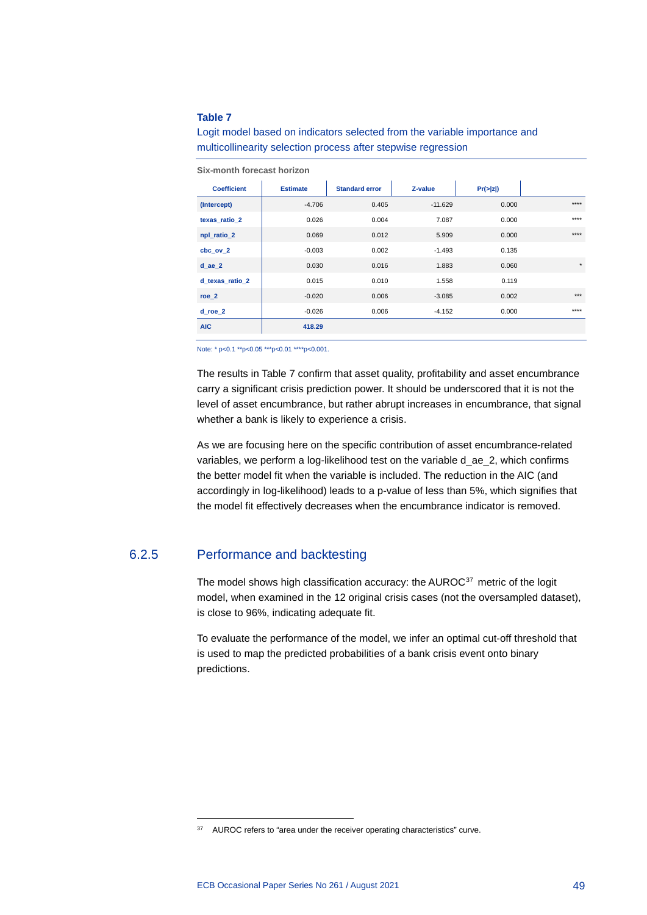### **Table 7**

Logit model based on indicators selected from the variable importance and multicollinearity selection process after stepwise regression

| <b>Coefficient</b> | <b>Estimate</b> | <b>Standard error</b> | Z-value   | Pr(z z ) |          |
|--------------------|-----------------|-----------------------|-----------|----------|----------|
| (Intercept)        | $-4.706$        | 0.405                 | $-11.629$ | 0.000    | $***$    |
| texas ratio 2      | 0.026           | 0.004                 | 7.087     | 0.000    | $***$    |
| npl_ratio_2        | 0.069           | 0.012                 | 5.909     | 0.000    | $***$    |
| cbc ov 2           | $-0.003$        | 0.002                 | $-1.493$  | 0.135    |          |
| $d$ ae $2$         | 0.030           | 0.016                 | 1.883     | 0.060    | $^\star$ |
| d texas ratio 2    | 0.015           | 0.010                 | 1.558     | 0.119    |          |
| roe 2              | $-0.020$        | 0.006                 | $-3.085$  | 0.002    | $***$    |
| d roe 2            | $-0.026$        | 0.006                 | $-4.152$  | 0.000    | $***$    |
| <b>AIC</b>         | 418.29          |                       |           |          |          |

**Six-month forecast horizon**

Note: \* p<0.1 \*\*p<0.05 \*\*\*p<0.01 \*\*\*\*p<0.001.

The results in Table 7 confirm that asset quality, profitability and asset encumbrance carry a significant crisis prediction power. It should be underscored that it is not the level of asset encumbrance, but rather abrupt increases in encumbrance, that signal whether a bank is likely to experience a crisis.

As we are focusing here on the specific contribution of asset encumbrance-related variables, we perform a log-likelihood test on the variable d\_ae\_2, which confirms the better model fit when the variable is included. The reduction in the AIC (and accordingly in log-likelihood) leads to a p-value of less than 5%, which signifies that the model fit effectively decreases when the encumbrance indicator is removed.

## 6.2.5 Performance and backtesting

The model shows high classification accuracy: the AUROC<sup>[37](#page-49-0)</sup> metric of the logit model, when examined in the 12 original crisis cases (not the oversampled dataset), is close to 96%, indicating adequate fit.

To evaluate the performance of the model, we infer an optimal cut-off threshold that is used to map the predicted probabilities of a bank crisis event onto binary predictions.

<span id="page-49-0"></span><sup>&</sup>lt;sup>37</sup> AUROC refers to "area under the receiver operating characteristics" curve.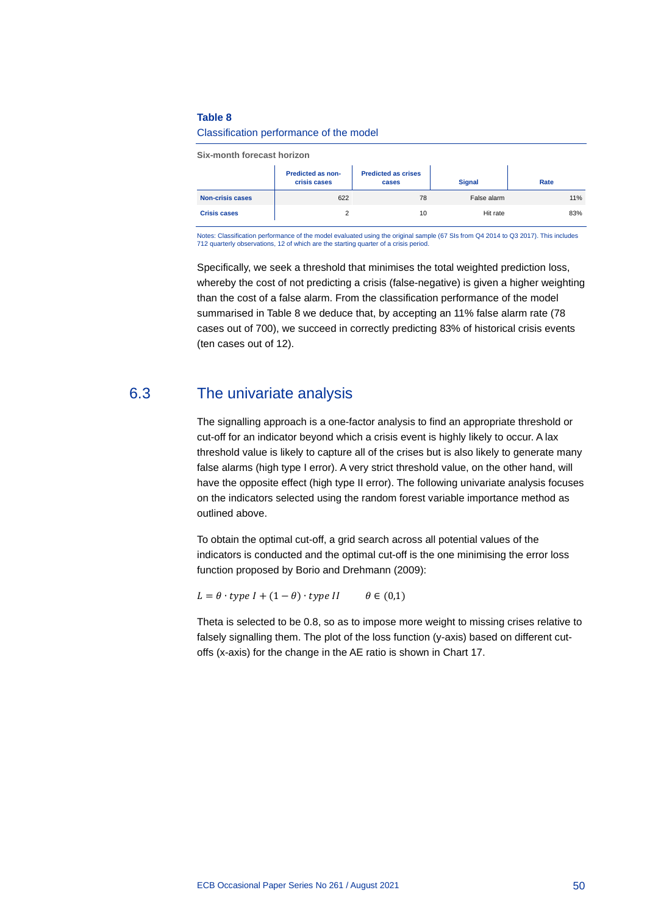### **Table 8**

#### Classification performance of the model

**Six-month forecast horizon**

|                         | <b>Predicted as non-</b><br>crisis cases | <b>Predicted as crises</b><br>cases | <b>Signal</b> | Rate |
|-------------------------|------------------------------------------|-------------------------------------|---------------|------|
| <b>Non-crisis cases</b> | 622                                      | 78                                  | False alarm   | 11%  |
| <b>Crisis cases</b>     |                                          | 10                                  | Hit rate      | 83%  |

Notes: Classification performance of the model evaluated using the original sample (67 SIs from Q4 2014 to Q3 2017). This includes 712 quarterly observations, 12 of which are the starting quarter of a crisis period.

Specifically, we seek a threshold that minimises the total weighted prediction loss, whereby the cost of not predicting a crisis (false-negative) is given a higher weighting than the cost of a false alarm. From the classification performance of the model summarised in Table 8 we deduce that, by accepting an 11% false alarm rate (78 cases out of 700), we succeed in correctly predicting 83% of historical crisis events (ten cases out of 12).

# 6.3 The univariate analysis

The signalling approach is a one-factor analysis to find an appropriate threshold or cut-off for an indicator beyond which a crisis event is highly likely to occur. A lax threshold value is likely to capture all of the crises but is also likely to generate many false alarms (high type I error). A very strict threshold value, on the other hand, will have the opposite effect (high type II error). The following univariate analysis focuses on the indicators selected using the random forest variable importance method as outlined above.

To obtain the optimal cut-off, a grid search across all potential values of the indicators is conducted and the optimal cut-off is the one minimising the error loss function proposed by Borio and Drehmann (2009):

 $L = \theta \cdot type \ I + (1 - \theta) \cdot type \ II$   $\theta \in (0,1)$ 

Theta is selected to be 0.8, so as to impose more weight to missing crises relative to falsely signalling them. The plot of the loss function (y-axis) based on different cutoffs (x-axis) for the change in the AE ratio is shown in Chart 17.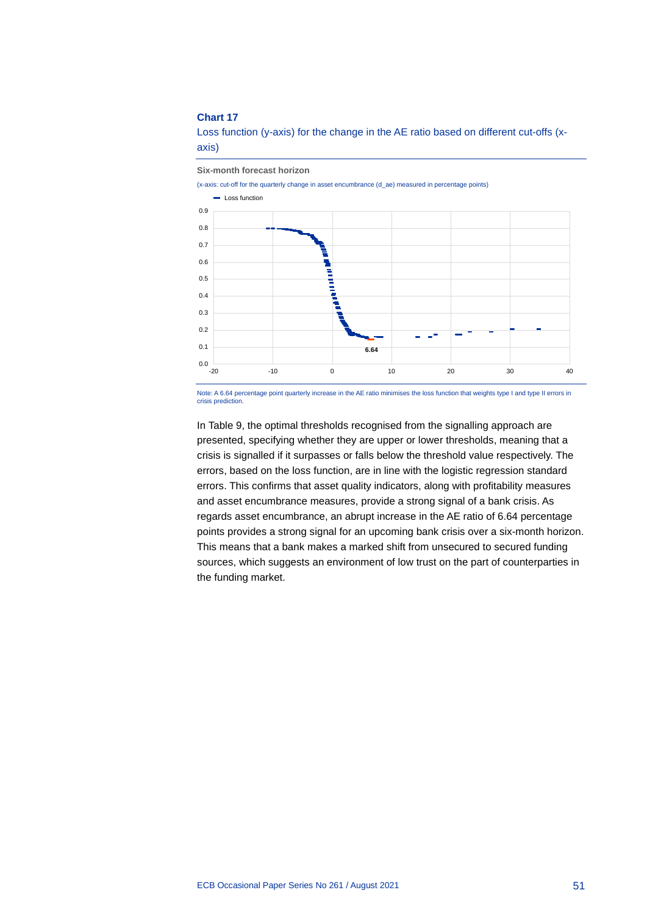### **Chart 17**

 $0.0$  – 20

0.1 0.2 0.3 0.4

Loss function (y-axis) for the change in the AE ratio based on different cut-offs (xaxis)

**Six-month forecast horizon**

(x-axis: cut-off for the quarterly change in asset encumbrance (d\_ae) measured in percentage points) 0.5 0.6 0.7 0.8 0.9 **Loss function** 

Note: A 6.64 percentage point quarterly increase in the AE ratio minimises the loss function that weights type I and type II errors in crisis predict

-20 -10 0 10 20 30 40

**A** ÷

**6.64**

In Table 9, the optimal thresholds recognised from the signalling approach are presented, specifying whether they are upper or lower thresholds, meaning that a crisis is signalled if it surpasses or falls below the threshold value respectively. The errors, based on the loss function, are in line with the logistic regression standard errors. This confirms that asset quality indicators, along with profitability measures and asset encumbrance measures, provide a strong signal of a bank crisis. As regards asset encumbrance, an abrupt increase in the AE ratio of 6.64 percentage points provides a strong signal for an upcoming bank crisis over a six-month horizon. This means that a bank makes a marked shift from unsecured to secured funding sources, which suggests an environment of low trust on the part of counterparties in the funding market.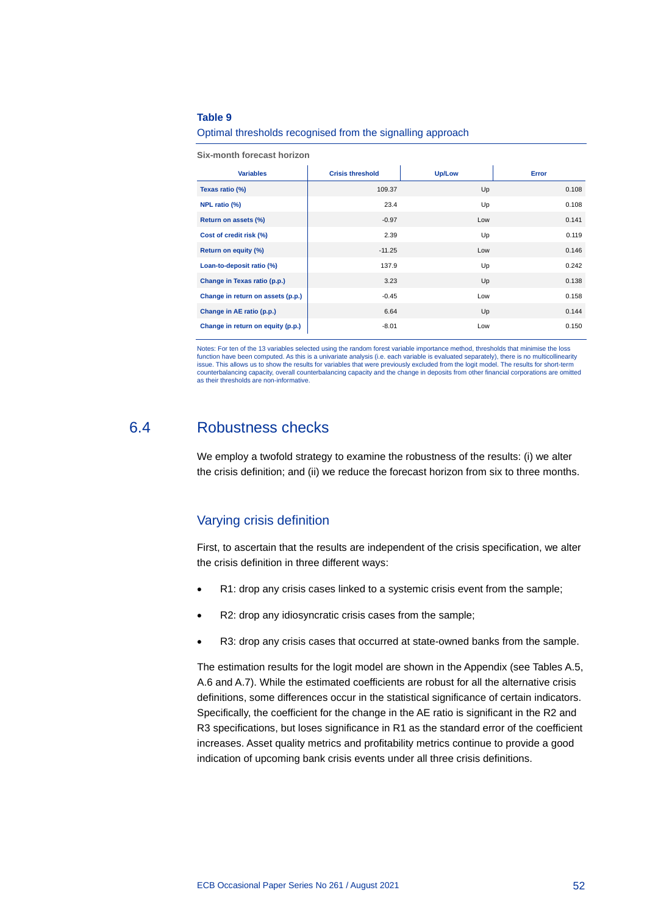### **Table 9**

#### Optimal thresholds recognised from the signalling approach

**Six-month forecast horizon**

| <b>Variables</b>                  | <b>Crisis threshold</b> | Up/Low | Error |
|-----------------------------------|-------------------------|--------|-------|
| Texas ratio (%)                   | 109.37                  | Up     | 0.108 |
| NPL ratio (%)                     | 23.4                    | Up     | 0.108 |
| Return on assets (%)              | $-0.97$                 | Low    | 0.141 |
| Cost of credit risk (%)           | 2.39                    | Up     | 0.119 |
| Return on equity (%)              | $-11.25$                | Low    | 0.146 |
| Loan-to-deposit ratio (%)         | 137.9                   | Up     | 0.242 |
| Change in Texas ratio (p.p.)      | 3.23                    | Up     | 0.138 |
| Change in return on assets (p.p.) | $-0.45$                 | Low    | 0.158 |
| Change in AE ratio (p.p.)         | 6.64                    | Up     | 0.144 |
| Change in return on equity (p.p.) | $-8.01$                 | Low    | 0.150 |

Notes: For ten of the 13 variables selected using the random forest variable importance method, thresholds that minimise the loss function have been computed. As this is a univariate analysis (i.e. each variable is evaluated separately), there is no multicollinearity<br>issue. This allows us to show the results for variables that were previously exclude counterbalancing capacity, overall counterbalancing capacity and the change in deposits from other financial corporations are omitted as their thresholds are non-informative.

## 6.4 Robustness checks

We employ a twofold strategy to examine the robustness of the results: (i) we alter the crisis definition; and (ii) we reduce the forecast horizon from six to three months.

## Varying crisis definition

First, to ascertain that the results are independent of the crisis specification, we alter the crisis definition in three different ways:

- R1: drop any crisis cases linked to a systemic crisis event from the sample;
- R2: drop any idiosyncratic crisis cases from the sample;
- R3: drop any crisis cases that occurred at state-owned banks from the sample.

The estimation results for the logit model are shown in the Appendix (see Tables A.5, A.6 and A.7). While the estimated coefficients are robust for all the alternative crisis definitions, some differences occur in the statistical significance of certain indicators. Specifically, the coefficient for the change in the AE ratio is significant in the R2 and R3 specifications, but loses significance in R1 as the standard error of the coefficient increases. Asset quality metrics and profitability metrics continue to provide a good indication of upcoming bank crisis events under all three crisis definitions.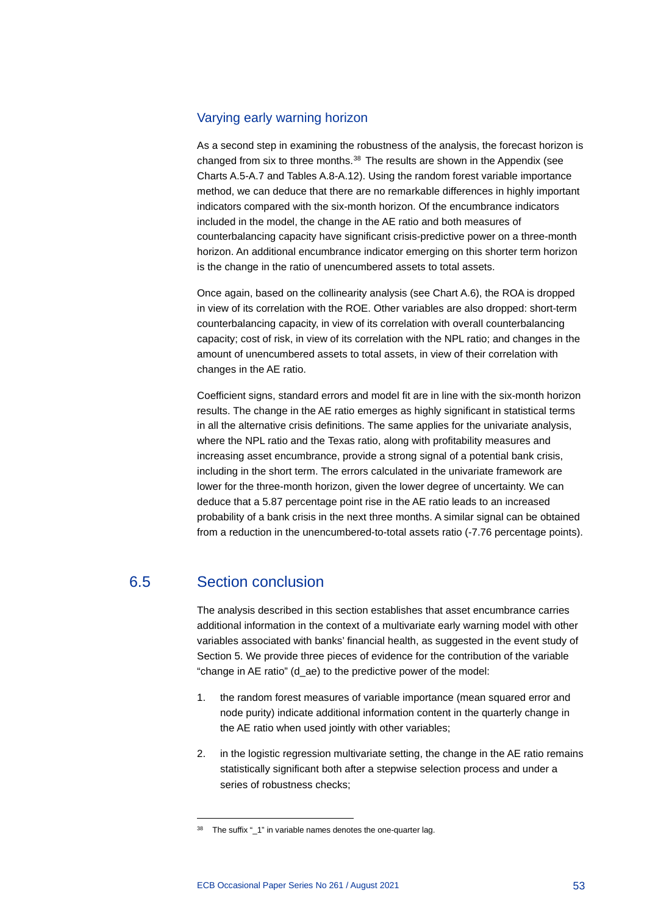## Varying early warning horizon

As a second step in examining the robustness of the analysis, the forecast horizon is changed from six to three months.<sup>[38](#page-53-0)</sup> The results are shown in the Appendix (see Charts A.5-A.7 and Tables A.8-A.12). Using the random forest variable importance method, we can deduce that there are no remarkable differences in highly important indicators compared with the six-month horizon. Of the encumbrance indicators included in the model, the change in the AE ratio and both measures of counterbalancing capacity have significant crisis-predictive power on a three-month horizon. An additional encumbrance indicator emerging on this shorter term horizon is the change in the ratio of unencumbered assets to total assets.

Once again, based on the collinearity analysis (see Chart A.6), the ROA is dropped in view of its correlation with the ROE. Other variables are also dropped: short-term counterbalancing capacity, in view of its correlation with overall counterbalancing capacity; cost of risk, in view of its correlation with the NPL ratio; and changes in the amount of unencumbered assets to total assets, in view of their correlation with changes in the AE ratio.

Coefficient signs, standard errors and model fit are in line with the six-month horizon results. The change in the AE ratio emerges as highly significant in statistical terms in all the alternative crisis definitions. The same applies for the univariate analysis, where the NPL ratio and the Texas ratio, along with profitability measures and increasing asset encumbrance, provide a strong signal of a potential bank crisis, including in the short term. The errors calculated in the univariate framework are lower for the three-month horizon, given the lower degree of uncertainty. We can deduce that a 5.87 percentage point rise in the AE ratio leads to an increased probability of a bank crisis in the next three months. A similar signal can be obtained from a reduction in the unencumbered-to-total assets ratio (-7.76 percentage points).

# 6.5 Section conclusion

The analysis described in this section establishes that asset encumbrance carries additional information in the context of a multivariate early warning model with other variables associated with banks' financial health, as suggested in the event study of Section 5. We provide three pieces of evidence for the contribution of the variable "change in AE ratio" (d\_ae) to the predictive power of the model:

- 1. the random forest measures of variable importance (mean squared error and node purity) indicate additional information content in the quarterly change in the AE ratio when used jointly with other variables;
- 2. in the logistic regression multivariate setting, the change in the AE ratio remains statistically significant both after a stepwise selection process and under a series of robustness checks;

<span id="page-53-0"></span> $38$  The suffix " 1" in variable names denotes the one-quarter lag.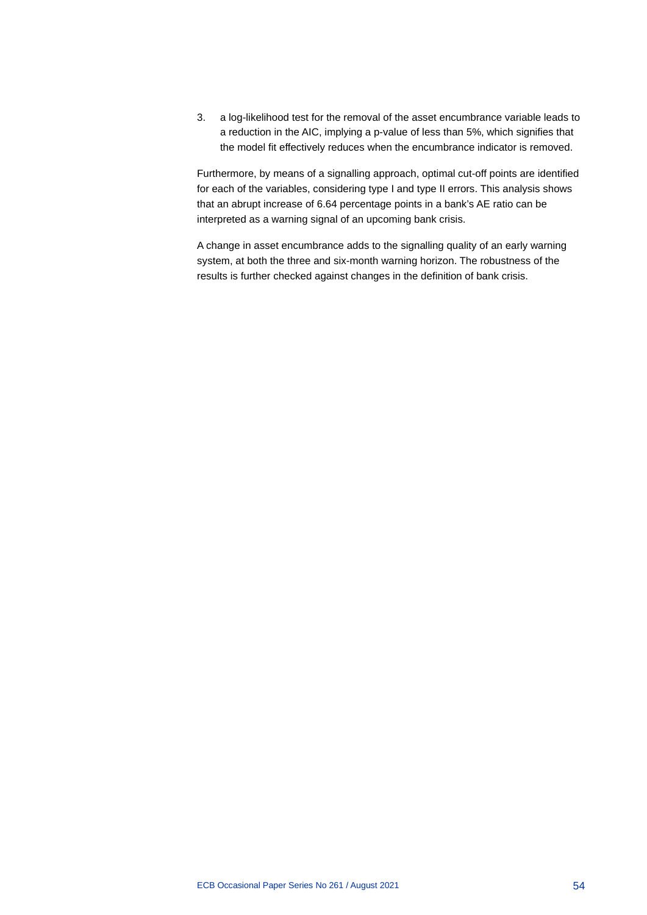3. a log-likelihood test for the removal of the asset encumbrance variable leads to a reduction in the AIC, implying a p-value of less than 5%, which signifies that the model fit effectively reduces when the encumbrance indicator is removed.

Furthermore, by means of a signalling approach, optimal cut-off points are identified for each of the variables, considering type I and type II errors. This analysis shows that an abrupt increase of 6.64 percentage points in a bank's AE ratio can be interpreted as a warning signal of an upcoming bank crisis.

A change in asset encumbrance adds to the signalling quality of an early warning system, at both the three and six-month warning horizon. The robustness of the results is further checked against changes in the definition of bank crisis.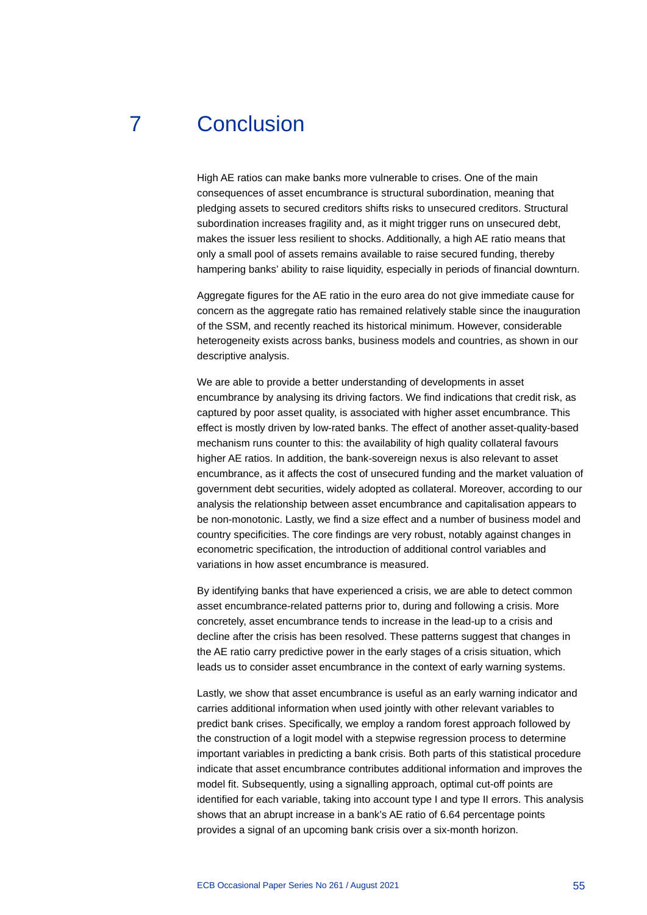# 7 Conclusion

High AE ratios can make banks more vulnerable to crises. One of the main consequences of asset encumbrance is structural subordination, meaning that pledging assets to secured creditors shifts risks to unsecured creditors. Structural subordination increases fragility and, as it might trigger runs on unsecured debt, makes the issuer less resilient to shocks. Additionally, a high AE ratio means that only a small pool of assets remains available to raise secured funding, thereby hampering banks' ability to raise liquidity, especially in periods of financial downturn.

Aggregate figures for the AE ratio in the euro area do not give immediate cause for concern as the aggregate ratio has remained relatively stable since the inauguration of the SSM, and recently reached its historical minimum. However, considerable heterogeneity exists across banks, business models and countries, as shown in our descriptive analysis.

We are able to provide a better understanding of developments in asset encumbrance by analysing its driving factors. We find indications that credit risk, as captured by poor asset quality, is associated with higher asset encumbrance. This effect is mostly driven by low-rated banks. The effect of another asset-quality-based mechanism runs counter to this: the availability of high quality collateral favours higher AE ratios. In addition, the bank-sovereign nexus is also relevant to asset encumbrance, as it affects the cost of unsecured funding and the market valuation of government debt securities, widely adopted as collateral. Moreover, according to our analysis the relationship between asset encumbrance and capitalisation appears to be non-monotonic. Lastly, we find a size effect and a number of business model and country specificities. The core findings are very robust, notably against changes in econometric specification, the introduction of additional control variables and variations in how asset encumbrance is measured.

By identifying banks that have experienced a crisis, we are able to detect common asset encumbrance-related patterns prior to, during and following a crisis. More concretely, asset encumbrance tends to increase in the lead-up to a crisis and decline after the crisis has been resolved. These patterns suggest that changes in the AE ratio carry predictive power in the early stages of a crisis situation, which leads us to consider asset encumbrance in the context of early warning systems.

Lastly, we show that asset encumbrance is useful as an early warning indicator and carries additional information when used jointly with other relevant variables to predict bank crises. Specifically, we employ a random forest approach followed by the construction of a logit model with a stepwise regression process to determine important variables in predicting a bank crisis. Both parts of this statistical procedure indicate that asset encumbrance contributes additional information and improves the model fit. Subsequently, using a signalling approach, optimal cut-off points are identified for each variable, taking into account type I and type II errors. This analysis shows that an abrupt increase in a bank's AE ratio of 6.64 percentage points provides a signal of an upcoming bank crisis over a six-month horizon.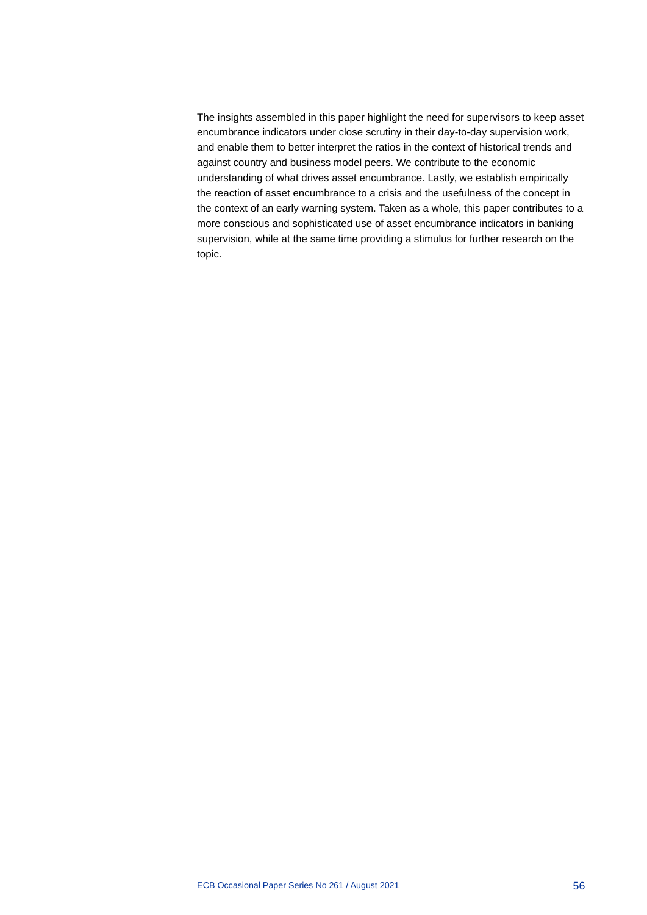The insights assembled in this paper highlight the need for supervisors to keep asset encumbrance indicators under close scrutiny in their day-to-day supervision work, and enable them to better interpret the ratios in the context of historical trends and against country and business model peers. We contribute to the economic understanding of what drives asset encumbrance. Lastly, we establish empirically the reaction of asset encumbrance to a crisis and the usefulness of the concept in the context of an early warning system. Taken as a whole, this paper contributes to a more conscious and sophisticated use of asset encumbrance indicators in banking supervision, while at the same time providing a stimulus for further research on the topic.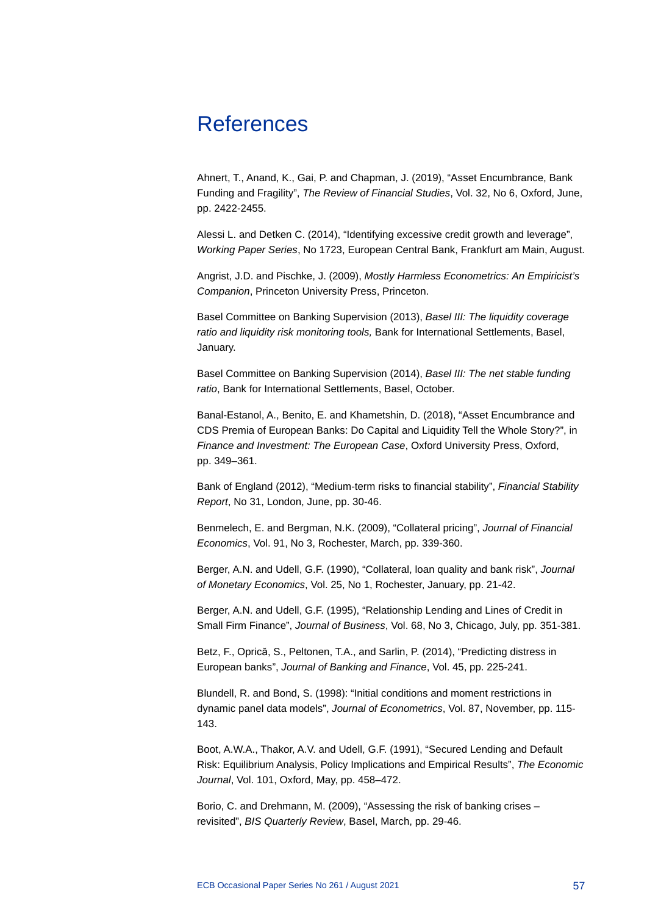# References

Ahnert, T., Anand, K., Gai, P. and Chapman, J. (2019), "Asset Encumbrance, Bank Funding and Fragility", *The Review of Financial Studies*, Vol. 32, No 6, Oxford, June, pp. 2422-2455.

Alessi L. and Detken C. (2014), "Identifying excessive credit growth and leverage", *Working Paper Series*, No 1723, European Central Bank, Frankfurt am Main, August.

Angrist, J.D. and Pischke, J. (2009), *Mostly Harmless Econometrics: An Empiricist's Companion*, Princeton University Press, Princeton.

Basel Committee on Banking Supervision (2013), *Basel III: The liquidity coverage ratio and liquidity risk monitoring tools,* Bank for International Settlements, Basel, January.

Basel Committee on Banking Supervision (2014), *Basel III: The net stable funding ratio*, Bank for International Settlements, Basel, October.

Banal-Estanol, A., Benito, E. and Khametshin, D. (2018), "Asset Encumbrance and CDS Premia of European Banks: Do Capital and Liquidity Tell the Whole Story?", in *Finance and Investment: The European Case*, Oxford University Press, Oxford, pp. 349–361.

Bank of England (2012), "Medium-term risks to financial stability", *Financial Stability Report*, No 31, London, June, pp. 30-46.

Benmelech, E. and Bergman, N.K. (2009), "Collateral pricing", *Journal of Financial Economics*, Vol. 91, No 3, Rochester, March, pp. 339-360.

Berger, A.N. and Udell, G.F. (1990), "Collateral, loan quality and bank risk", *Journal of Monetary Economics*, Vol. 25, No 1, Rochester, January, pp. 21-42.

Berger, A.N. and Udell, G.F. (1995), "Relationship Lending and Lines of Credit in Small Firm Finance", *Journal of Business*, Vol. 68, No 3, Chicago, July, pp. 351-381.

Betz, F., Oprică, S., Peltonen, T.A., and Sarlin, P. (2014), "Predicting distress in European banks", *Journal of Banking and Finance*, Vol. 45, pp. 225-241.

Blundell, R. and Bond, S. (1998): "Initial conditions and moment restrictions in dynamic panel data models", *Journal of Econometrics*, Vol. 87, November, pp. 115- 143.

Boot, A.W.A., Thakor, A.V. and Udell, G.F. (1991), "Secured Lending and Default Risk: Equilibrium Analysis, Policy Implications and Empirical Results", *The Economic Journal*, Vol. 101, Oxford, May, pp. 458–472.

Borio, C. and Drehmann, M. (2009), "Assessing the risk of banking crises – revisited", *BIS Quarterly Review*, Basel, March, pp. 29-46.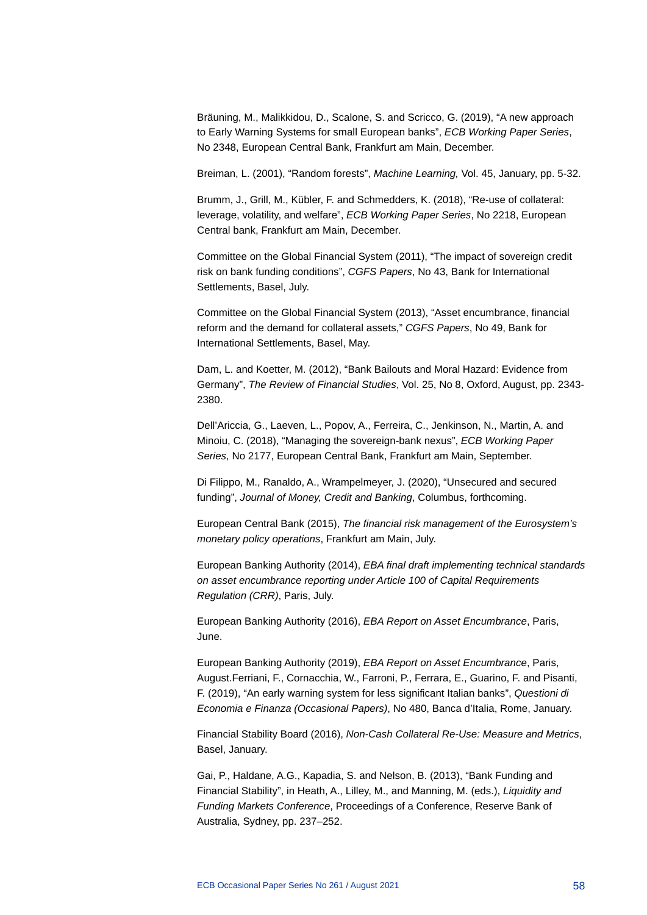Bräuning, M., Malikkidou, D., Scalone, S. and Scricco, G. (2019), "A new approach to Early Warning Systems for small European banks", *ECB Working Paper Series*, No 2348, European Central Bank, Frankfurt am Main, December.

Breiman, L. (2001), "Random forests", *Machine Learning,* Vol. 45, January, pp. 5-32.

Brumm, J., Grill, M., Kübler, F. and Schmedders, K. (2018), "Re-use of collateral: leverage, volatility, and welfare", *ECB Working Paper Series*, No 2218, European Central bank, Frankfurt am Main, December.

Committee on the Global Financial System (2011), "The impact of sovereign credit risk on bank funding conditions", *CGFS Papers*, No 43, Bank for International Settlements, Basel, July.

Committee on the Global Financial System (2013), "Asset encumbrance, financial reform and the demand for collateral assets," *CGFS Papers*, No 49, Bank for International Settlements, Basel, May.

Dam, L. and Koetter, M. (2012), "Bank Bailouts and Moral Hazard: Evidence from Germany", *The Review of Financial Studies*, Vol. 25, No 8, Oxford, August, pp. 2343- 2380.

Dell'Ariccia, G., Laeven, L., Popov, A., Ferreira, C., Jenkinson, N., Martin, A. and Minoiu, C. (2018), "Managing the sovereign-bank nexus", *ECB Working Paper Series,* No 2177, European Central Bank, Frankfurt am Main, September.

Di Filippo, M., Ranaldo, A., Wrampelmeyer, J. (2020), "Unsecured and secured funding", *Journal of Money, Credit and Banking*, Columbus, forthcoming.

European Central Bank (2015), *The financial risk management of the Eurosystem's monetary policy operations*, Frankfurt am Main, July.

European Banking Authority (2014), *EBA final draft implementing technical standards on asset encumbrance reporting under Article 100 of Capital Requirements Regulation (CRR)*, Paris, July.

European Banking Authority (2016), *EBA Report on Asset Encumbrance*, Paris, June.

European Banking Authority (2019), *EBA Report on Asset Encumbrance*, Paris, August.Ferriani, F., Cornacchia, W., Farroni, P., Ferrara, E., Guarino, F. and Pisanti, F. (2019), "An early warning system for less significant Italian banks", *Questioni di Economia e Finanza (Occasional Papers)*, No 480, Banca d'Italia, Rome, January.

Financial Stability Board (2016), *Non-Cash Collateral Re-Use: Measure and Metrics*, Basel, January.

Gai, P., Haldane, A.G., Kapadia, S. and Nelson, B. (2013), "Bank Funding and Financial Stability", in Heath, A., Lilley, M., and Manning, M. (eds.), *Liquidity and Funding Markets Conference*, Proceedings of a Conference, Reserve Bank of Australia, Sydney, pp. 237–252.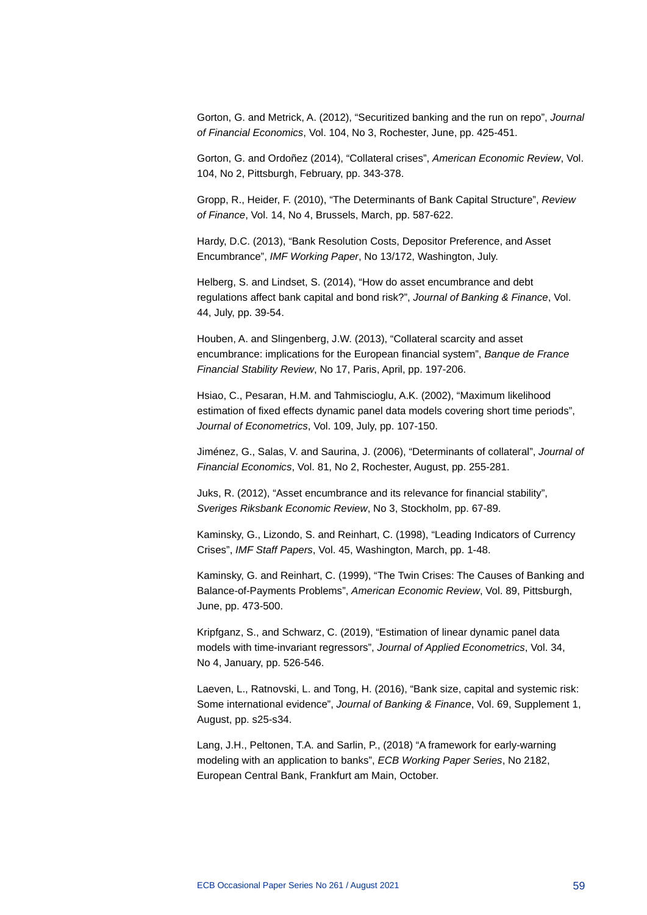Gorton, G. and Metrick, A. (2012), "Securitized banking and the run on repo", *Journal of Financial Economics*, Vol. 104, No 3, Rochester, June, pp. 425-451.

Gorton, G. and Ordoñez (2014), "Collateral crises", *American Economic Review*, Vol. 104, No 2, Pittsburgh, February, pp. 343-378.

Gropp, R., Heider, F. (2010), "The Determinants of Bank Capital Structure", *Review of Finance*, Vol. 14, No 4, Brussels, March, pp. 587-622.

Hardy, D.C. (2013), "Bank Resolution Costs, Depositor Preference, and Asset Encumbrance", *IMF Working Paper*, No 13/172, Washington, July.

Helberg, S. and Lindset, S. (2014), "How do asset encumbrance and debt regulations affect bank capital and bond risk?", *Journal of Banking & Finance*, Vol. 44, July, pp. 39-54.

Houben, A. and Slingenberg, J.W. (2013), "Collateral scarcity and asset encumbrance: implications for the European financial system", *Banque de France Financial Stability Review*, No 17, Paris, April, pp. 197-206.

Hsiao, C., Pesaran, H.M. and Tahmiscioglu, A.K. (2002), "Maximum likelihood estimation of fixed effects dynamic panel data models covering short time periods", *Journal of Econometrics*, Vol. 109, July, pp. 107-150.

Jiménez, G., Salas, V. and Saurina, J. (2006), "Determinants of collateral", *Journal of Financial Economics*, Vol. 81, No 2, Rochester, August, pp. 255-281.

Juks, R. (2012), "Asset encumbrance and its relevance for financial stability", *Sveriges Riksbank Economic Review*, No 3, Stockholm, pp. 67-89.

Kaminsky, G., Lizondo, S. and Reinhart, C. (1998), "Leading Indicators of Currency Crises", *IMF Staff Papers*, Vol. 45, Washington, March, pp. 1-48.

Kaminsky, G. and Reinhart, C. (1999), "The Twin Crises: The Causes of Banking and Balance-of-Payments Problems", *American Economic Review*, Vol. 89, Pittsburgh, June, pp. 473-500.

Kripfganz, S., and Schwarz, C. (2019), "Estimation of linear dynamic panel data models with time-invariant regressors", *Journal of Applied Econometrics*, Vol. 34, No 4, January, pp. 526-546.

Laeven, L., Ratnovski, L. and Tong, H. (2016), "Bank size, capital and systemic risk: Some international evidence", *Journal of Banking & Finance*, Vol. 69, Supplement 1, August, pp. s25-s34.

Lang, J.H., Peltonen, T.A. and Sarlin, P., (2018) "A framework for early-warning modeling with an application to banks", *ECB Working Paper Series*, No 2182, European Central Bank, Frankfurt am Main, October.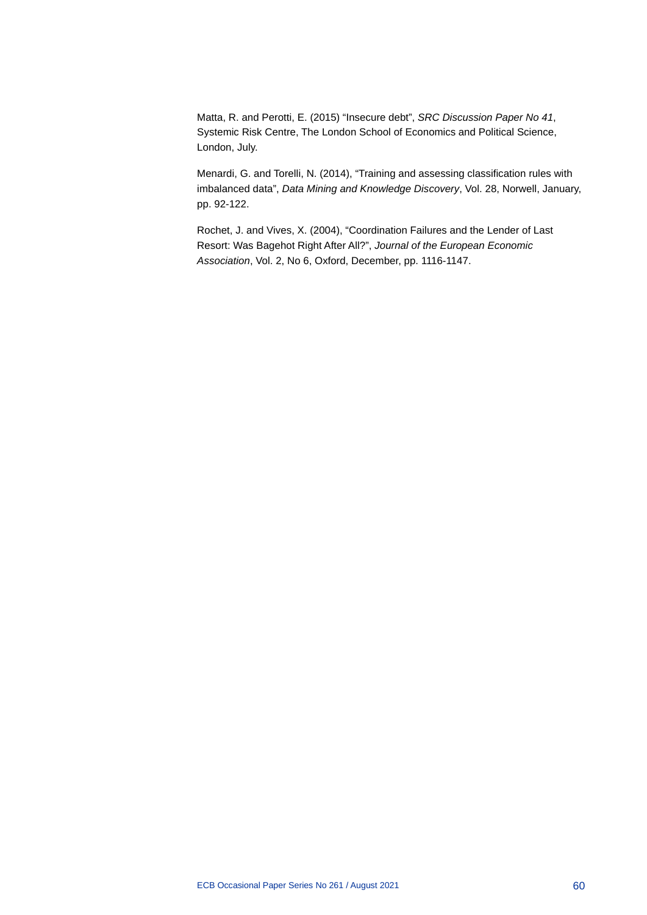Matta, R. and Perotti, E. (2015) "Insecure debt", *SRC Discussion Paper No 41*, Systemic Risk Centre, The London School of Economics and Political Science, London, July.

Menardi, G. and Torelli, N. (2014), "Training and assessing classification rules with imbalanced data", *Data Mining and Knowledge Discovery*, Vol. 28, Norwell, January, pp. 92-122.

Rochet, J. and Vives, X. (2004), "Coordination Failures and the Lender of Last Resort: Was Bagehot Right After All?", *Journal of the European Economic Association*, Vol. 2, No 6, Oxford, December, pp. 1116-1147.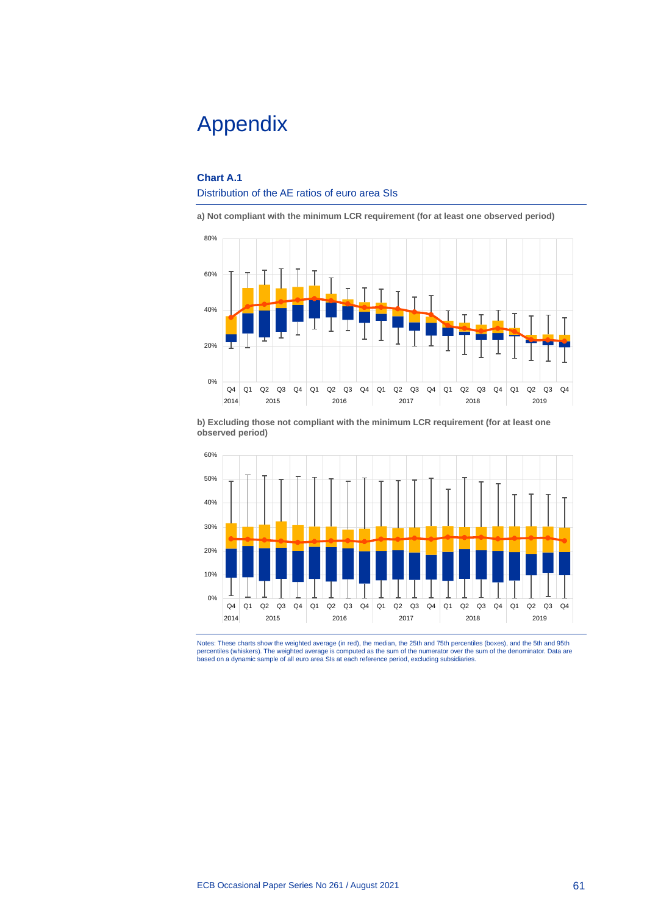# Appendix

### **Chart A.1**

### Distribution of the AE ratios of euro area SIs

**a) Not compliant with the minimum LCR requirement (for at least one observed period)**



**b) Excluding those not compliant with the minimum LCR requirement (for at least one observed period)**



Notes: These charts show the weighted average (in red), the median, the 25th and 75th percentiles (boxes), and the 5th and 95th<br>percentiles (whiskers). The weighted average is computed as the sum of the numerator over the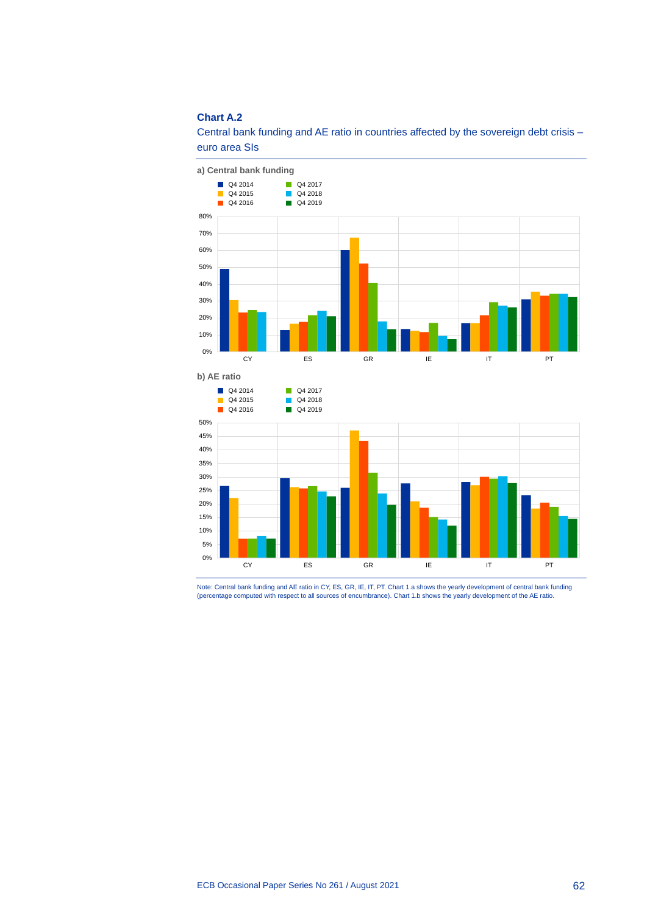### **Chart A.2**



Central bank funding and AE ratio in countries affected by the sovereign debt crisis – euro area SIs

Note: Central bank funding and AE ratio in CY, ES, GR, IE, IT, PT. Chart 1.a shows the yearly development of central bank funding<br>(percentage computed with respect to all sources of encumbrance). Chart 1.b shows the yearly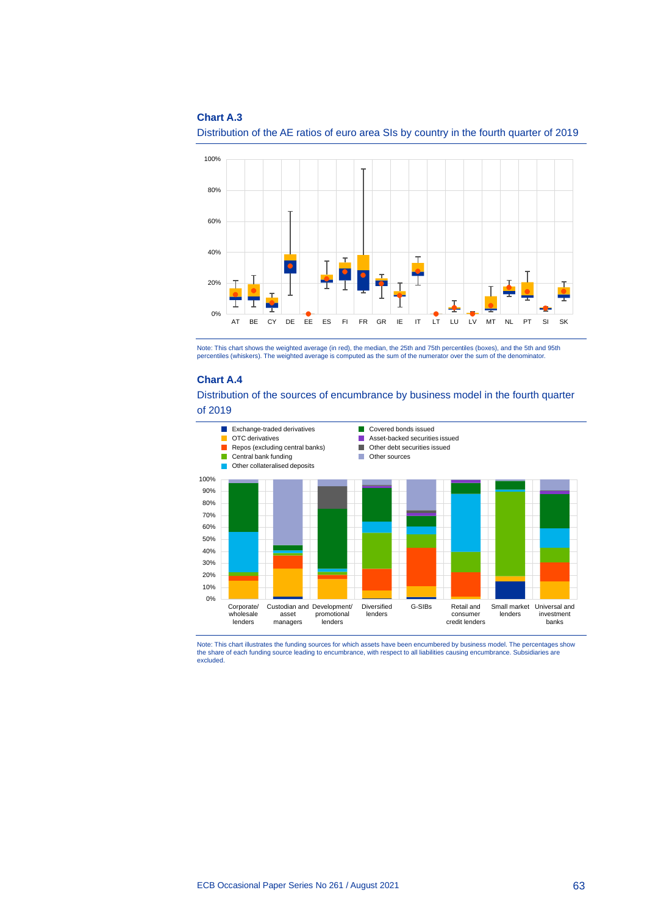### **Chart A.3**



Distribution of the AE ratios of euro area SIs by country in the fourth quarter of 2019

Note: This chart shows the weighted average (in red), the median, the 25th and 75th percentiles (boxes), and the 5th and 95th percentiles (whiskers). The weighted average is computed as the sum of the numerator over the sum of the denominator.

#### **Chart A.4**

Distribution of the sources of encumbrance by business model in the fourth quarter

of 2019



Note: This chart illustrates the funding sources for which assets have been encumbered by business model. The percentages show the share of each funding source leading to encumbrance, with respect to all liabilities causing encumbrance. Subsidiaries are excluded.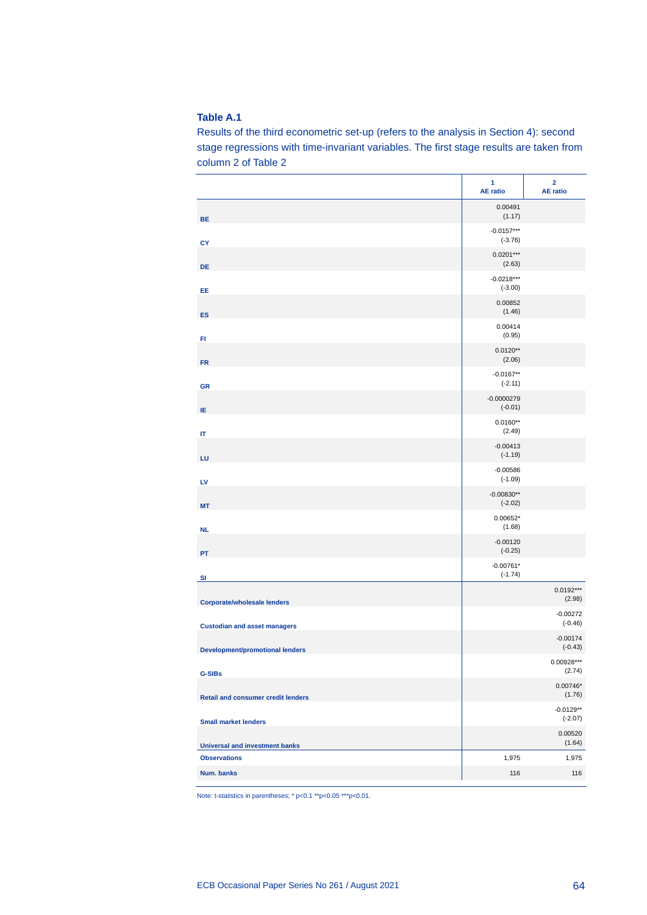Results of the third econometric set-up (refers to the analysis in Section 4): second stage regressions with time-invariant variables. The first stage results are taken from column 2 of Table 2

|                                           | 1<br><b>AE</b> ratio      | $\overline{\mathbf{2}}$<br><b>AE</b> ratio |
|-------------------------------------------|---------------------------|--------------------------------------------|
| <b>BE</b>                                 | 0.00491<br>(1.17)         |                                            |
| CY                                        | $-0.0157***$<br>$(-3.76)$ |                                            |
| <b>DE</b>                                 | $0.0201***$<br>(2.63)     |                                            |
| EE                                        | $-0.0218***$<br>$(-3.00)$ |                                            |
| <b>ES</b>                                 | 0.00852<br>(1.46)         |                                            |
| FI                                        | 0.00414<br>(0.95)         |                                            |
| <b>FR</b>                                 | $0.0120**$<br>(2.06)      |                                            |
| <b>GR</b>                                 | $-0.0167**$<br>$(-2.11)$  |                                            |
| ΙE                                        | $-0.0000279$<br>$(-0.01)$ |                                            |
| IT                                        | $0.0160**$<br>(2.49)      |                                            |
| LU                                        | $-0.00413$<br>$(-1.19)$   |                                            |
| LV                                        | $-0.00586$<br>$(-1.09)$   |                                            |
| <b>MT</b>                                 | $-0.00830**$<br>$(-2.02)$ |                                            |
| <b>NL</b>                                 | $0.00652*$<br>(1.68)      |                                            |
| PT                                        | $-0.00120$<br>$(-0.25)$   |                                            |
| S <sub>1</sub>                            | $-0.00761*$<br>$(-1.74)$  |                                            |
| <b>Corporate/wholesale lenders</b>        |                           | $0.0192***$<br>(2.98)                      |
| <b>Custodian and asset managers</b>       |                           | $-0.00272$<br>$(-0.46)$                    |
| <b>Development/promotional lenders</b>    |                           | $-0.00174$<br>$(-0.43)$                    |
| <b>G-SIBs</b>                             |                           | $0.00928***$<br>(2.74)                     |
| <b>Retail and consumer credit lenders</b> |                           | $0.00746*$<br>(1.76)                       |
| <b>Small market lenders</b>               |                           | $-0.0129**$<br>$(-2.07)$                   |
| <b>Universal and investment banks</b>     |                           | 0.00520<br>(1.64)                          |
| <b>Observations</b>                       | 1,975                     | 1,975                                      |
| Num. banks                                | 116                       | 116                                        |

Note: t-statistics in parentheses; \* p<0.1 \*\*p<0.05 \*\*\*p<0.01.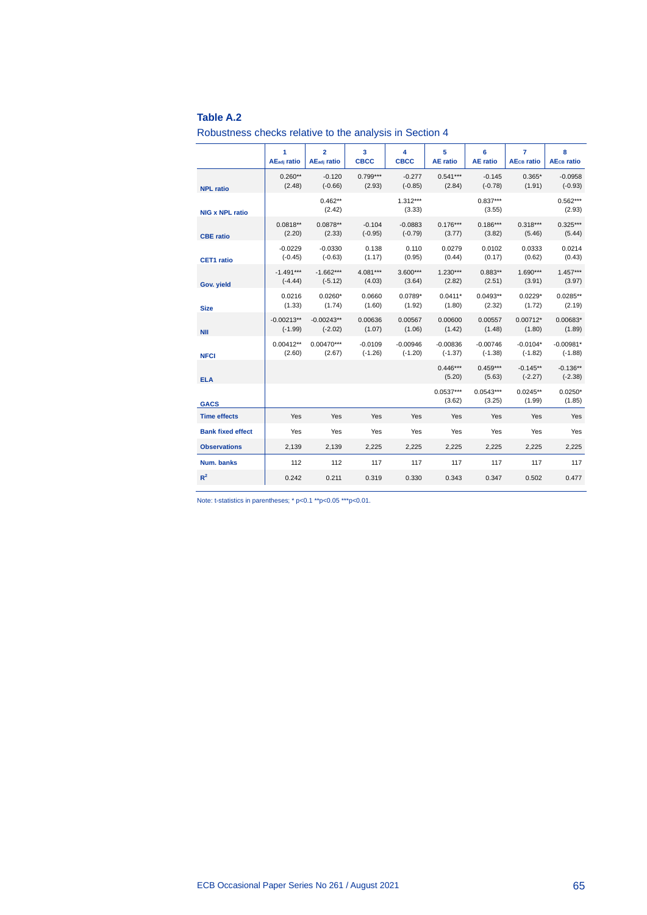Robustness checks relative to the analysis in Section 4

|                          | 1                       | $\overline{2}$          | 3           | 4                    | 5                     | 6                     | 7                            | 8                            |
|--------------------------|-------------------------|-------------------------|-------------|----------------------|-----------------------|-----------------------|------------------------------|------------------------------|
|                          | AE <sub>adi</sub> ratio | AE <sub>adi</sub> ratio | <b>CBCC</b> | <b>CBCC</b>          | <b>AE</b> ratio       | <b>AE</b> ratio       | <b>AE<sub>CB</sub></b> ratio | <b>AE<sub>CB</sub></b> ratio |
| <b>NPL ratio</b>         | $0.260**$               | $-0.120$                | $0.799***$  | $-0.277$             | $0.541***$            | $-0.145$              | $0.365*$                     | $-0.0958$                    |
|                          | (2.48)                  | $(-0.66)$               | (2.93)      | $(-0.85)$            | (2.84)                | $(-0.78)$             | (1.91)                       | $(-0.93)$                    |
| <b>NIG x NPL ratio</b>   |                         | $0.462**$<br>(2.42)     |             | $1.312***$<br>(3.33) |                       | $0.837***$<br>(3.55)  |                              | $0.562***$<br>(2.93)         |
| <b>CBE</b> ratio         | $0.0818**$              | $0.0878**$              | $-0.104$    | $-0.0883$            | $0.176***$            | $0.186***$            | $0.318***$                   | $0.325***$                   |
|                          | (2.20)                  | (2.33)                  | $(-0.95)$   | $(-0.79)$            | (3.77)                | (3.82)                | (5.46)                       | (5.44)                       |
| <b>CET1</b> ratio        | $-0.0229$               | $-0.0330$               | 0.138       | 0.110                | 0.0279                | 0.0102                | 0.0333                       | 0.0214                       |
|                          | $(-0.45)$               | $(-0.63)$               | (1.17)      | (0.95)               | (0.44)                | (0.17)                | (0.62)                       | (0.43)                       |
| Gov. yield               | $-1.491***$             | $-1.662***$             | $4.081***$  | $3.600***$           | $1.230***$            | $0.883**$             | $1.690***$                   | $1.457***$                   |
|                          | $(-4.44)$               | $(-5.12)$               | (4.03)      | (3.64)               | (2.82)                | (2.51)                | (3.91)                       | (3.97)                       |
| <b>Size</b>              | 0.0216                  | $0.0260*$               | 0.0660      | $0.0789*$            | $0.0411*$             | $0.0493**$            | $0.0229*$                    | $0.0285**$                   |
|                          | (1.33)                  | (1.74)                  | (1.60)      | (1.92)               | (1.80)                | (2.32)                | (1.72)                       | (2.19)                       |
| <b>NII</b>               | $-0.00213**$            | $-0.00243**$            | 0.00636     | 0.00567              | 0.00600               | 0.00557               | $0.00712*$                   | $0.00683*$                   |
|                          | $(-1.99)$               | $(-2.02)$               | (1.07)      | (1.06)               | (1.42)                | (1.48)                | (1.80)                       | (1.89)                       |
| <b>NFCI</b>              | $0.00412**$             | $0.00470***$            | $-0.0109$   | $-0.00946$           | $-0.00836$            | $-0.00746$            | $-0.0104*$                   | $-0.00981*$                  |
|                          | (2.60)                  | (2.67)                  | $(-1.26)$   | $(-1.20)$            | $(-1.37)$             | $(-1.38)$             | $(-1.82)$                    | $(-1.88)$                    |
| <b>ELA</b>               |                         |                         |             |                      | $0.446***$<br>(5.20)  | $0.459***$<br>(5.63)  | $-0.145**$<br>$(-2.27)$      | $-0.136**$<br>$(-2.38)$      |
| <b>GACS</b>              |                         |                         |             |                      | $0.0537***$<br>(3.62) | $0.0543***$<br>(3.25) | $0.0245**$<br>(1.99)         | $0.0250*$<br>(1.85)          |
| <b>Time effects</b>      | Yes                     | Yes                     | Yes         | Yes                  | Yes                   | Yes                   | Yes                          | Yes                          |
| <b>Bank fixed effect</b> | Yes                     | Yes                     | Yes         | Yes                  | Yes                   | Yes                   | Yes                          | Yes                          |
| <b>Observations</b>      | 2,139                   | 2,139                   | 2,225       | 2,225                | 2,225                 | 2,225                 | 2,225                        | 2,225                        |
| Num. banks               | 112                     | 112                     | 117         | 117                  | 117                   | 117                   | 117                          | 117                          |
| $R^2$                    | 0.242                   | 0.211                   | 0.319       | 0.330                | 0.343                 | 0.347                 | 0.502                        | 0.477                        |

Note: t-statistics in parentheses; \* p<0.1 \*\*p<0.05 \*\*\*p<0.01.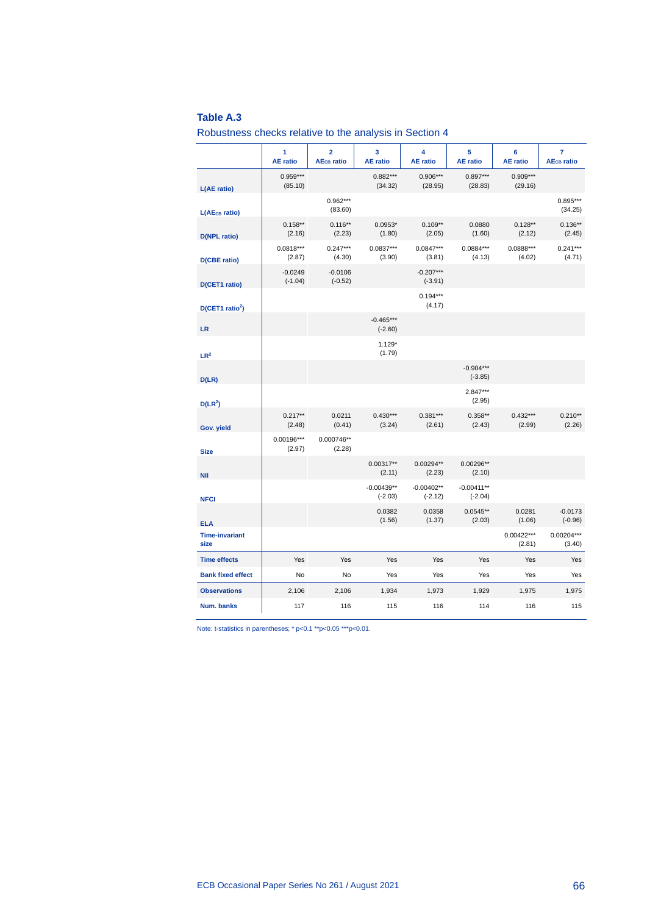Robustness checks relative to the analysis in Section 4

|                               | 1<br><b>AE</b> ratio   | $\overline{\mathbf{2}}$<br><b>AE<sub>CB</sub></b> ratio | 3<br><b>AE</b> ratio      | 4<br><b>AE</b> ratio      | 5<br><b>AE</b> ratio      | 6<br><b>AE</b> ratio   | $\overline{7}$<br><b>AE<sub>CB</sub></b> ratio |
|-------------------------------|------------------------|---------------------------------------------------------|---------------------------|---------------------------|---------------------------|------------------------|------------------------------------------------|
| L(AE ratio)                   | $0.959***$<br>(85.10)  |                                                         | $0.882***$<br>(34.32)     | $0.906***$<br>(28.95)     | $0.897***$<br>(28.83)     | $0.909***$<br>(29.16)  |                                                |
| L(AE <sub>CB</sub> ratio)     |                        | $0.962***$<br>(83.60)                                   |                           |                           |                           |                        | $0.895***$<br>(34.25)                          |
| <b>D(NPL ratio)</b>           | $0.158**$<br>(2.16)    | $0.116**$<br>(2.23)                                     | $0.0953*$<br>(1.80)       | $0.109**$<br>(2.05)       | 0.0880<br>(1.60)          | $0.128**$<br>(2.12)    | $0.136**$<br>(2.45)                            |
| <b>D(CBE ratio)</b>           | $0.0818***$<br>(2.87)  | $0.247***$<br>(4.30)                                    | $0.0837***$<br>(3.90)     | $0.0847***$<br>(3.81)     | $0.0884***$<br>(4.13)     | $0.0888***$<br>(4.02)  | $0.241***$<br>(4.71)                           |
| D(CET1 ratio)                 | $-0.0249$<br>$(-1.04)$ | $-0.0106$<br>$(-0.52)$                                  |                           | $-0.207***$<br>$(-3.91)$  |                           |                        |                                                |
| D(CET1 ratio <sup>2</sup> )   |                        |                                                         |                           | $0.194***$<br>(4.17)      |                           |                        |                                                |
| <b>LR</b>                     |                        |                                                         | $-0.465***$<br>$(-2.60)$  |                           |                           |                        |                                                |
| $LR^2$                        |                        |                                                         | $1.129*$<br>(1.79)        |                           |                           |                        |                                                |
| D(LR)                         |                        |                                                         |                           |                           | $-0.904***$<br>$(-3.85)$  |                        |                                                |
| $D(LR^2)$                     |                        |                                                         |                           |                           | $2.847***$<br>(2.95)      |                        |                                                |
| Gov. yield                    | $0.217**$<br>(2.48)    | 0.0211<br>(0.41)                                        | $0.430***$<br>(3.24)      | $0.381***$<br>(2.61)      | $0.358**$<br>(2.43)       | $0.432***$<br>(2.99)   | $0.210**$<br>(2.26)                            |
| <b>Size</b>                   | $0.00196***$<br>(2.97) | 0.000746**<br>(2.28)                                    |                           |                           |                           |                        |                                                |
| <b>NII</b>                    |                        |                                                         | $0.00317**$<br>(2.11)     | $0.00294**$<br>(2.23)     | $0.00296**$<br>(2.10)     |                        |                                                |
| <b>NFCI</b>                   |                        |                                                         | $-0.00439**$<br>$(-2.03)$ | $-0.00402**$<br>$(-2.12)$ | $-0.00411**$<br>$(-2.04)$ |                        |                                                |
| <b>ELA</b>                    |                        |                                                         | 0.0382<br>(1.56)          | 0.0358<br>(1.37)          | $0.0545**$<br>(2.03)      | 0.0281<br>(1.06)       | $-0.0173$<br>$(-0.96)$                         |
| <b>Time-invariant</b><br>size |                        |                                                         |                           |                           |                           | $0.00422***$<br>(2.81) | $0.00204***$<br>(3.40)                         |
| <b>Time effects</b>           | Yes                    | Yes                                                     | Yes                       | Yes                       | Yes                       | Yes                    | Yes                                            |
| <b>Bank fixed effect</b>      | No                     | No                                                      | Yes                       | Yes                       | Yes                       | Yes                    | Yes                                            |
| <b>Observations</b>           | 2,106                  | 2,106                                                   | 1,934                     | 1,973                     | 1,929                     | 1,975                  | 1,975                                          |
| Num. banks                    | 117                    | 116                                                     | 115                       | 116                       | 114                       | 116                    | 115                                            |

Note: t-statistics in parentheses; \* p<0.1 \*\*p<0.05 \*\*\*p<0.01.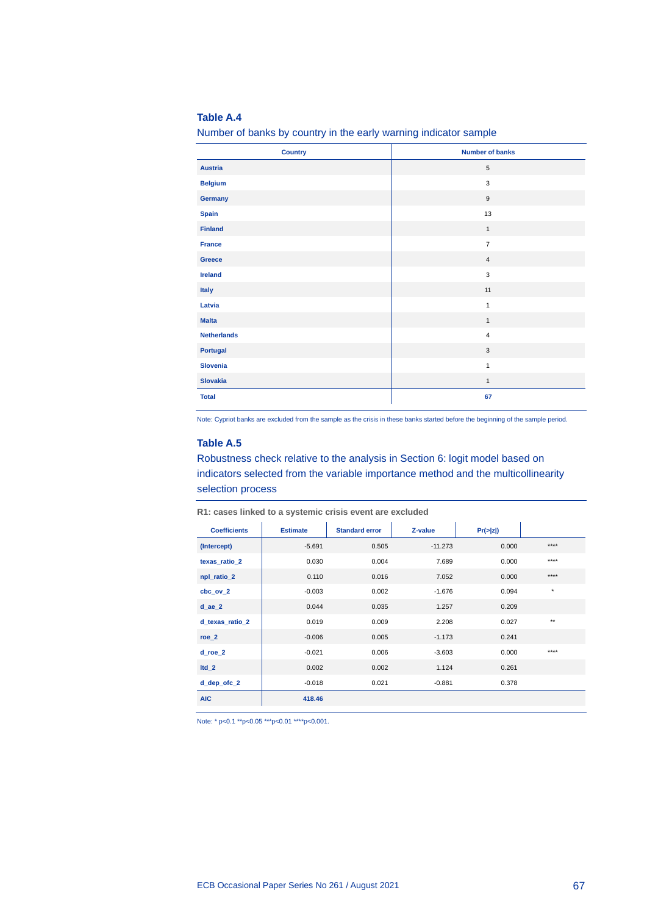Number of banks by country in the early warning indicator sample

| <b>Country</b>     | <b>Number of banks</b> |
|--------------------|------------------------|
| <b>Austria</b>     | 5                      |
| <b>Belgium</b>     | 3                      |
| Germany            | $\mathsf g$            |
| <b>Spain</b>       | 13                     |
| <b>Finland</b>     | $\mathbf{1}$           |
| France             | $\overline{7}$         |
| Greece             | $\overline{4}$         |
| <b>Ireland</b>     | 3                      |
| <b>Italy</b>       | 11                     |
| Latvia             | $\mathbf{1}$           |
| <b>Malta</b>       | $\mathbf{1}$           |
| <b>Netherlands</b> | $\overline{4}$         |
| <b>Portugal</b>    | $\mathbf{3}$           |
| Slovenia           | $\mathbf{1}$           |
| <b>Slovakia</b>    | $\mathbf{1}$           |
| <b>Total</b>       | 67                     |

Note: Cypriot banks are excluded from the sample as the crisis in these banks started before the beginning of the sample period.

### **Table A.5**

Robustness check relative to the analysis in Section 6: logit model based on indicators selected from the variable importance method and the multicollinearity selection process

| <b>Coefficients</b> | <b>Estimate</b> | <b>Standard error</b> | Z-value   | Pr(z z ) |              |
|---------------------|-----------------|-----------------------|-----------|----------|--------------|
| (Intercept)         | $-5.691$        | 0.505                 | $-11.273$ | 0.000    | ****         |
| texas ratio 2       | 0.030           | 0.004                 | 7.689     | 0.000    | ****         |
| npl_ratio_2         | 0.110           | 0.016                 | 7.052     | 0.000    | $***$        |
| $cbc_ov_2$          | $-0.003$        | 0.002                 | $-1.676$  | 0.094    | $^\star$     |
| $d$ ae $2$          | 0.044           | 0.035                 | 1.257     | 0.209    |              |
| d_texas_ratio_2     | 0.019           | 0.009                 | 2.208     | 0.027    | $\star\star$ |
| $roe_2$             | $-0.006$        | 0.005                 | $-1.173$  | 0.241    |              |
| $d$ _roe_2          | $-0.021$        | 0.006                 | $-3.603$  | 0.000    | ****         |
| $Itd_2$             | 0.002           | 0.002                 | 1.124     | 0.261    |              |
| d_dep_ofc_2         | $-0.018$        | 0.021                 | $-0.881$  | 0.378    |              |
| <b>AIC</b>          | 418.46          |                       |           |          |              |

**R1: cases linked to a systemic crisis event are excluded**

Note: \* p<0.1 \*\*p<0.05 \*\*\*p<0.01 \*\*\*\*p<0.001.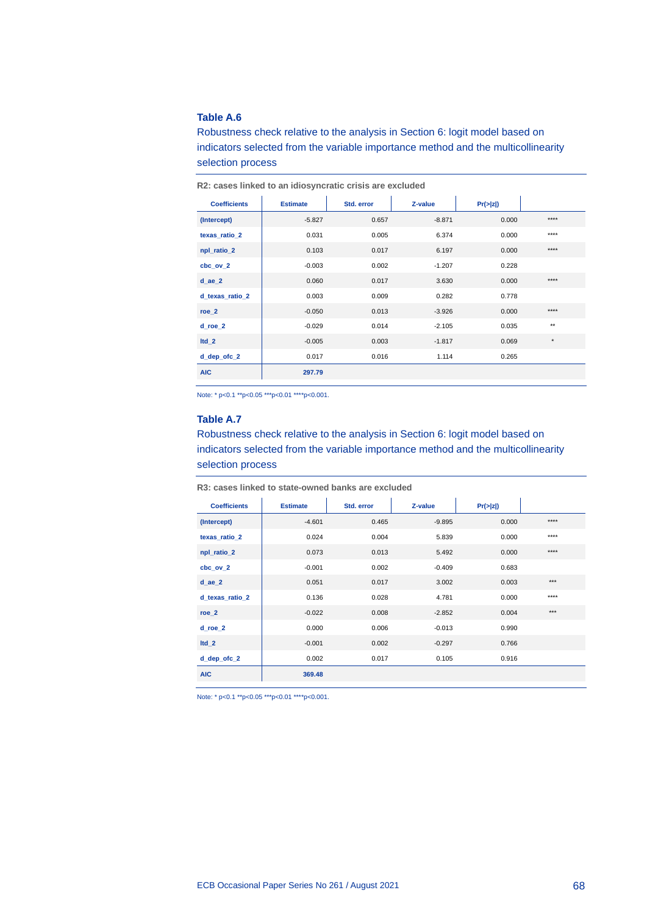Robustness check relative to the analysis in Section 6: logit model based on indicators selected from the variable importance method and the multicollinearity selection process

| <b>Coefficients</b> | <b>Estimate</b> | Std. error | Z-value  | Pr(z z ) |              |
|---------------------|-----------------|------------|----------|----------|--------------|
| (Intercept)         | $-5.827$        | 0.657      | $-8.871$ | 0.000    | ****         |
| texas ratio 2       | 0.031           | 0.005      | 6.374    | 0.000    | ****         |
| npl_ratio_2         | 0.103           | 0.017      | 6.197    | 0.000    | $***$        |
| cbc ov 2            | $-0.003$        | 0.002      | $-1.207$ | 0.228    |              |
| $d$ ae $2$          | 0.060           | 0.017      | 3.630    | 0.000    | $***$        |
| d texas ratio 2     | 0.003           | 0.009      | 0.282    | 0.778    |              |
| roe 2               | $-0.050$        | 0.013      | $-3.926$ | 0.000    | $***$        |
| d roe 2             | $-0.029$        | 0.014      | $-2.105$ | 0.035    | $\star\star$ |
| $Itd_2$             | $-0.005$        | 0.003      | $-1.817$ | 0.069    | $^\star$     |
| d_dep_ofc_2         | 0.017           | 0.016      | 1.114    | 0.265    |              |
| <b>AIC</b>          | 297.79          |            |          |          |              |

**R2: cases linked to an idiosyncratic crisis are excluded**

Note: \* p<0.1 \*\*p<0.05 \*\*\*p<0.01 \*\*\*\*p<0.001.

### **Table A.7**

Robustness check relative to the analysis in Section 6: logit model based on indicators selected from the variable importance method and the multicollinearity selection process

**R3: cases linked to state-owned banks are excluded**

| <b>Coefficients</b> | <b>Estimate</b> | Std. error | Z-value  | Pr(z z ) |       |
|---------------------|-----------------|------------|----------|----------|-------|
| (Intercept)         | $-4.601$        | 0.465      | $-9.895$ | 0.000    | ****  |
| texas ratio 2       | 0.024           | 0.004      | 5.839    | 0.000    | ****  |
| npl_ratio_2         | 0.073           | 0.013      | 5.492    | 0.000    | $***$ |
| $cbc_ov_2$          | $-0.001$        | 0.002      | $-0.409$ | 0.683    |       |
| $d$ ae $2$          | 0.051           | 0.017      | 3.002    | 0.003    | $***$ |
| d texas ratio 2     | 0.136           | 0.028      | 4.781    | 0.000    | ****  |
| $roe_2$             | $-0.022$        | 0.008      | $-2.852$ | 0.004    | $***$ |
| d roe 2             | 0.000           | 0.006      | $-0.013$ | 0.990    |       |
| $Itd_2$             | $-0.001$        | 0.002      | $-0.297$ | 0.766    |       |
| d_dep_ofc_2         | 0.002           | 0.017      | 0.105    | 0.916    |       |
| <b>AIC</b>          | 369.48          |            |          |          |       |

Note: \* p<0.1 \*\*p<0.05 \*\*\*p<0.01 \*\*\*\*p<0.001.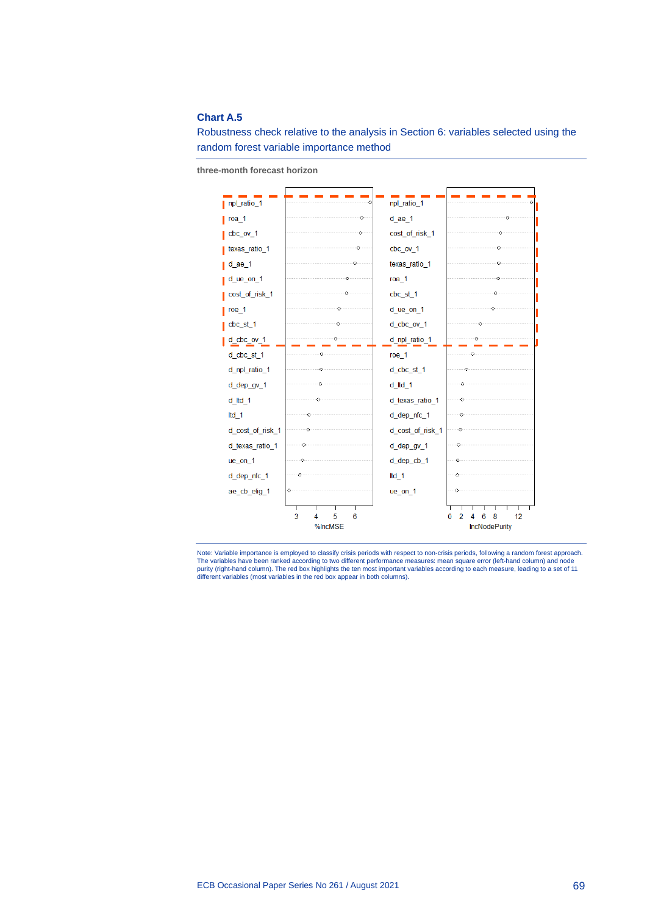### **Chart A.5**

Robustness check relative to the analysis in Section 6: variables selected using the random forest variable importance method

**three-month forecast horizon**



Note: Variable importance is employed to classify crisis periods with respect to non-crisis periods, following a random forest approach.<br>The variables have been ranked according to two different performance measures: mean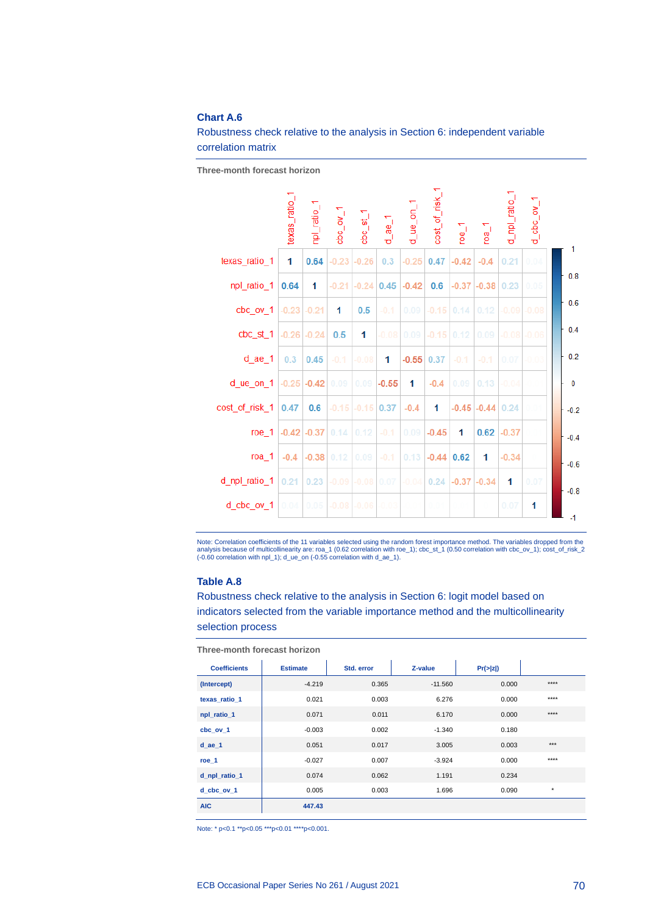### **Chart A.6**

Robustness check relative to the analysis in Section 6: independent variable correlation matrix

**Three-month forecast horizon**

|                           | texas_ratio_1   | npl_ratio_1     | 1 <sub>1</sub> | $cbc_s$ st_1         | $d$ ae $1$     | $q$ ue on 1                  | cost_of_risk_1 | $\overline{e}$ <sup>1</sup> | roa <sub>1</sub>     | d_npl_ratio_    | $d_{\text{c}}$ abc $_{\text{CIV}}$ 1 | 1      |
|---------------------------|-----------------|-----------------|----------------|----------------------|----------------|------------------------------|----------------|-----------------------------|----------------------|-----------------|--------------------------------------|--------|
| texas_ratio_1             | 1               | 0.64            | $-0.23$        | $-0.26$              | 0.3            | $-0.25$                      | 0.47           | $-0.42$                     | $-0.4$               | 0.21            | 0.04                                 |        |
| npl_ratio_1               | 0.64            | 1               | $-0.21$        | $-0.24$              | 0.45           | $-0.42$                      | 0.6            |                             | $-0.37$ $-0.38$ 0.23 |                 | 0.05                                 | 0.8    |
| $cbc_ov_1$                | $-0.23$ $-0.21$ |                 | 1              | 0.5                  | $-0.1$         | 0.09                         | $-0.15$ 0.14   |                             | 0.12                 | $-0.09$ $-0.08$ |                                      | 0.6    |
| $cbc_st_1$                | $-0.26$ $-0.24$ |                 | 0.5            | 1                    | $-0.08$        |                              | $0.09$ $-0.15$ | 0.12                        | 0.09                 | $-0.08 - 0.06$  |                                      | 0.4    |
| $d$ ae $1$                | 0.3             | 0.45            | $-0.1$         | $-0.08$              | 1              | $-0.55$                      | 0.37           | $-0.1$                      | $-0.1$               | 0.07            | $-0.03$                              | 0.2    |
| d_ue_on_1 $ -0.25 $ -0.42 |                 |                 | 0.09           |                      | $0.09$ $-0.55$ | 1                            | $-0.4$         | 0.09                        | 0.13                 | $-0.04$         |                                      | 0      |
| cost_of_risk_1            | 0.47            | 0.6             |                | $-0.15$ $-0.15$      | 0.37           | $-0.4$                       | 1              |                             | $-0.45$ $-0.44$ 0.24 |                 | 0.01                                 | $-0.2$ |
| roe 1                     |                 | $-0.42$ $-0.37$ | 0.14           | 0.12                 | $-0.1$         | 0.09                         | $-0.45$        | 1                           | 0.62                 | $-0.37$         |                                      | $-0.4$ |
| roa 1                     | $-0.4$          | $-0.38$         | 0.12           | 0.09                 | $-0.1$         | 0.13                         | $-0.44$        | 0.62                        | 1                    | $-0.34$         |                                      | $-0.6$ |
| d_npl_ratio_1             | 0.21            | 0.23            |                | $-0.09$ $-0.08$ 0.07 |                | $-0.04$ 0.24 $-0.37$ $-0.34$ |                |                             |                      | 1               | 0.07                                 | $-0.8$ |
| d cbc ov 1                | 0.04            | 0.05            | $-0.08$        | $-0.06$              | $-0.03$        | -0.01                        | 0.01           |                             |                      | 0.07            | 1                                    | $-1$   |

Note: Correlation coefficients of the 11 variables selected using the random forest importance method. The variables dropped from the<br>analysis because of multicollinearity are: roa\_1 (0.62 correlation with roe\_1); cbc\_st\_

### **Table A.8**

Robustness check relative to the analysis in Section 6: logit model based on indicators selected from the variable importance method and the multicollinearity selection process

| <b>Coefficients</b> | <b>Estimate</b> | Std. error | Z-value   | Pr(z z ) |          |  |  |  |
|---------------------|-----------------|------------|-----------|----------|----------|--|--|--|
| (Intercept)         | $-4.219$        | 0.365      | $-11.560$ | 0.000    | $***$    |  |  |  |
| texas ratio 1       | 0.021           | 0.003      | 6.276     | 0.000    | $***$    |  |  |  |
| npl_ratio_1         | 0.071           | 0.011      | 6.170     | 0.000    | $***$    |  |  |  |
| cbc ov 1            | $-0.003$        | 0.002      | $-1.340$  | 0.180    |          |  |  |  |
| $d$ ae $1$          | 0.051           | 0.017      | 3.005     | 0.003    | $***$    |  |  |  |
| $roe_1$             | $-0.027$        | 0.007      | $-3.924$  | 0.000    | $***$    |  |  |  |
| d_npl_ratio_1       | 0.074           | 0.062      | 1.191     | 0.234    |          |  |  |  |
| d cbc ov 1          | 0.005           | 0.003      | 1.696     | 0.090    | $^\star$ |  |  |  |
| <b>AIC</b>          | 447.43          |            |           |          |          |  |  |  |

**Three-month forecast horizon**

Note: \* p<0.1 \*\*p<0.05 \*\*\*p<0.01 \*\*\*\*p<0.001.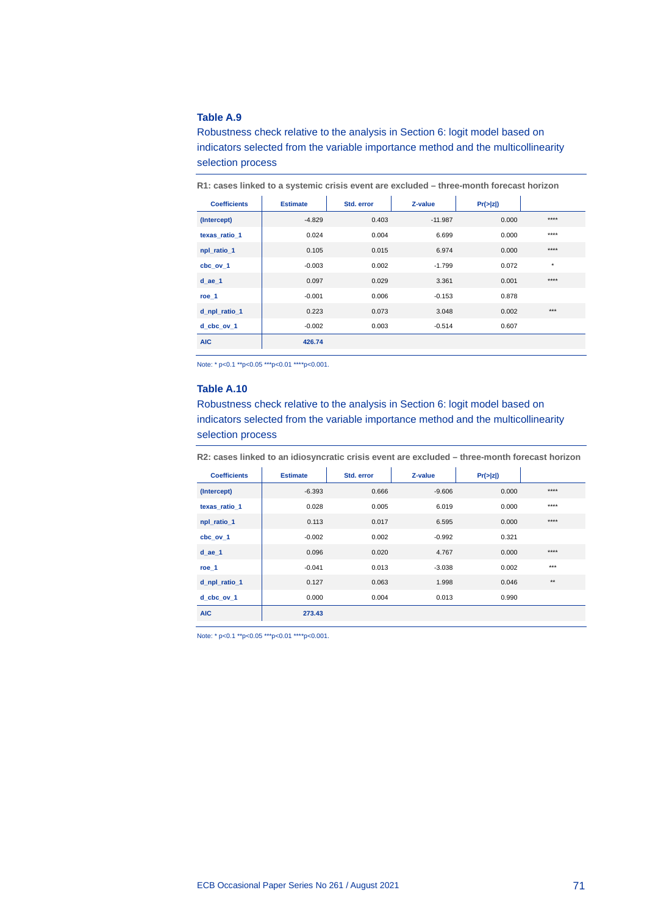Robustness check relative to the analysis in Section 6: logit model based on indicators selected from the variable importance method and the multicollinearity selection process

| <b>Coefficients</b> | <b>Estimate</b> | Std. error | Z-value   | Pr(z z ) |          |
|---------------------|-----------------|------------|-----------|----------|----------|
| (Intercept)         | $-4.829$        | 0.403      | $-11.987$ | 0.000    | $***$    |
| texas ratio 1       | 0.024           | 0.004      | 6.699     | 0.000    | $***$    |
| npl_ratio_1         | 0.105           | 0.015      | 6.974     | 0.000    | $***$    |
| cbc ov 1            | $-0.003$        | 0.002      | $-1.799$  | 0.072    | $^\star$ |
| $d$ ae $1$          | 0.097           | 0.029      | 3.361     | 0.001    | $***$    |
| roe 1               | $-0.001$        | 0.006      | $-0.153$  | 0.878    |          |
| d_npl_ratio_1       | 0.223           | 0.073      | 3.048     | 0.002    | $***$    |
| d cbc ov 1          | $-0.002$        | 0.003      | $-0.514$  | 0.607    |          |
| <b>AIC</b>          | 426.74          |            |           |          |          |

**R1: cases linked to a systemic crisis event are excluded – three-month forecast horizon**

Note: \* p<0.1 \*\*p<0.05 \*\*\*p<0.01 \*\*\*\*p<0.001.

### **Table A.10**

Robustness check relative to the analysis in Section 6: logit model based on indicators selected from the variable importance method and the multicollinearity selection process

**R2: cases linked to an idiosyncratic crisis event are excluded – three-month forecast horizon**

| <b>Coefficients</b> | <b>Estimate</b> | Std. error | Z-value  | Pr(z z ) |              |
|---------------------|-----------------|------------|----------|----------|--------------|
| (Intercept)         | $-6.393$        | 0.666      | $-9.606$ | 0.000    | $***$        |
| texas ratio 1       | 0.028           | 0.005      | 6.019    | 0.000    | $***$        |
| npl ratio 1         | 0.113           | 0.017      | 6.595    | 0.000    | $***$        |
| cbc ov 1            | $-0.002$        | 0.002      | $-0.992$ | 0.321    |              |
| $d$ ae $1$          | 0.096           | 0.020      | 4.767    | 0.000    | $***$        |
| roe 1               | $-0.041$        | 0.013      | $-3.038$ | 0.002    | $***$        |
| d_npl_ratio_1       | 0.127           | 0.063      | 1.998    | 0.046    | $\star\star$ |
| d cbc ov 1          | 0.000           | 0.004      | 0.013    | 0.990    |              |
| <b>AIC</b>          | 273.43          |            |          |          |              |

Note: \* p<0.1 \*\*p<0.05 \*\*\*p<0.01 \*\*\*\*p<0.001.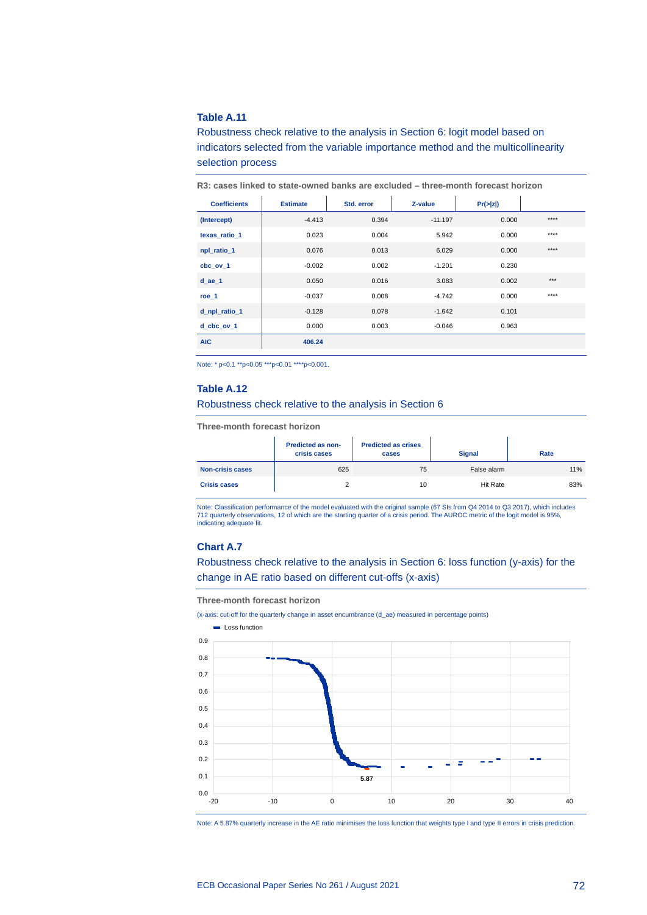# **Table A.11**

Robustness check relative to the analysis in Section 6: logit model based on indicators selected from the variable importance method and the multicollinearity selection process

| <b>Coefficients</b> | <b>Estimate</b> | Std. error | Z-value   | Pr(z z ) |       |
|---------------------|-----------------|------------|-----------|----------|-------|
| (Intercept)         | $-4.413$        | 0.394      | $-11.197$ | 0.000    | $***$ |
| texas ratio 1       | 0.023           | 0.004      | 5.942     | 0.000    | $***$ |
| npl ratio 1         | 0.076           | 0.013      | 6.029     | 0.000    | $***$ |
| cbc ov 1            | $-0.002$        | 0.002      | $-1.201$  | 0.230    |       |
| $d$ ae $1$          | 0.050           | 0.016      | 3.083     | 0.002    | $***$ |
| roe 1               | $-0.037$        | 0.008      | $-4.742$  | 0.000    | $***$ |
| d npl ratio 1       | $-0.128$        | 0.078      | $-1.642$  | 0.101    |       |
| d cbc ov 1          | 0.000           | 0.003      | $-0.046$  | 0.963    |       |
| <b>AIC</b>          | 406.24          |            |           |          |       |

**R3: cases linked to state-owned banks are excluded – three-month forecast horizon**

Note: \* p<0.1 \*\*p<0.05 \*\*\*p<0.01 \*\*\*\*p<0.001.

# **Table A.12**

Robustness check relative to the analysis in Section 6

**Three-month forecast horizon**

|                         | <b>Predicted as non-</b><br>crisis cases | <b>Predicted as crises</b><br>cases | <b>Signal</b>   | Rate |
|-------------------------|------------------------------------------|-------------------------------------|-----------------|------|
| <b>Non-crisis cases</b> | 625                                      | 75                                  | False alarm     | 11%  |
| <b>Crisis cases</b>     |                                          | 10                                  | <b>Hit Rate</b> | 83%  |

Note: Classification performance of the model evaluated with the original sample (67 SIs from Q4 2014 to Q3 2017), which includes 712 quarterly observations, 12 of which are the starting quarter of a crisis period. The AUROC metric of the logit model is 95%, indicating adequate fit.

# **Chart A.7**

Robustness check relative to the analysis in Section 6: loss function (y-axis) for the change in AE ratio based on different cut-offs (x-axis)

**Three-month forecast horizon**

(x-axis: cut-off for the quarterly change in asset encumbrance (d\_ae) measured in percentage points)



Note: A 5.87% quarterly increase in the AE ratio minimises the loss function that weights type I and type II errors in crisis prediction.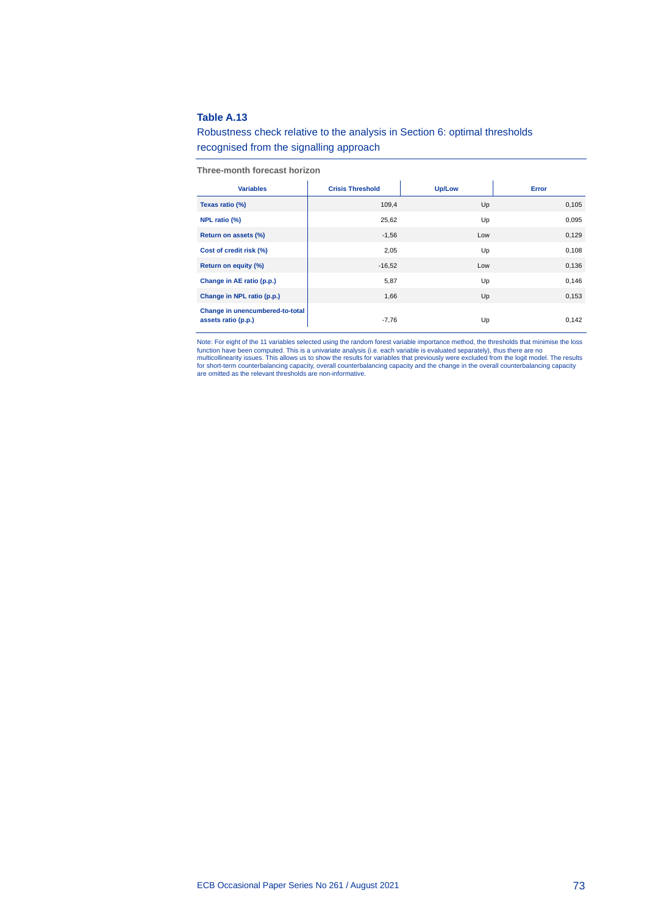# **Table A.13**

# Robustness check relative to the analysis in Section 6: optimal thresholds recognised from the signalling approach

**Three-month forecast horizon**

| <b>Variables</b>                                       | <b>Crisis Threshold</b> | <b>Up/Low</b> | Error |
|--------------------------------------------------------|-------------------------|---------------|-------|
| Texas ratio (%)                                        | 109,4                   | Up            | 0,105 |
| NPL ratio (%)                                          | 25,62                   | Up            | 0,095 |
| Return on assets (%)                                   | $-1,56$                 | Low           | 0,129 |
| Cost of credit risk (%)                                | 2,05                    | Up            | 0,108 |
| Return on equity (%)                                   | $-16,52$                | Low           | 0,136 |
| Change in AE ratio (p.p.)                              | 5,87                    | Up            | 0,146 |
| Change in NPL ratio (p.p.)                             | 1,66                    | Up            | 0,153 |
| Change in unencumbered-to-total<br>assets ratio (p.p.) | $-7,76$                 | Up            | 0,142 |

Note: For eight of the 11 variables selected using the random forest variable importance method, the thresholds that minimise the loss function have been computed. This is a univariate analysis (i.e. each variable is evaluated separately), thus there are no<br>multicollinearity issues. This allows us to show the results for variables that previously were exc